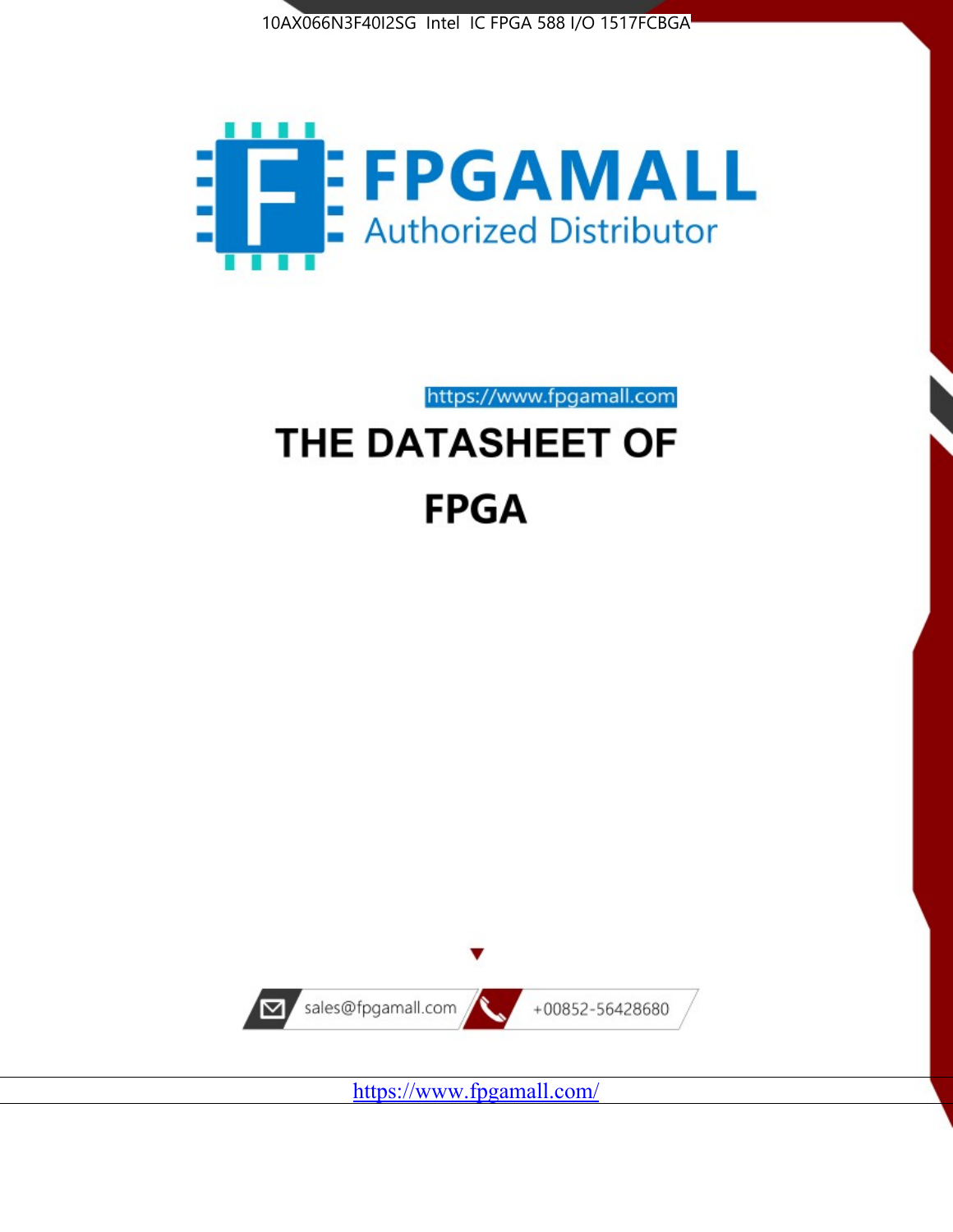



https://www.fpgamall.com

# THE DATASHEET OF **FPGA**



<https://www.fpgamall.com/>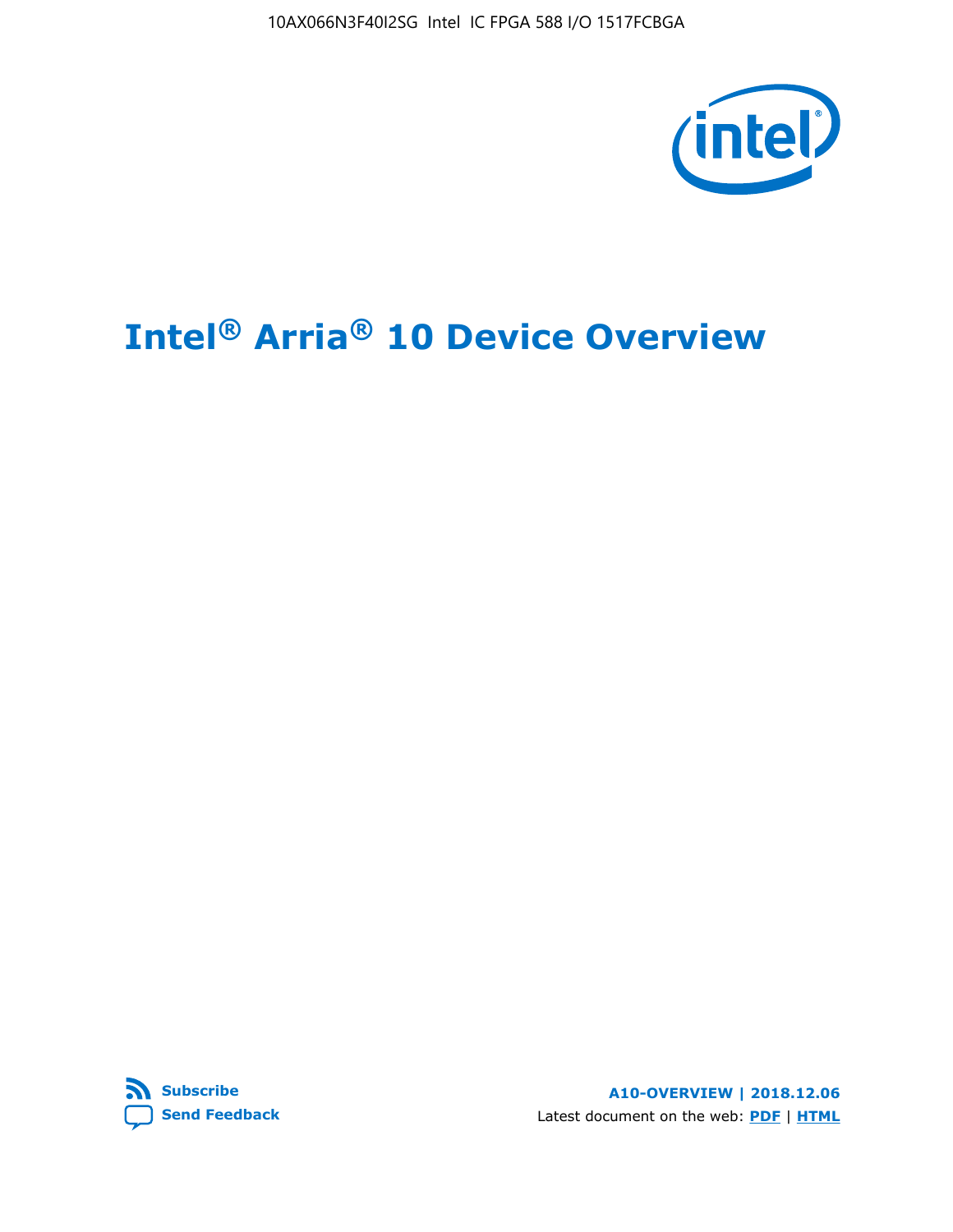10AX066N3F40I2SG Intel IC FPGA 588 I/O 1517FCBGA



# **Intel® Arria® 10 Device Overview**



**A10-OVERVIEW | 2018.12.06** Latest document on the web: **[PDF](https://www.intel.com/content/dam/www/programmable/us/en/pdfs/literature/hb/arria-10/a10_overview.pdf)** | **[HTML](https://www.intel.com/content/www/us/en/programmable/documentation/sam1403480274650.html)**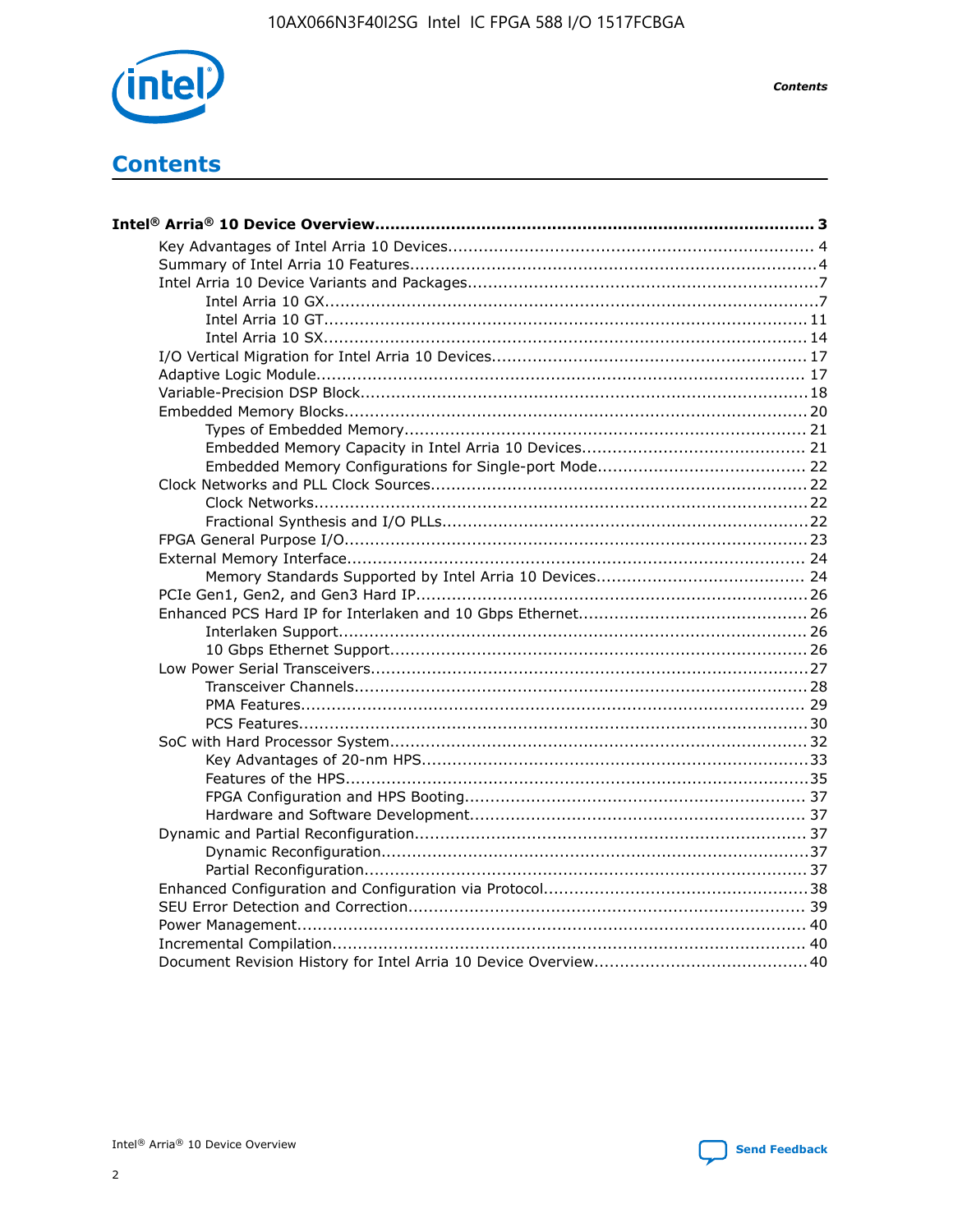

**Contents** 

# **Contents**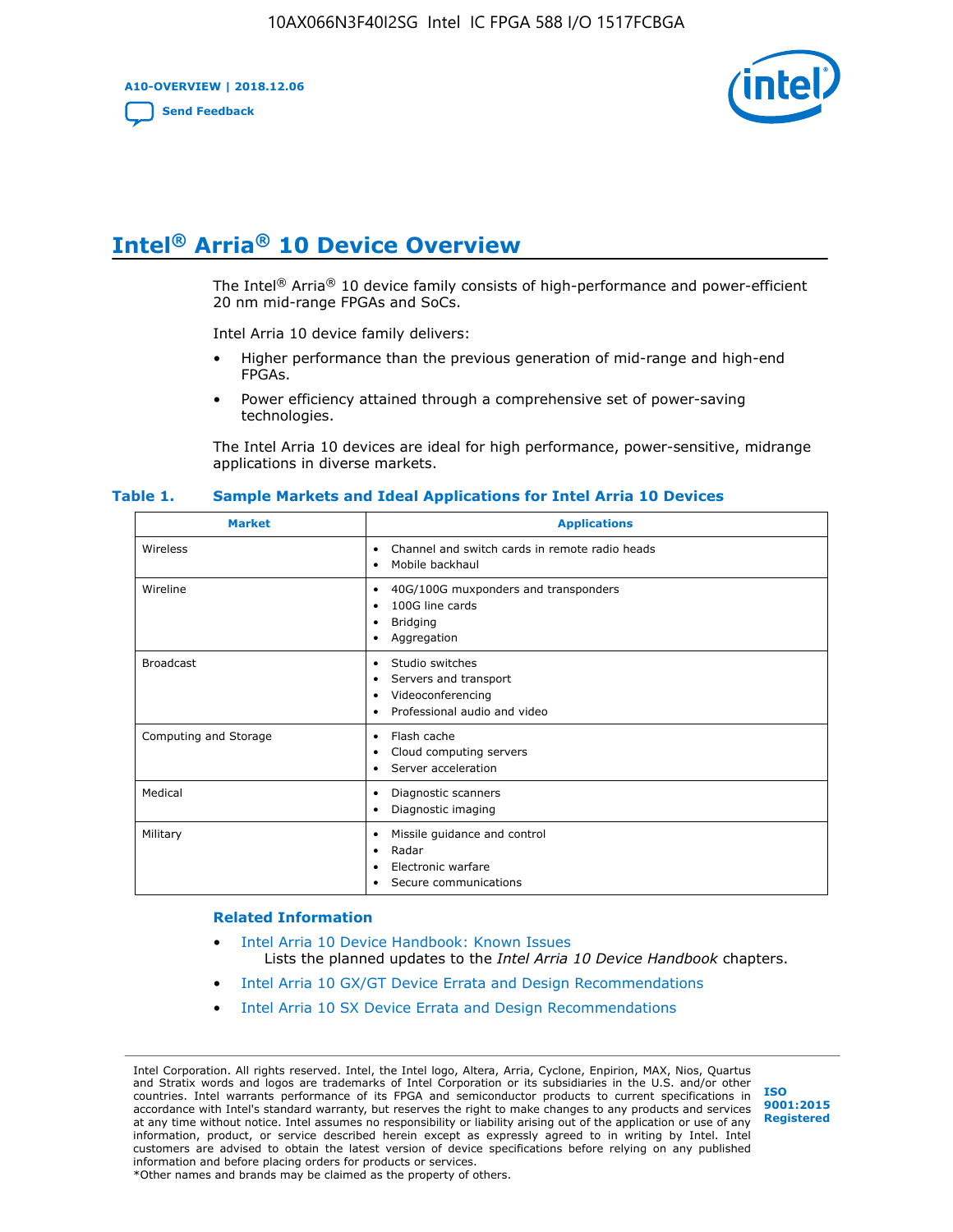**A10-OVERVIEW | 2018.12.06**

**[Send Feedback](mailto:FPGAtechdocfeedback@intel.com?subject=Feedback%20on%20Intel%20Arria%2010%20Device%20Overview%20(A10-OVERVIEW%202018.12.06)&body=We%20appreciate%20your%20feedback.%20In%20your%20comments,%20also%20specify%20the%20page%20number%20or%20paragraph.%20Thank%20you.)**



# **Intel® Arria® 10 Device Overview**

The Intel<sup>®</sup> Arria<sup>®</sup> 10 device family consists of high-performance and power-efficient 20 nm mid-range FPGAs and SoCs.

Intel Arria 10 device family delivers:

- Higher performance than the previous generation of mid-range and high-end FPGAs.
- Power efficiency attained through a comprehensive set of power-saving technologies.

The Intel Arria 10 devices are ideal for high performance, power-sensitive, midrange applications in diverse markets.

| <b>Market</b>         | <b>Applications</b>                                                                                               |
|-----------------------|-------------------------------------------------------------------------------------------------------------------|
| Wireless              | Channel and switch cards in remote radio heads<br>٠<br>Mobile backhaul<br>٠                                       |
| Wireline              | 40G/100G muxponders and transponders<br>٠<br>100G line cards<br>٠<br><b>Bridging</b><br>٠<br>Aggregation<br>٠     |
| <b>Broadcast</b>      | Studio switches<br>٠<br>Servers and transport<br>٠<br>Videoconferencing<br>٠<br>Professional audio and video<br>٠ |
| Computing and Storage | Flash cache<br>٠<br>Cloud computing servers<br>٠<br>Server acceleration<br>٠                                      |
| Medical               | Diagnostic scanners<br>٠<br>Diagnostic imaging<br>٠                                                               |
| Military              | Missile guidance and control<br>٠<br>Radar<br>٠<br>Electronic warfare<br>٠<br>Secure communications<br>٠          |

#### **Table 1. Sample Markets and Ideal Applications for Intel Arria 10 Devices**

#### **Related Information**

- [Intel Arria 10 Device Handbook: Known Issues](http://www.altera.com/support/kdb/solutions/rd07302013_646.html) Lists the planned updates to the *Intel Arria 10 Device Handbook* chapters.
- [Intel Arria 10 GX/GT Device Errata and Design Recommendations](https://www.intel.com/content/www/us/en/programmable/documentation/agz1493851706374.html#yqz1494433888646)
- [Intel Arria 10 SX Device Errata and Design Recommendations](https://www.intel.com/content/www/us/en/programmable/documentation/cru1462832385668.html#cru1462832558642)

Intel Corporation. All rights reserved. Intel, the Intel logo, Altera, Arria, Cyclone, Enpirion, MAX, Nios, Quartus and Stratix words and logos are trademarks of Intel Corporation or its subsidiaries in the U.S. and/or other countries. Intel warrants performance of its FPGA and semiconductor products to current specifications in accordance with Intel's standard warranty, but reserves the right to make changes to any products and services at any time without notice. Intel assumes no responsibility or liability arising out of the application or use of any information, product, or service described herein except as expressly agreed to in writing by Intel. Intel customers are advised to obtain the latest version of device specifications before relying on any published information and before placing orders for products or services. \*Other names and brands may be claimed as the property of others.

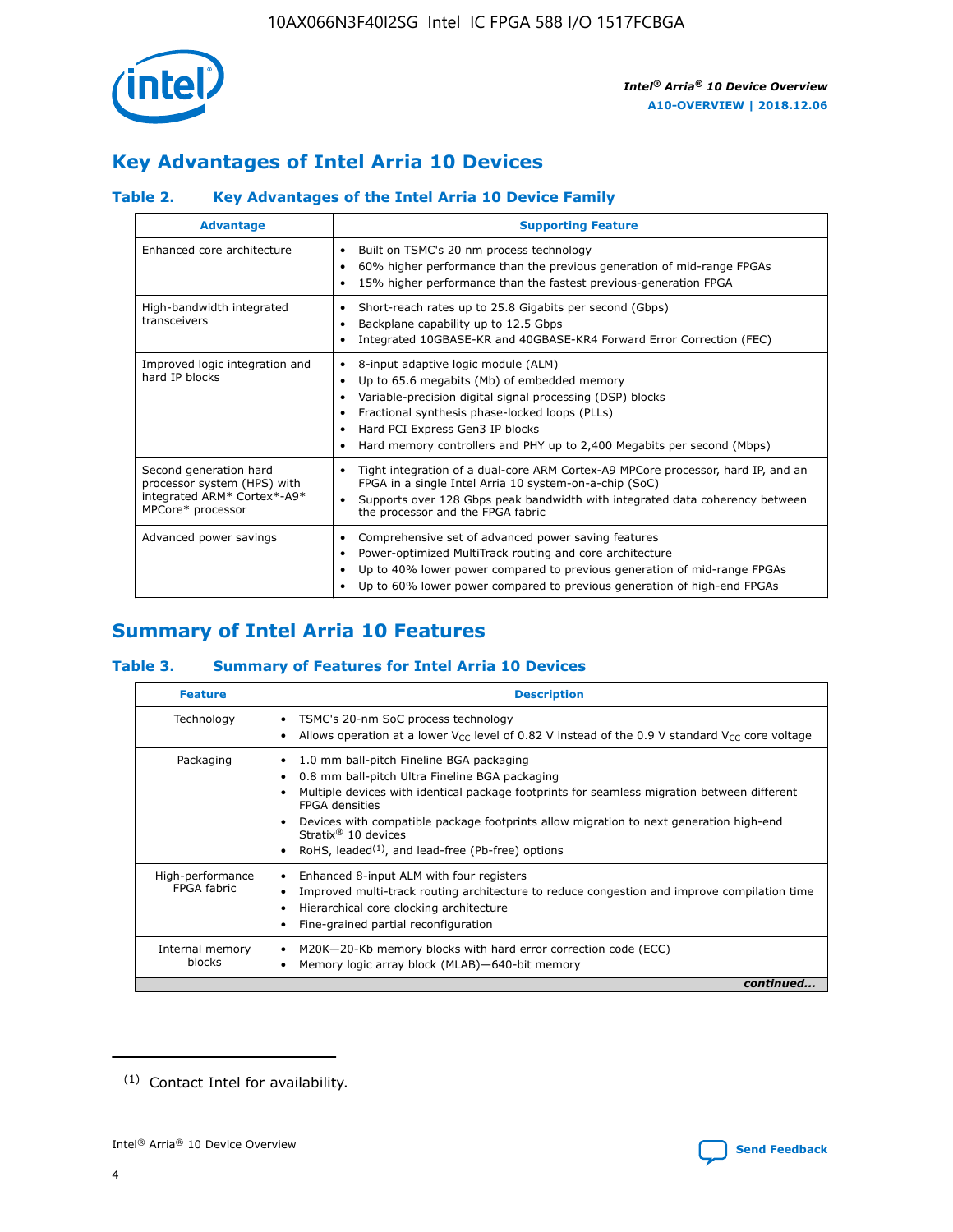

# **Key Advantages of Intel Arria 10 Devices**

# **Table 2. Key Advantages of the Intel Arria 10 Device Family**

| <b>Advantage</b>                                                                                          | <b>Supporting Feature</b>                                                                                                                                                                                                                                                                                                |  |  |  |  |  |
|-----------------------------------------------------------------------------------------------------------|--------------------------------------------------------------------------------------------------------------------------------------------------------------------------------------------------------------------------------------------------------------------------------------------------------------------------|--|--|--|--|--|
| Enhanced core architecture                                                                                | Built on TSMC's 20 nm process technology<br>٠<br>60% higher performance than the previous generation of mid-range FPGAs<br>٠<br>15% higher performance than the fastest previous-generation FPGA<br>٠                                                                                                                    |  |  |  |  |  |
| High-bandwidth integrated<br>transceivers                                                                 | Short-reach rates up to 25.8 Gigabits per second (Gbps)<br>٠<br>Backplane capability up to 12.5 Gbps<br>٠<br>Integrated 10GBASE-KR and 40GBASE-KR4 Forward Error Correction (FEC)<br>٠                                                                                                                                   |  |  |  |  |  |
| Improved logic integration and<br>hard IP blocks                                                          | 8-input adaptive logic module (ALM)<br>٠<br>Up to 65.6 megabits (Mb) of embedded memory<br>٠<br>Variable-precision digital signal processing (DSP) blocks<br>Fractional synthesis phase-locked loops (PLLs)<br>Hard PCI Express Gen3 IP blocks<br>Hard memory controllers and PHY up to 2,400 Megabits per second (Mbps) |  |  |  |  |  |
| Second generation hard<br>processor system (HPS) with<br>integrated ARM* Cortex*-A9*<br>MPCore* processor | Tight integration of a dual-core ARM Cortex-A9 MPCore processor, hard IP, and an<br>٠<br>FPGA in a single Intel Arria 10 system-on-a-chip (SoC)<br>Supports over 128 Gbps peak bandwidth with integrated data coherency between<br>$\bullet$<br>the processor and the FPGA fabric                                        |  |  |  |  |  |
| Advanced power savings                                                                                    | Comprehensive set of advanced power saving features<br>٠<br>Power-optimized MultiTrack routing and core architecture<br>٠<br>Up to 40% lower power compared to previous generation of mid-range FPGAs<br>Up to 60% lower power compared to previous generation of high-end FPGAs                                         |  |  |  |  |  |

# **Summary of Intel Arria 10 Features**

## **Table 3. Summary of Features for Intel Arria 10 Devices**

| <b>Feature</b>                  | <b>Description</b>                                                                                                                                                                                                                                                                                                                                                                                 |
|---------------------------------|----------------------------------------------------------------------------------------------------------------------------------------------------------------------------------------------------------------------------------------------------------------------------------------------------------------------------------------------------------------------------------------------------|
| Technology                      | TSMC's 20-nm SoC process technology<br>Allows operation at a lower $V_{\text{CC}}$ level of 0.82 V instead of the 0.9 V standard $V_{\text{CC}}$ core voltage                                                                                                                                                                                                                                      |
| Packaging                       | 1.0 mm ball-pitch Fineline BGA packaging<br>٠<br>0.8 mm ball-pitch Ultra Fineline BGA packaging<br>Multiple devices with identical package footprints for seamless migration between different<br><b>FPGA</b> densities<br>Devices with compatible package footprints allow migration to next generation high-end<br>Stratix $@10$ devices<br>RoHS, leaded $(1)$ , and lead-free (Pb-free) options |
| High-performance<br>FPGA fabric | Enhanced 8-input ALM with four registers<br>Improved multi-track routing architecture to reduce congestion and improve compilation time<br>Hierarchical core clocking architecture<br>Fine-grained partial reconfiguration                                                                                                                                                                         |
| Internal memory<br>blocks       | M20K-20-Kb memory blocks with hard error correction code (ECC)<br>Memory logic array block (MLAB)-640-bit memory                                                                                                                                                                                                                                                                                   |
|                                 | continued                                                                                                                                                                                                                                                                                                                                                                                          |



<sup>(1)</sup> Contact Intel for availability.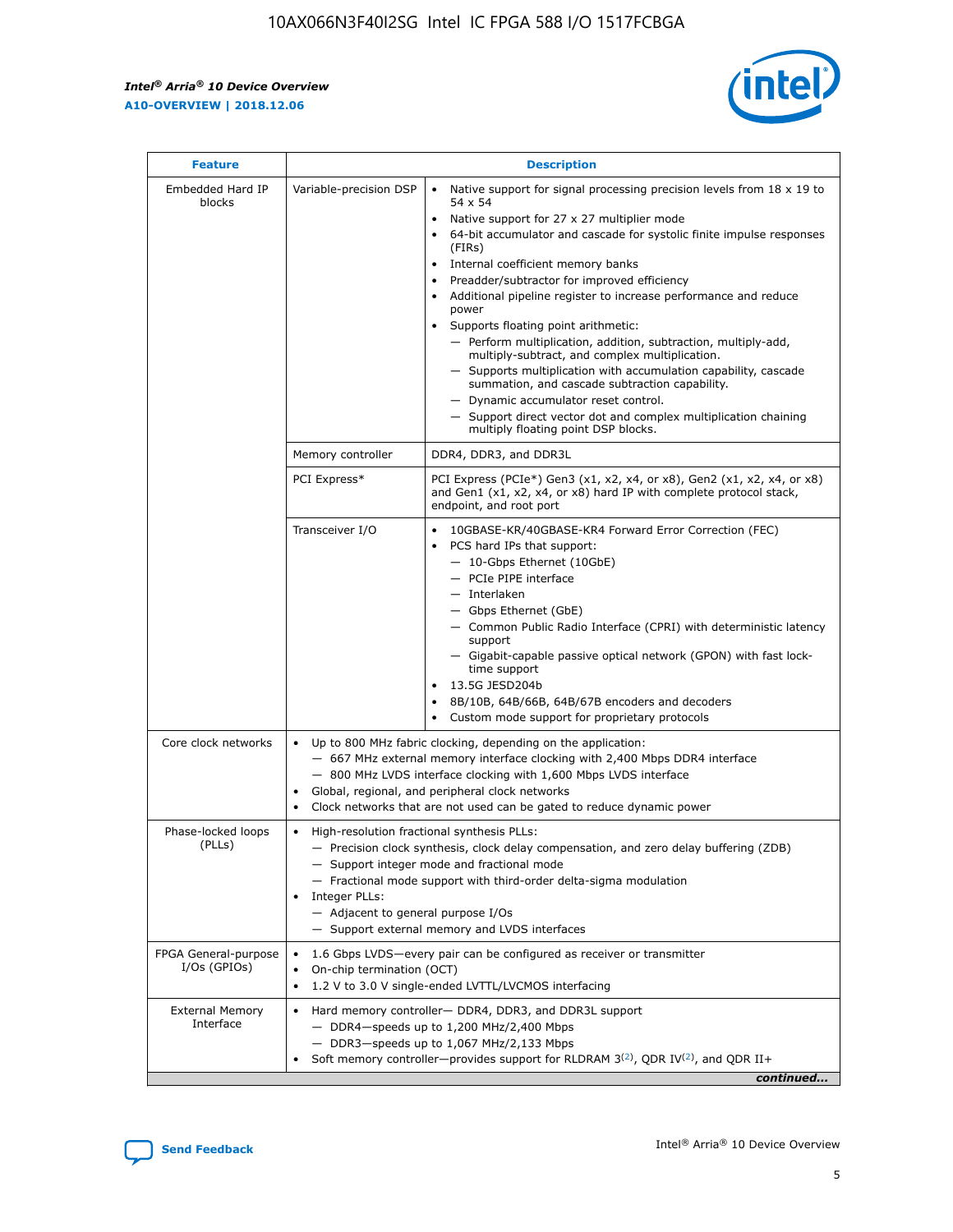r



| <b>Feature</b>                         |                                                                                                                | <b>Description</b>                                                                                                                                                                                                                                                                                                                                                                                                                                                                                                                                                                                                                                                                                                                                                                                                                                               |  |  |  |  |  |  |
|----------------------------------------|----------------------------------------------------------------------------------------------------------------|------------------------------------------------------------------------------------------------------------------------------------------------------------------------------------------------------------------------------------------------------------------------------------------------------------------------------------------------------------------------------------------------------------------------------------------------------------------------------------------------------------------------------------------------------------------------------------------------------------------------------------------------------------------------------------------------------------------------------------------------------------------------------------------------------------------------------------------------------------------|--|--|--|--|--|--|
| Embedded Hard IP<br>blocks             | Variable-precision DSP                                                                                         | Native support for signal processing precision levels from $18 \times 19$ to<br>$\bullet$<br>54 x 54<br>Native support for 27 x 27 multiplier mode<br>$\bullet$<br>64-bit accumulator and cascade for systolic finite impulse responses<br>(FIRs)<br>Internal coefficient memory banks<br>$\bullet$<br>Preadder/subtractor for improved efficiency<br>Additional pipeline register to increase performance and reduce<br>power<br>Supports floating point arithmetic:<br>- Perform multiplication, addition, subtraction, multiply-add,<br>multiply-subtract, and complex multiplication.<br>- Supports multiplication with accumulation capability, cascade<br>summation, and cascade subtraction capability.<br>- Dynamic accumulator reset control.<br>- Support direct vector dot and complex multiplication chaining<br>multiply floating point DSP blocks. |  |  |  |  |  |  |
|                                        | Memory controller                                                                                              | DDR4, DDR3, and DDR3L                                                                                                                                                                                                                                                                                                                                                                                                                                                                                                                                                                                                                                                                                                                                                                                                                                            |  |  |  |  |  |  |
|                                        | PCI Express*                                                                                                   | PCI Express (PCIe*) Gen3 (x1, x2, x4, or x8), Gen2 (x1, x2, x4, or x8)<br>and Gen1 (x1, x2, x4, or x8) hard IP with complete protocol stack,<br>endpoint, and root port                                                                                                                                                                                                                                                                                                                                                                                                                                                                                                                                                                                                                                                                                          |  |  |  |  |  |  |
|                                        | Transceiver I/O                                                                                                | 10GBASE-KR/40GBASE-KR4 Forward Error Correction (FEC)<br>PCS hard IPs that support:<br>- 10-Gbps Ethernet (10GbE)<br>- PCIe PIPE interface<br>- Interlaken<br>- Gbps Ethernet (GbE)<br>- Common Public Radio Interface (CPRI) with deterministic latency<br>support<br>- Gigabit-capable passive optical network (GPON) with fast lock-<br>time support<br>13.5G JESD204b<br>$\bullet$<br>8B/10B, 64B/66B, 64B/67B encoders and decoders<br>Custom mode support for proprietary protocols                                                                                                                                                                                                                                                                                                                                                                        |  |  |  |  |  |  |
| Core clock networks                    | $\bullet$                                                                                                      | Up to 800 MHz fabric clocking, depending on the application:<br>- 667 MHz external memory interface clocking with 2,400 Mbps DDR4 interface<br>- 800 MHz LVDS interface clocking with 1,600 Mbps LVDS interface<br>Global, regional, and peripheral clock networks<br>Clock networks that are not used can be gated to reduce dynamic power                                                                                                                                                                                                                                                                                                                                                                                                                                                                                                                      |  |  |  |  |  |  |
| Phase-locked loops<br>(PLLs)           | High-resolution fractional synthesis PLLs:<br>$\bullet$<br>Integer PLLs:<br>- Adjacent to general purpose I/Os | - Precision clock synthesis, clock delay compensation, and zero delay buffering (ZDB)<br>- Support integer mode and fractional mode<br>- Fractional mode support with third-order delta-sigma modulation<br>- Support external memory and LVDS interfaces                                                                                                                                                                                                                                                                                                                                                                                                                                                                                                                                                                                                        |  |  |  |  |  |  |
| FPGA General-purpose<br>$I/Os$ (GPIOs) | On-chip termination (OCT)<br>٠<br>$\bullet$                                                                    | 1.6 Gbps LVDS-every pair can be configured as receiver or transmitter                                                                                                                                                                                                                                                                                                                                                                                                                                                                                                                                                                                                                                                                                                                                                                                            |  |  |  |  |  |  |
| <b>External Memory</b><br>Interface    | $\bullet$                                                                                                      | 1.2 V to 3.0 V single-ended LVTTL/LVCMOS interfacing<br>Hard memory controller- DDR4, DDR3, and DDR3L support<br>$-$ DDR4-speeds up to 1,200 MHz/2,400 Mbps<br>- DDR3-speeds up to 1,067 MHz/2,133 Mbps<br>Soft memory controller—provides support for RLDRAM $3^{(2)}$ , QDR IV $^{(2)}$ , and QDR II+<br>continued                                                                                                                                                                                                                                                                                                                                                                                                                                                                                                                                             |  |  |  |  |  |  |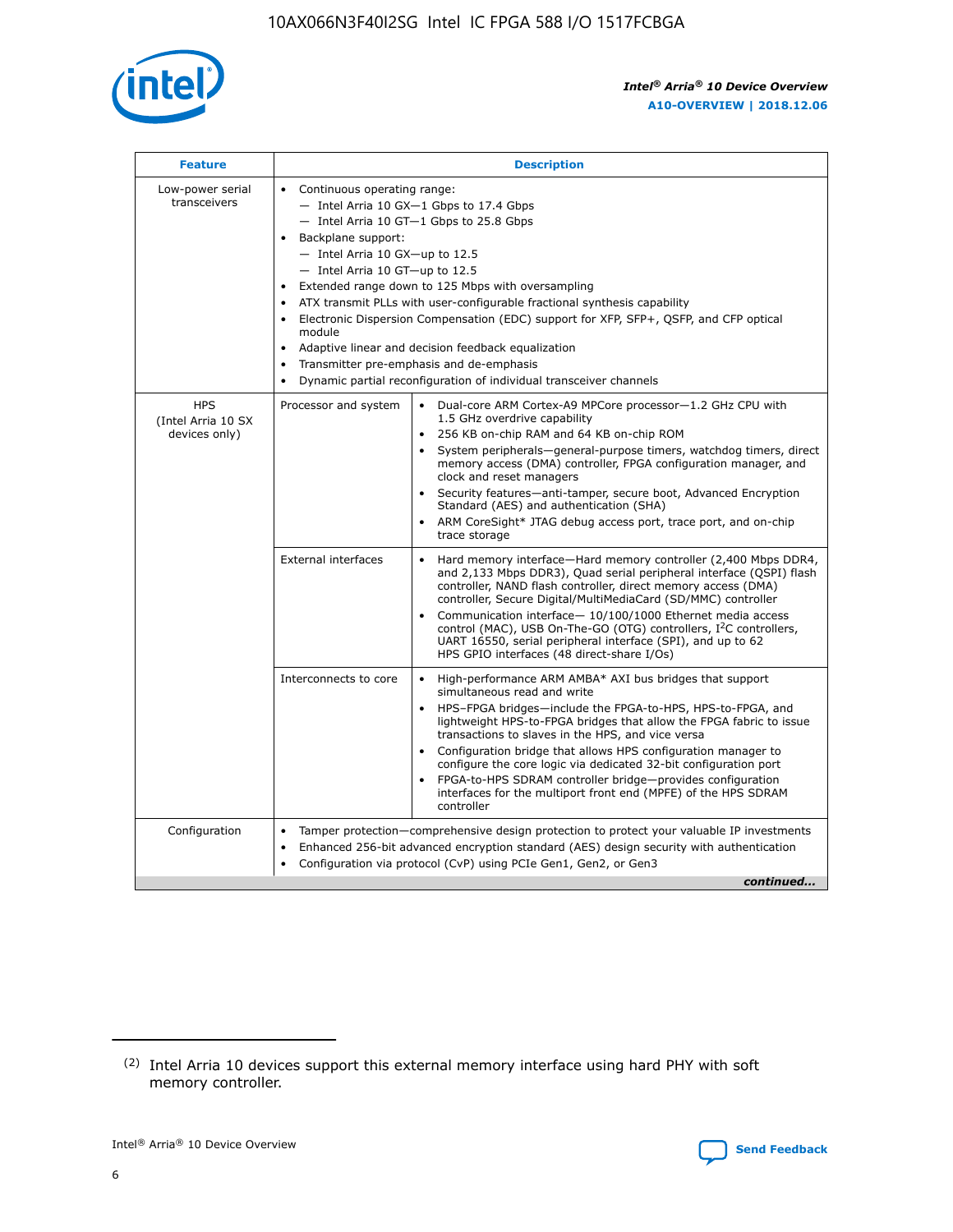

| <b>Feature</b>                                    | <b>Description</b>                                                                                                                                                                                                                                                                                                                                                                                                                                                                                                                                                                                                                                      |
|---------------------------------------------------|---------------------------------------------------------------------------------------------------------------------------------------------------------------------------------------------------------------------------------------------------------------------------------------------------------------------------------------------------------------------------------------------------------------------------------------------------------------------------------------------------------------------------------------------------------------------------------------------------------------------------------------------------------|
| Low-power serial<br>transceivers                  | • Continuous operating range:<br>- Intel Arria 10 GX-1 Gbps to 17.4 Gbps<br>- Intel Arria 10 GT-1 Gbps to 25.8 Gbps<br>Backplane support:<br>$-$ Intel Arria 10 GX-up to 12.5<br>- Intel Arria 10 GT-up to 12.5<br>Extended range down to 125 Mbps with oversampling<br>ATX transmit PLLs with user-configurable fractional synthesis capability<br>• Electronic Dispersion Compensation (EDC) support for XFP, SFP+, QSFP, and CFP optical<br>module<br>Adaptive linear and decision feedback equalization<br>$\bullet$<br>Transmitter pre-emphasis and de-emphasis<br>$\bullet$<br>Dynamic partial reconfiguration of individual transceiver channels |
| <b>HPS</b><br>(Intel Arria 10 SX<br>devices only) | Processor and system<br>Dual-core ARM Cortex-A9 MPCore processor-1.2 GHz CPU with<br>$\bullet$<br>1.5 GHz overdrive capability<br>• 256 KB on-chip RAM and 64 KB on-chip ROM<br>System peripherals-general-purpose timers, watchdog timers, direct<br>memory access (DMA) controller, FPGA configuration manager, and<br>clock and reset managers<br>• Security features—anti-tamper, secure boot, Advanced Encryption<br>Standard (AES) and authentication (SHA)<br>ARM CoreSight* JTAG debug access port, trace port, and on-chip<br>trace storage                                                                                                    |
|                                                   | <b>External interfaces</b><br>Hard memory interface—Hard memory controller (2,400 Mbps DDR4,<br>$\bullet$<br>and 2,133 Mbps DDR3), Quad serial peripheral interface (QSPI) flash<br>controller, NAND flash controller, direct memory access (DMA)<br>controller, Secure Digital/MultiMediaCard (SD/MMC) controller<br>Communication interface-10/100/1000 Ethernet media access<br>control (MAC), USB On-The-GO (OTG) controllers, I <sup>2</sup> C controllers,<br>UART 16550, serial peripheral interface (SPI), and up to 62<br>HPS GPIO interfaces (48 direct-share I/Os)                                                                           |
|                                                   | High-performance ARM AMBA* AXI bus bridges that support<br>Interconnects to core<br>$\bullet$<br>simultaneous read and write<br>HPS-FPGA bridges—include the FPGA-to-HPS, HPS-to-FPGA, and<br>lightweight HPS-to-FPGA bridges that allow the FPGA fabric to issue<br>transactions to slaves in the HPS, and vice versa<br>Configuration bridge that allows HPS configuration manager to<br>configure the core logic via dedicated 32-bit configuration port<br>FPGA-to-HPS SDRAM controller bridge-provides configuration<br>interfaces for the multiport front end (MPFE) of the HPS SDRAM<br>controller                                               |
| Configuration                                     | Tamper protection—comprehensive design protection to protect your valuable IP investments<br>Enhanced 256-bit advanced encryption standard (AES) design security with authentication<br>٠<br>Configuration via protocol (CvP) using PCIe Gen1, Gen2, or Gen3<br>continued                                                                                                                                                                                                                                                                                                                                                                               |

<sup>(2)</sup> Intel Arria 10 devices support this external memory interface using hard PHY with soft memory controller.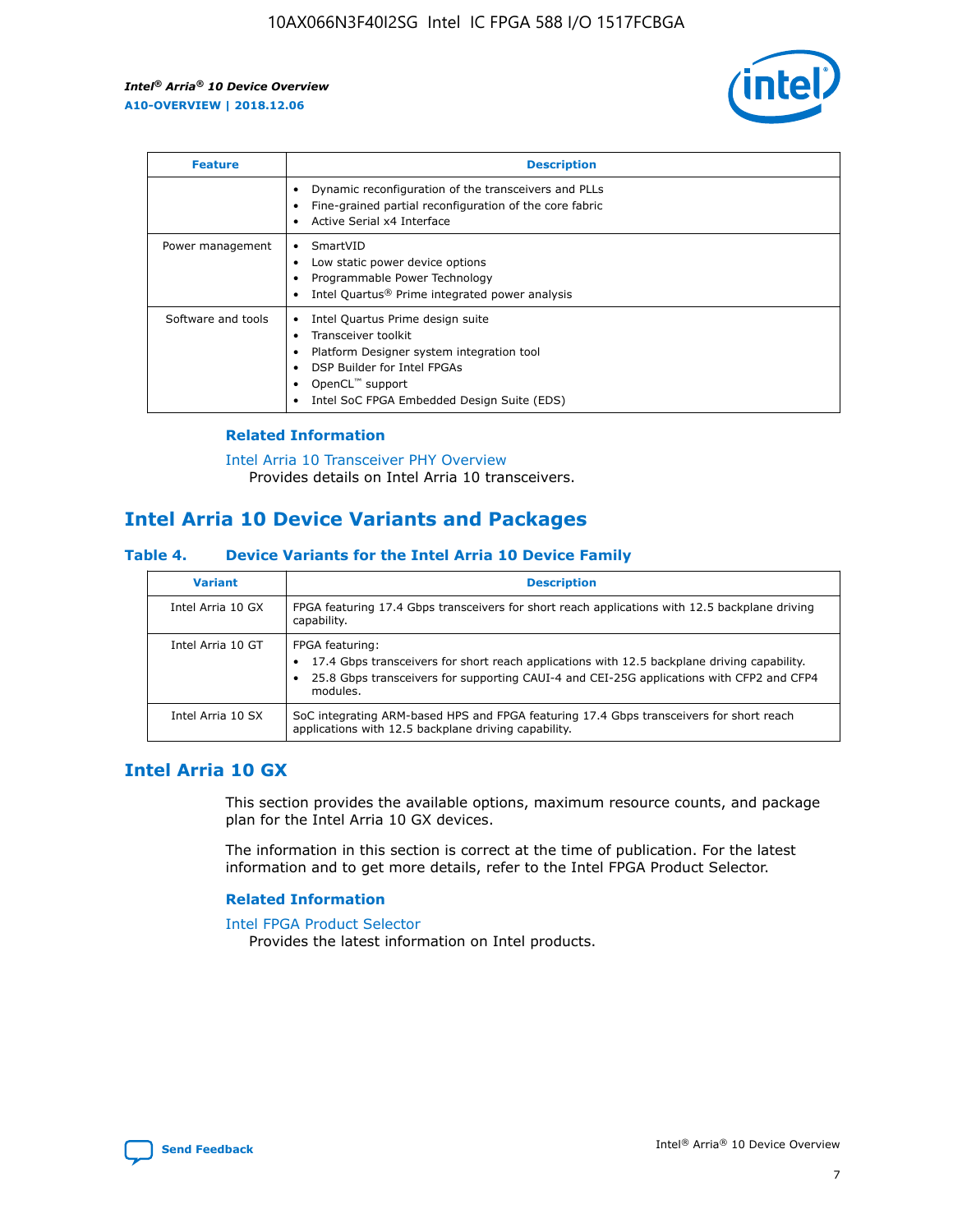

| <b>Feature</b>     | <b>Description</b>                                                                                                                                                                                                            |
|--------------------|-------------------------------------------------------------------------------------------------------------------------------------------------------------------------------------------------------------------------------|
|                    | Dynamic reconfiguration of the transceivers and PLLs<br>Fine-grained partial reconfiguration of the core fabric<br>Active Serial x4 Interface<br>$\bullet$                                                                    |
| Power management   | SmartVID<br>Low static power device options<br>Programmable Power Technology<br>Intel Quartus <sup>®</sup> Prime integrated power analysis                                                                                    |
| Software and tools | Intel Quartus Prime design suite<br>Transceiver toolkit<br>$\bullet$<br>Platform Designer system integration tool<br>DSP Builder for Intel FPGAs<br>OpenCL <sup>"</sup> support<br>Intel SoC FPGA Embedded Design Suite (EDS) |

## **Related Information**

[Intel Arria 10 Transceiver PHY Overview](https://www.intel.com/content/www/us/en/programmable/documentation/nik1398707230472.html#nik1398706768037) Provides details on Intel Arria 10 transceivers.

# **Intel Arria 10 Device Variants and Packages**

#### **Table 4. Device Variants for the Intel Arria 10 Device Family**

| <b>Variant</b>    | <b>Description</b>                                                                                                                                                                                                     |
|-------------------|------------------------------------------------------------------------------------------------------------------------------------------------------------------------------------------------------------------------|
| Intel Arria 10 GX | FPGA featuring 17.4 Gbps transceivers for short reach applications with 12.5 backplane driving<br>capability.                                                                                                          |
| Intel Arria 10 GT | FPGA featuring:<br>17.4 Gbps transceivers for short reach applications with 12.5 backplane driving capability.<br>25.8 Gbps transceivers for supporting CAUI-4 and CEI-25G applications with CFP2 and CFP4<br>modules. |
| Intel Arria 10 SX | SoC integrating ARM-based HPS and FPGA featuring 17.4 Gbps transceivers for short reach<br>applications with 12.5 backplane driving capability.                                                                        |

# **Intel Arria 10 GX**

This section provides the available options, maximum resource counts, and package plan for the Intel Arria 10 GX devices.

The information in this section is correct at the time of publication. For the latest information and to get more details, refer to the Intel FPGA Product Selector.

#### **Related Information**

#### [Intel FPGA Product Selector](http://www.altera.com/products/selector/psg-selector.html) Provides the latest information on Intel products.

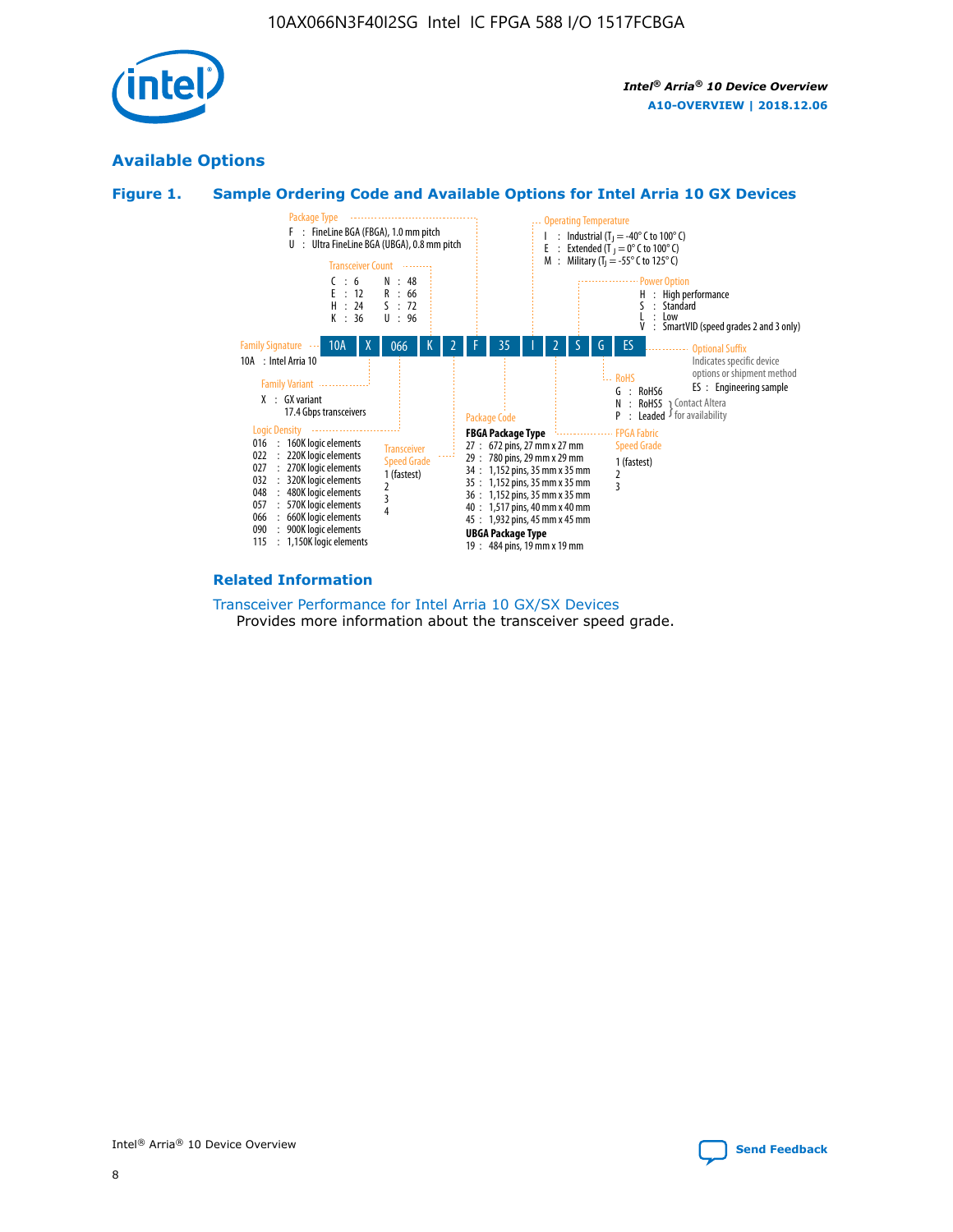

# **Available Options**





#### **Related Information**

[Transceiver Performance for Intel Arria 10 GX/SX Devices](https://www.intel.com/content/www/us/en/programmable/documentation/mcn1413182292568.html#mcn1413213965502) Provides more information about the transceiver speed grade.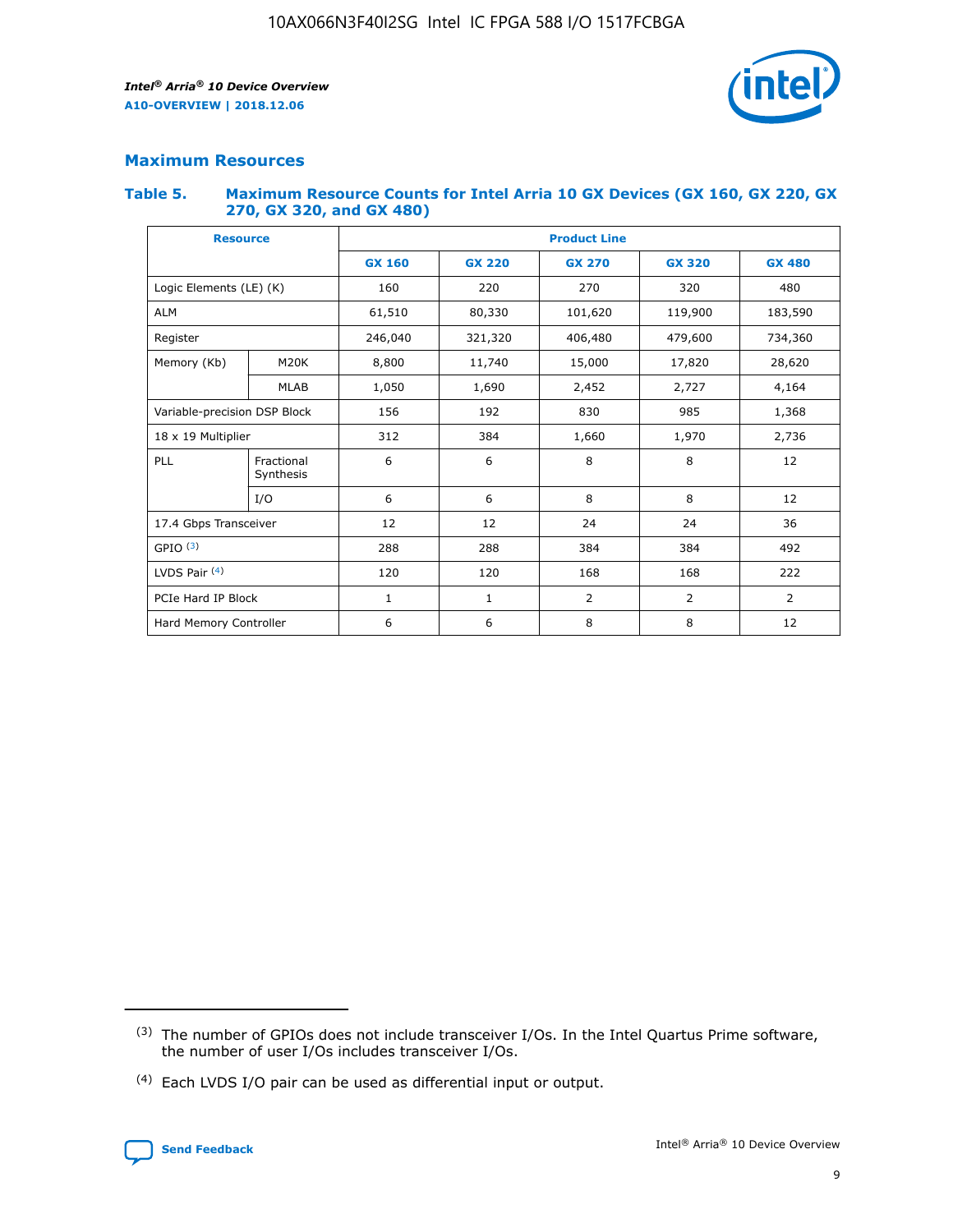

## **Maximum Resources**

#### **Table 5. Maximum Resource Counts for Intel Arria 10 GX Devices (GX 160, GX 220, GX 270, GX 320, and GX 480)**

| <b>Resource</b>         |                              | <b>Product Line</b> |                                                 |                |                |                |  |  |  |
|-------------------------|------------------------------|---------------------|-------------------------------------------------|----------------|----------------|----------------|--|--|--|
|                         |                              | <b>GX 160</b>       | <b>GX 220</b><br><b>GX 270</b><br><b>GX 320</b> |                |                | <b>GX 480</b>  |  |  |  |
| Logic Elements (LE) (K) |                              | 160                 | 220                                             | 270            | 320            | 480            |  |  |  |
| <b>ALM</b>              |                              | 61,510              | 80,330                                          | 101,620        | 119,900        | 183,590        |  |  |  |
| Register                |                              | 246,040             | 321,320                                         | 406,480        | 479,600        | 734,360        |  |  |  |
| Memory (Kb)             | M <sub>20</sub> K            | 8,800               | 11,740                                          | 15,000         | 17,820         | 28,620         |  |  |  |
|                         | <b>MLAB</b>                  | 1,050               | 1,690                                           | 2,452          | 2,727          | 4,164          |  |  |  |
|                         | Variable-precision DSP Block |                     | 985<br>192<br>830                               |                |                | 1,368          |  |  |  |
| 18 x 19 Multiplier      |                              | 312                 | 384                                             | 1,660<br>1,970 |                | 2,736          |  |  |  |
| PLL                     | Fractional<br>Synthesis      | 6                   | 6                                               | 8              | 8              | 12             |  |  |  |
|                         | I/O                          | 6                   | 6                                               | 8              | 8              | 12             |  |  |  |
| 17.4 Gbps Transceiver   |                              | 12                  | 12                                              | 24             | 24             |                |  |  |  |
| GPIO <sup>(3)</sup>     |                              | 288                 | 288                                             | 384<br>384     |                | 492            |  |  |  |
| LVDS Pair $(4)$         |                              | 120                 | 120                                             | 168            | 168            | 222            |  |  |  |
| PCIe Hard IP Block      |                              | $\mathbf{1}$        | 1                                               | $\overline{2}$ | $\overline{2}$ | $\overline{2}$ |  |  |  |
| Hard Memory Controller  |                              | 6                   | 6                                               | 8              | 8              | 12             |  |  |  |

<sup>(4)</sup> Each LVDS I/O pair can be used as differential input or output.



<sup>(3)</sup> The number of GPIOs does not include transceiver I/Os. In the Intel Quartus Prime software, the number of user I/Os includes transceiver I/Os.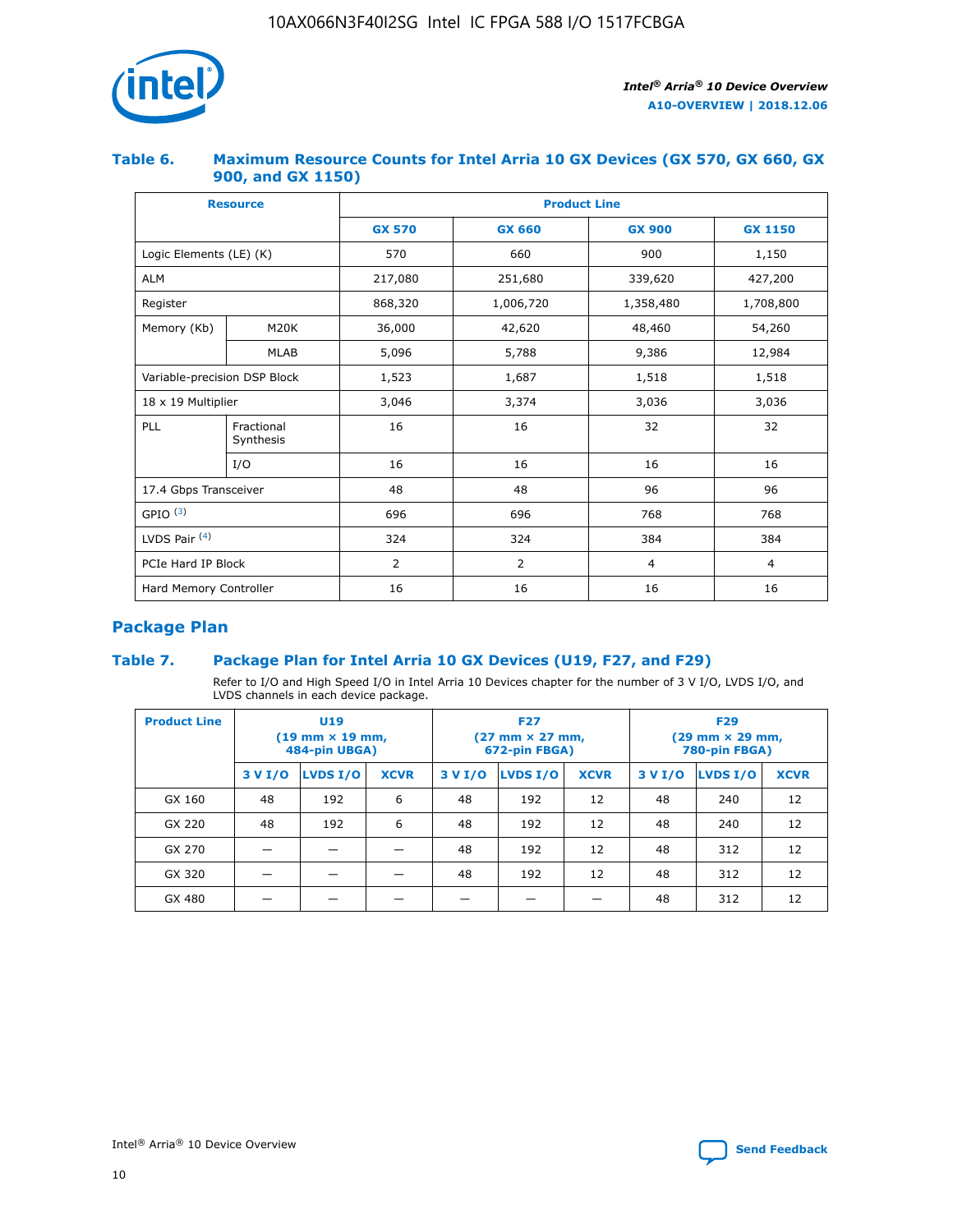

## **Table 6. Maximum Resource Counts for Intel Arria 10 GX Devices (GX 570, GX 660, GX 900, and GX 1150)**

|                              | <b>Resource</b>         | <b>Product Line</b> |                |                |                |  |  |  |
|------------------------------|-------------------------|---------------------|----------------|----------------|----------------|--|--|--|
|                              |                         | <b>GX 570</b>       | <b>GX 660</b>  | <b>GX 900</b>  | <b>GX 1150</b> |  |  |  |
| Logic Elements (LE) (K)      |                         | 570                 | 660            | 900            | 1,150          |  |  |  |
| <b>ALM</b>                   |                         | 217,080             | 251,680        | 339,620        | 427,200        |  |  |  |
| Register                     |                         | 868,320             | 1,006,720      | 1,358,480      | 1,708,800      |  |  |  |
| Memory (Kb)                  | <b>M20K</b>             | 36,000              | 42,620         | 48,460         | 54,260         |  |  |  |
|                              | <b>MLAB</b>             | 5,096               | 5,788          | 9,386          | 12,984         |  |  |  |
| Variable-precision DSP Block |                         | 1,523               | 1,687          | 1,518          | 1,518          |  |  |  |
| $18 \times 19$ Multiplier    |                         | 3,046               | 3,374          | 3,036          | 3,036          |  |  |  |
| PLL                          | Fractional<br>Synthesis | 16                  | 16             | 32             | 32             |  |  |  |
|                              | I/O                     | 16                  | 16             | 16             | 16             |  |  |  |
| 17.4 Gbps Transceiver        |                         | 48                  | 48             | 96             | 96             |  |  |  |
| GPIO <sup>(3)</sup>          |                         | 696                 | 696            | 768            | 768            |  |  |  |
| LVDS Pair $(4)$              |                         | 324                 | 324            | 384            | 384            |  |  |  |
| PCIe Hard IP Block           |                         | 2                   | $\overline{2}$ | $\overline{4}$ | 4              |  |  |  |
| Hard Memory Controller       |                         | 16                  | 16             | 16             | 16             |  |  |  |

# **Package Plan**

# **Table 7. Package Plan for Intel Arria 10 GX Devices (U19, F27, and F29)**

Refer to I/O and High Speed I/O in Intel Arria 10 Devices chapter for the number of 3 V I/O, LVDS I/O, and LVDS channels in each device package.

| <b>Product Line</b> | U <sub>19</sub><br>$(19 \text{ mm} \times 19 \text{ mm})$<br>484-pin UBGA) |          |             |         | <b>F27</b><br>(27 mm × 27 mm,<br>672-pin FBGA) |             | <b>F29</b><br>(29 mm × 29 mm,<br>780-pin FBGA) |          |             |  |
|---------------------|----------------------------------------------------------------------------|----------|-------------|---------|------------------------------------------------|-------------|------------------------------------------------|----------|-------------|--|
|                     | 3 V I/O                                                                    | LVDS I/O | <b>XCVR</b> | 3 V I/O | <b>LVDS I/O</b>                                | <b>XCVR</b> | 3 V I/O                                        | LVDS I/O | <b>XCVR</b> |  |
| GX 160              | 48                                                                         | 192      | 6           | 48      | 192                                            | 12          | 48                                             | 240      | 12          |  |
| GX 220              | 48                                                                         | 192      | 6           | 48      | 192                                            | 12          | 48                                             | 240      | 12          |  |
| GX 270              |                                                                            |          |             | 48      | 192                                            | 12          | 48                                             | 312      | 12          |  |
| GX 320              |                                                                            |          |             | 48      | 192                                            | 12          | 48                                             | 312      | 12          |  |
| GX 480              |                                                                            |          |             |         |                                                |             | 48                                             | 312      | 12          |  |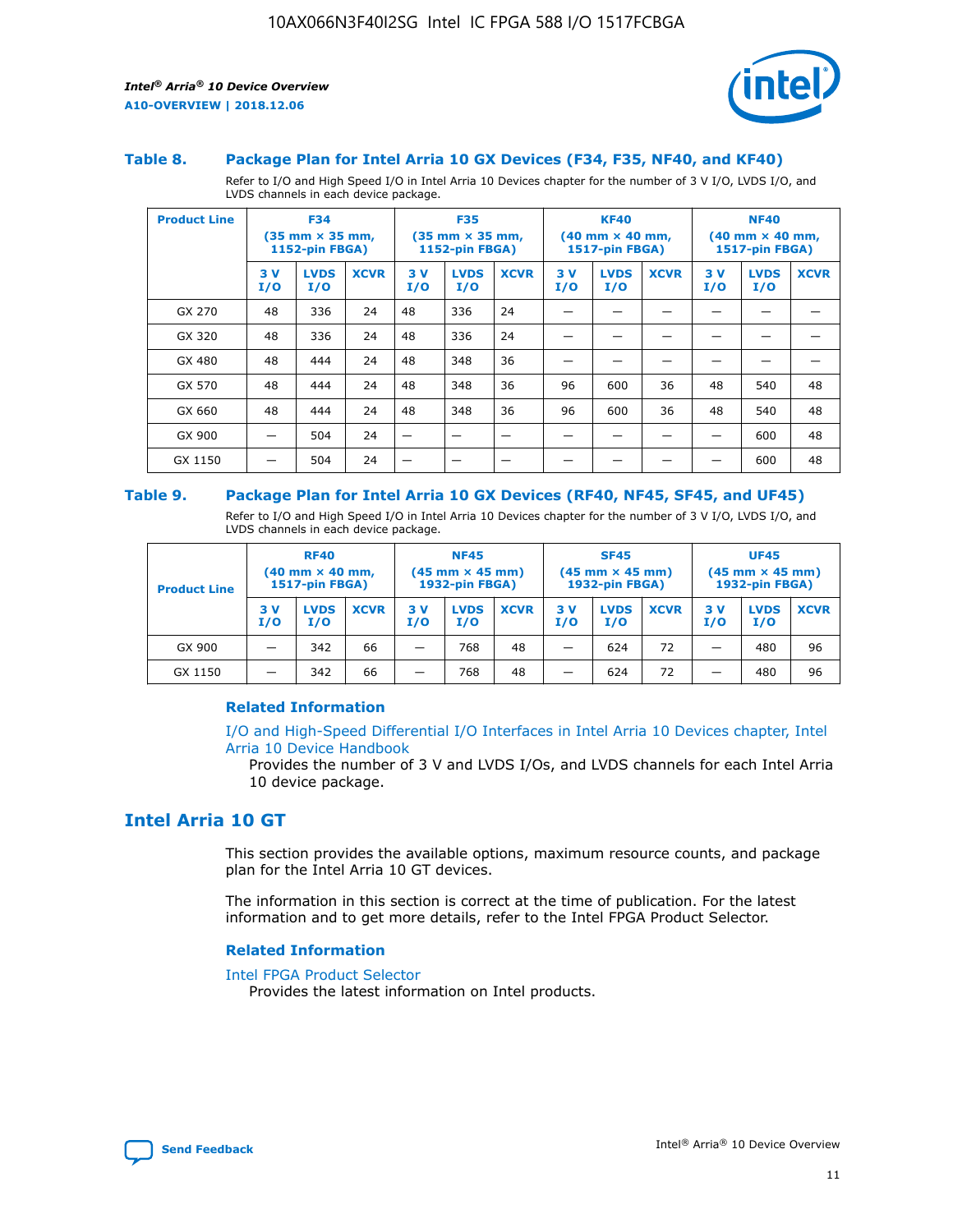

#### **Table 8. Package Plan for Intel Arria 10 GX Devices (F34, F35, NF40, and KF40)**

Refer to I/O and High Speed I/O in Intel Arria 10 Devices chapter for the number of 3 V I/O, LVDS I/O, and LVDS channels in each device package.

| <b>Product Line</b> | <b>F34</b><br>$(35 \text{ mm} \times 35 \text{ mm})$<br><b>1152-pin FBGA)</b> |                    | <b>F35</b><br>$(35 \text{ mm} \times 35 \text{ mm})$<br><b>1152-pin FBGA)</b> |           | <b>KF40</b><br>$(40$ mm $\times$ 40 mm,<br><b>1517-pin FBGA)</b> |             |           | <b>NF40</b><br>$(40 \text{ mm} \times 40 \text{ mm})$<br>1517-pin FBGA) |             |           |                    |             |
|---------------------|-------------------------------------------------------------------------------|--------------------|-------------------------------------------------------------------------------|-----------|------------------------------------------------------------------|-------------|-----------|-------------------------------------------------------------------------|-------------|-----------|--------------------|-------------|
|                     | 3V<br>I/O                                                                     | <b>LVDS</b><br>I/O | <b>XCVR</b>                                                                   | 3V<br>I/O | <b>LVDS</b><br>I/O                                               | <b>XCVR</b> | 3V<br>I/O | <b>LVDS</b><br>I/O                                                      | <b>XCVR</b> | 3V<br>I/O | <b>LVDS</b><br>I/O | <b>XCVR</b> |
| GX 270              | 48                                                                            | 336                | 24                                                                            | 48        | 336                                                              | 24          |           |                                                                         |             |           |                    |             |
| GX 320              | 48                                                                            | 336                | 24                                                                            | 48        | 336                                                              | 24          |           |                                                                         |             |           |                    |             |
| GX 480              | 48                                                                            | 444                | 24                                                                            | 48        | 348                                                              | 36          |           |                                                                         |             |           |                    |             |
| GX 570              | 48                                                                            | 444                | 24                                                                            | 48        | 348                                                              | 36          | 96        | 600                                                                     | 36          | 48        | 540                | 48          |
| GX 660              | 48                                                                            | 444                | 24                                                                            | 48        | 348                                                              | 36          | 96        | 600                                                                     | 36          | 48        | 540                | 48          |
| GX 900              |                                                                               | 504                | 24                                                                            | –         |                                                                  | -           |           |                                                                         |             |           | 600                | 48          |
| GX 1150             |                                                                               | 504                | 24                                                                            |           |                                                                  |             |           |                                                                         |             |           | 600                | 48          |

#### **Table 9. Package Plan for Intel Arria 10 GX Devices (RF40, NF45, SF45, and UF45)**

Refer to I/O and High Speed I/O in Intel Arria 10 Devices chapter for the number of 3 V I/O, LVDS I/O, and LVDS channels in each device package.

| <b>Product Line</b> | <b>RF40</b><br>$(40$ mm $\times$ 40 mm,<br>1517-pin FBGA) |                    | <b>NF45</b><br>$(45 \text{ mm} \times 45 \text{ mm})$<br><b>1932-pin FBGA)</b> |            |                    | <b>SF45</b><br>$(45 \text{ mm} \times 45 \text{ mm})$<br><b>1932-pin FBGA)</b> |            |                    | <b>UF45</b><br>$(45 \text{ mm} \times 45 \text{ mm})$<br><b>1932-pin FBGA)</b> |           |                    |             |
|---------------------|-----------------------------------------------------------|--------------------|--------------------------------------------------------------------------------|------------|--------------------|--------------------------------------------------------------------------------|------------|--------------------|--------------------------------------------------------------------------------|-----------|--------------------|-------------|
|                     | 3V<br>I/O                                                 | <b>LVDS</b><br>I/O | <b>XCVR</b>                                                                    | 3 V<br>I/O | <b>LVDS</b><br>I/O | <b>XCVR</b>                                                                    | 3 V<br>I/O | <b>LVDS</b><br>I/O | <b>XCVR</b>                                                                    | 3V<br>I/O | <b>LVDS</b><br>I/O | <b>XCVR</b> |
| GX 900              |                                                           | 342                | 66                                                                             | _          | 768                | 48                                                                             |            | 624                | 72                                                                             |           | 480                | 96          |
| GX 1150             |                                                           | 342                | 66                                                                             | _          | 768                | 48                                                                             |            | 624                | 72                                                                             |           | 480                | 96          |

#### **Related Information**

[I/O and High-Speed Differential I/O Interfaces in Intel Arria 10 Devices chapter, Intel](https://www.intel.com/content/www/us/en/programmable/documentation/sam1403482614086.html#sam1403482030321) [Arria 10 Device Handbook](https://www.intel.com/content/www/us/en/programmable/documentation/sam1403482614086.html#sam1403482030321)

Provides the number of 3 V and LVDS I/Os, and LVDS channels for each Intel Arria 10 device package.

# **Intel Arria 10 GT**

This section provides the available options, maximum resource counts, and package plan for the Intel Arria 10 GT devices.

The information in this section is correct at the time of publication. For the latest information and to get more details, refer to the Intel FPGA Product Selector.

#### **Related Information**

#### [Intel FPGA Product Selector](http://www.altera.com/products/selector/psg-selector.html)

Provides the latest information on Intel products.

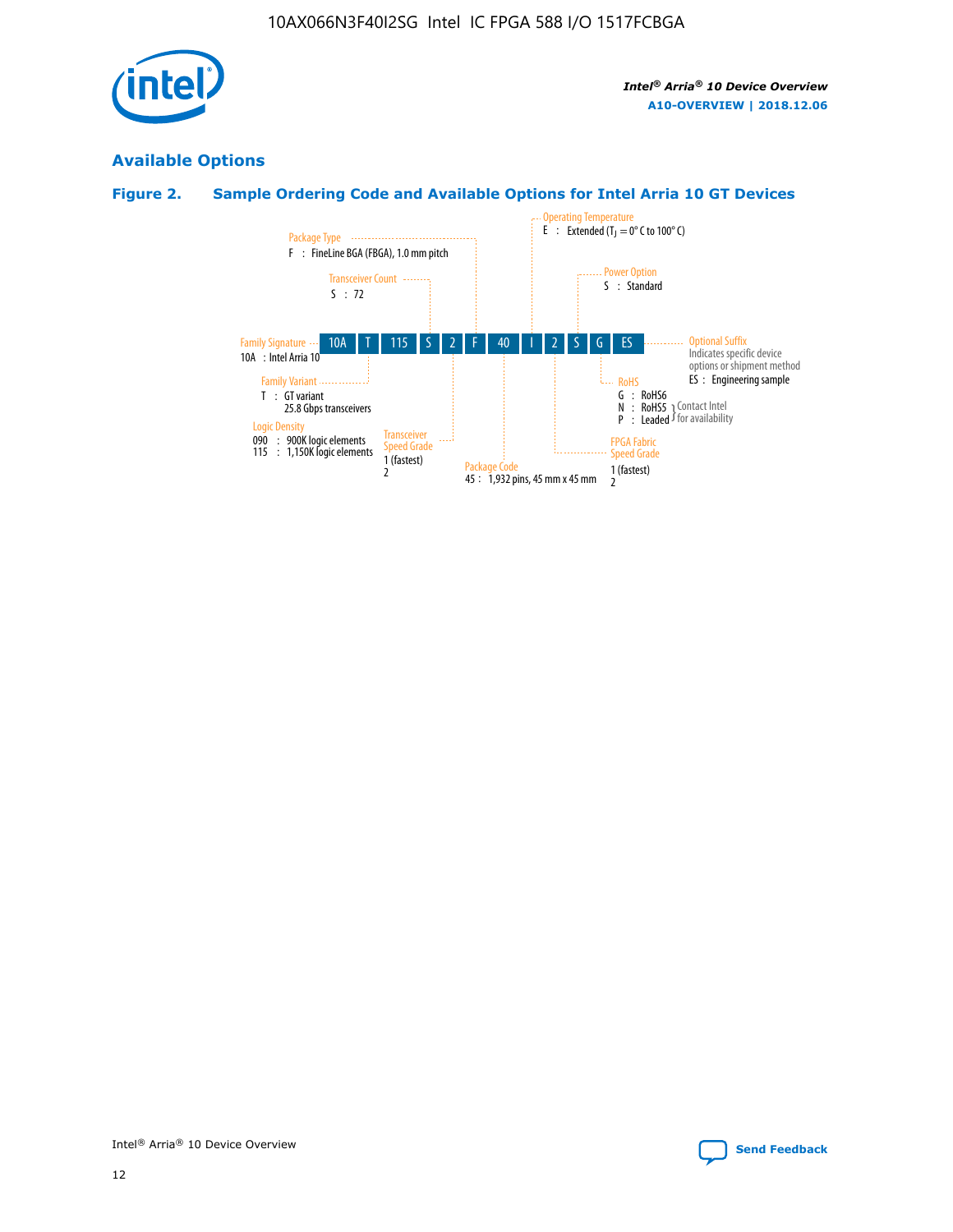

# **Available Options**

# **Figure 2. Sample Ordering Code and Available Options for Intel Arria 10 GT Devices**

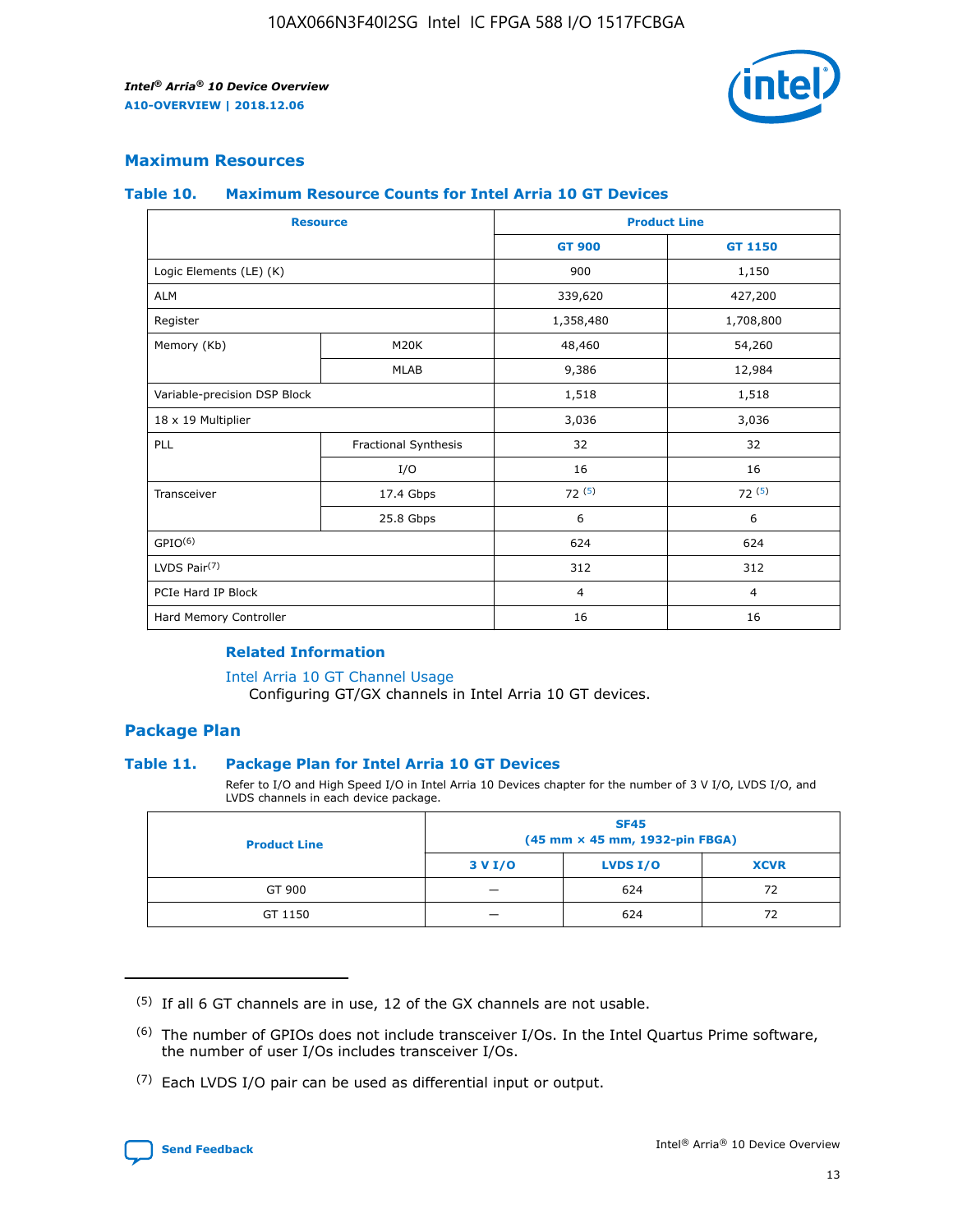

## **Maximum Resources**

#### **Table 10. Maximum Resource Counts for Intel Arria 10 GT Devices**

|                              | <b>Resource</b>      | <b>Product Line</b> |                |  |
|------------------------------|----------------------|---------------------|----------------|--|
|                              |                      | <b>GT 900</b>       | GT 1150        |  |
| Logic Elements (LE) (K)      |                      | 900                 | 1,150          |  |
| <b>ALM</b>                   |                      | 339,620             | 427,200        |  |
| Register                     |                      | 1,358,480           | 1,708,800      |  |
| Memory (Kb)                  | M20K                 | 48,460              | 54,260         |  |
|                              | <b>MLAB</b>          | 9,386               | 12,984         |  |
| Variable-precision DSP Block |                      | 1,518               | 1,518          |  |
| 18 x 19 Multiplier           |                      | 3,036               | 3,036          |  |
| <b>PLL</b>                   | Fractional Synthesis | 32                  | 32             |  |
|                              | I/O                  | 16                  | 16             |  |
| Transceiver                  | 17.4 Gbps            | 72(5)               | 72(5)          |  |
|                              | 25.8 Gbps            | 6                   | 6              |  |
| GPIO <sup>(6)</sup>          |                      | 624                 | 624            |  |
| LVDS Pair $(7)$              |                      | 312                 | 312            |  |
| PCIe Hard IP Block           |                      | $\overline{4}$      | $\overline{4}$ |  |
| Hard Memory Controller       |                      | 16                  | 16             |  |

#### **Related Information**

#### [Intel Arria 10 GT Channel Usage](https://www.intel.com/content/www/us/en/programmable/documentation/nik1398707230472.html#nik1398707008178)

Configuring GT/GX channels in Intel Arria 10 GT devices.

## **Package Plan**

#### **Table 11. Package Plan for Intel Arria 10 GT Devices**

Refer to I/O and High Speed I/O in Intel Arria 10 Devices chapter for the number of 3 V I/O, LVDS I/O, and LVDS channels in each device package.

| <b>Product Line</b> | <b>SF45</b><br>(45 mm × 45 mm, 1932-pin FBGA) |                 |             |  |  |  |
|---------------------|-----------------------------------------------|-----------------|-------------|--|--|--|
|                     | 3 V I/O                                       | <b>LVDS I/O</b> | <b>XCVR</b> |  |  |  |
| GT 900              |                                               | 624             | 72          |  |  |  |
| GT 1150             |                                               | 624             | 72          |  |  |  |

<sup>(7)</sup> Each LVDS I/O pair can be used as differential input or output.



 $(5)$  If all 6 GT channels are in use, 12 of the GX channels are not usable.

<sup>(6)</sup> The number of GPIOs does not include transceiver I/Os. In the Intel Quartus Prime software, the number of user I/Os includes transceiver I/Os.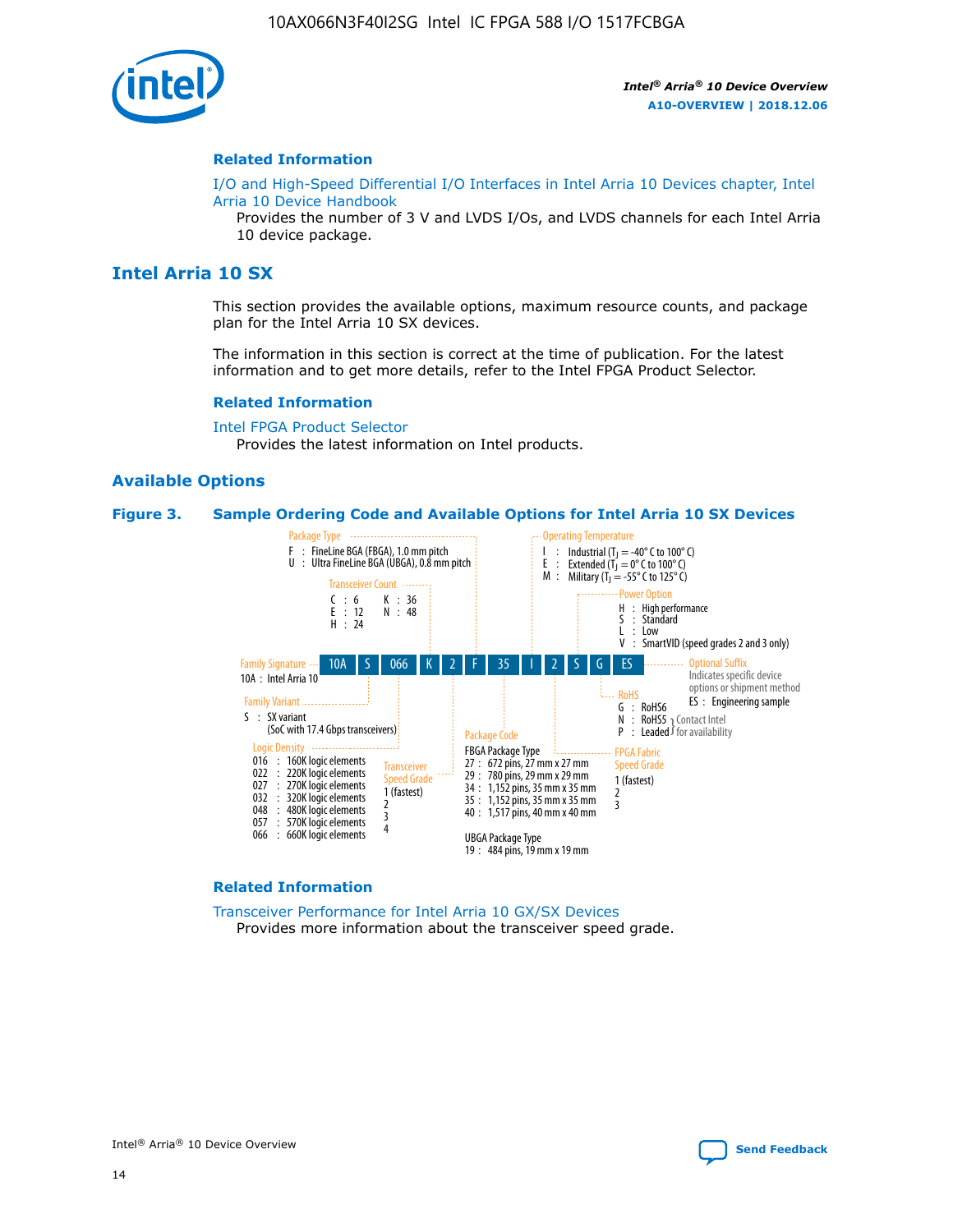

#### **Related Information**

[I/O and High-Speed Differential I/O Interfaces in Intel Arria 10 Devices chapter, Intel](https://www.intel.com/content/www/us/en/programmable/documentation/sam1403482614086.html#sam1403482030321) [Arria 10 Device Handbook](https://www.intel.com/content/www/us/en/programmable/documentation/sam1403482614086.html#sam1403482030321)

Provides the number of 3 V and LVDS I/Os, and LVDS channels for each Intel Arria 10 device package.

# **Intel Arria 10 SX**

This section provides the available options, maximum resource counts, and package plan for the Intel Arria 10 SX devices.

The information in this section is correct at the time of publication. For the latest information and to get more details, refer to the Intel FPGA Product Selector.

#### **Related Information**

[Intel FPGA Product Selector](http://www.altera.com/products/selector/psg-selector.html) Provides the latest information on Intel products.

#### **Available Options**

#### **Figure 3. Sample Ordering Code and Available Options for Intel Arria 10 SX Devices**



#### **Related Information**

[Transceiver Performance for Intel Arria 10 GX/SX Devices](https://www.intel.com/content/www/us/en/programmable/documentation/mcn1413182292568.html#mcn1413213965502) Provides more information about the transceiver speed grade.

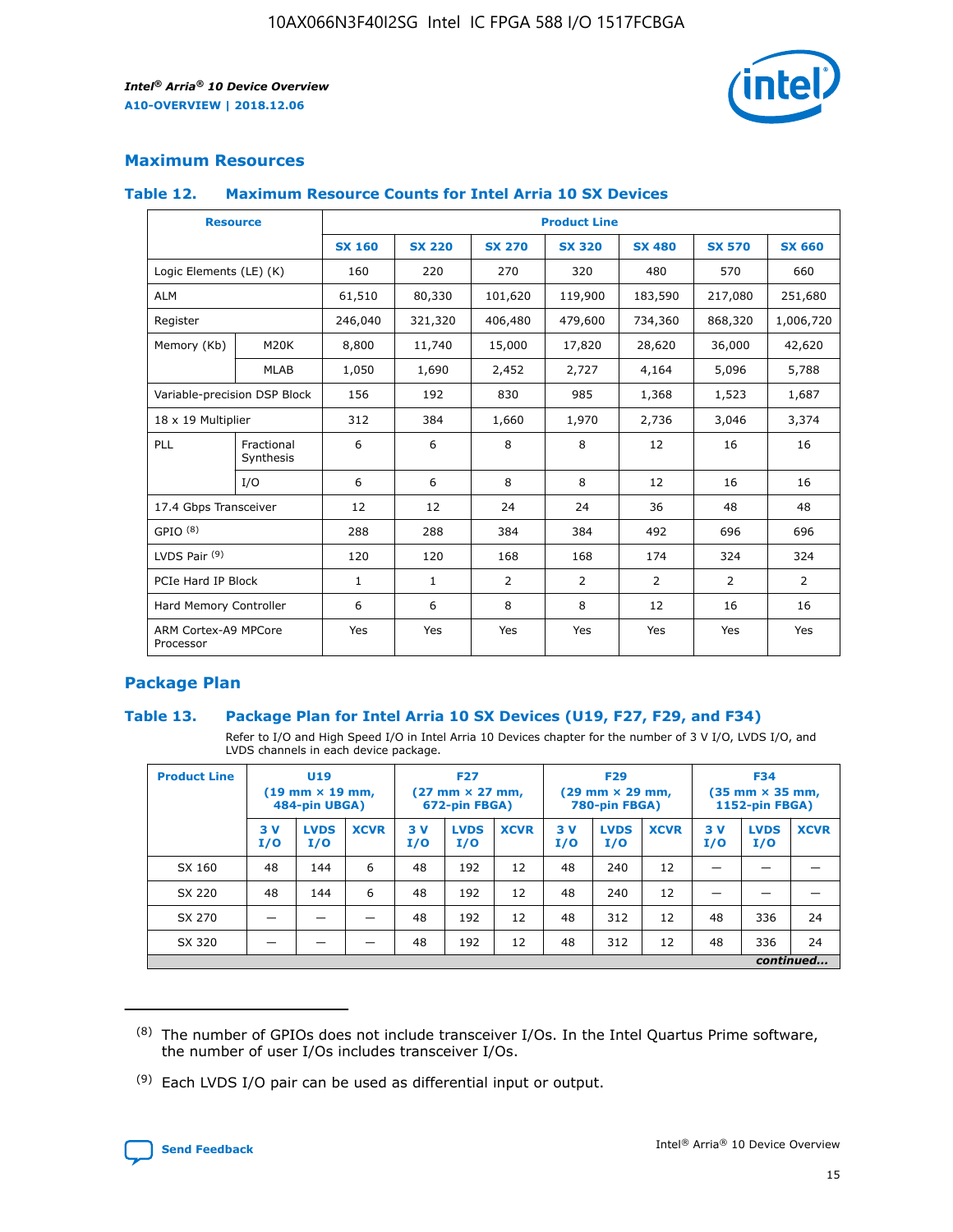

# **Maximum Resources**

#### **Table 12. Maximum Resource Counts for Intel Arria 10 SX Devices**

| <b>Resource</b>                   |                         | <b>Product Line</b> |               |               |                |               |               |               |  |  |  |
|-----------------------------------|-------------------------|---------------------|---------------|---------------|----------------|---------------|---------------|---------------|--|--|--|
|                                   |                         | <b>SX 160</b>       | <b>SX 220</b> | <b>SX 270</b> | <b>SX 320</b>  | <b>SX 480</b> | <b>SX 570</b> | <b>SX 660</b> |  |  |  |
| Logic Elements (LE) (K)           |                         | 160                 | 220           | 270           | 320            | 480           | 570           | 660           |  |  |  |
| <b>ALM</b>                        |                         | 61,510              | 80,330        | 101,620       | 119,900        | 183,590       | 217,080       | 251,680       |  |  |  |
| Register                          |                         | 246,040             | 321,320       | 406,480       | 479,600        | 734,360       | 868,320       | 1,006,720     |  |  |  |
| Memory (Kb)                       | M20K                    | 8,800               | 11,740        | 15,000        | 17,820         | 28,620        | 36,000        | 42,620        |  |  |  |
|                                   | <b>MLAB</b>             | 1,050               | 1,690         | 2,452         | 2,727          | 4,164         | 5,096         | 5,788         |  |  |  |
| Variable-precision DSP Block      |                         | 156                 | 192           | 830           | 985            | 1,368         | 1,523         | 1,687         |  |  |  |
| 18 x 19 Multiplier                |                         | 312                 | 384           | 1,660         | 1,970          | 2,736         | 3,046         | 3,374         |  |  |  |
| PLL                               | Fractional<br>Synthesis | 6                   | 6             | 8             | 8              | 12            | 16            | 16            |  |  |  |
|                                   | I/O                     | 6                   | 6             | 8             | 8              | 12            | 16            | 16            |  |  |  |
| 17.4 Gbps Transceiver             |                         | 12                  | 12            | 24            | 24             | 36            | 48            | 48            |  |  |  |
| GPIO <sup>(8)</sup>               |                         | 288                 | 288           | 384           | 384            | 492           | 696           | 696           |  |  |  |
| LVDS Pair $(9)$                   |                         | 120                 | 120           | 168           | 168            | 174           | 324           | 324           |  |  |  |
|                                   | PCIe Hard IP Block      |                     | $\mathbf{1}$  | 2             | $\overline{2}$ | 2             | 2             | 2             |  |  |  |
| Hard Memory Controller            |                         | 6                   | 6             | 8             | 8              | 12            | 16            | 16            |  |  |  |
| ARM Cortex-A9 MPCore<br>Processor |                         | Yes                 | Yes           | Yes           | Yes            | Yes           | Yes           | Yes           |  |  |  |

# **Package Plan**

#### **Table 13. Package Plan for Intel Arria 10 SX Devices (U19, F27, F29, and F34)**

Refer to I/O and High Speed I/O in Intel Arria 10 Devices chapter for the number of 3 V I/O, LVDS I/O, and LVDS channels in each device package.

| <b>Product Line</b> | <b>U19</b><br>$(19 \text{ mm} \times 19 \text{ mm})$<br>484-pin UBGA) |                    | <b>F27</b><br>$(27 \text{ mm} \times 27 \text{ mm})$<br>672-pin FBGA) |           | <b>F29</b><br>$(29$ mm $\times$ 29 mm,<br>780-pin FBGA) |             |            | <b>F34</b><br>$(35 \text{ mm} \times 35 \text{ mm})$<br>1152-pin FBGA) |             |           |                    |             |
|---------------------|-----------------------------------------------------------------------|--------------------|-----------------------------------------------------------------------|-----------|---------------------------------------------------------|-------------|------------|------------------------------------------------------------------------|-------------|-----------|--------------------|-------------|
|                     | 3V<br>I/O                                                             | <b>LVDS</b><br>I/O | <b>XCVR</b>                                                           | 3V<br>I/O | <b>LVDS</b><br>I/O                                      | <b>XCVR</b> | 3 V<br>I/O | <b>LVDS</b><br>I/O                                                     | <b>XCVR</b> | 3V<br>I/O | <b>LVDS</b><br>I/O | <b>XCVR</b> |
| SX 160              | 48                                                                    | 144                | 6                                                                     | 48        | 192                                                     | 12          | 48         | 240                                                                    | 12          | –         |                    |             |
| SX 220              | 48                                                                    | 144                | 6                                                                     | 48        | 192                                                     | 12          | 48         | 240                                                                    | 12          |           |                    |             |
| SX 270              |                                                                       |                    |                                                                       | 48        | 192                                                     | 12          | 48         | 312                                                                    | 12          | 48        | 336                | 24          |
| SX 320              |                                                                       |                    |                                                                       | 48        | 192                                                     | 12          | 48         | 312                                                                    | 12          | 48        | 336                | 24          |
|                     | continued                                                             |                    |                                                                       |           |                                                         |             |            |                                                                        |             |           |                    |             |

 $(8)$  The number of GPIOs does not include transceiver I/Os. In the Intel Quartus Prime software, the number of user I/Os includes transceiver I/Os.

 $(9)$  Each LVDS I/O pair can be used as differential input or output.

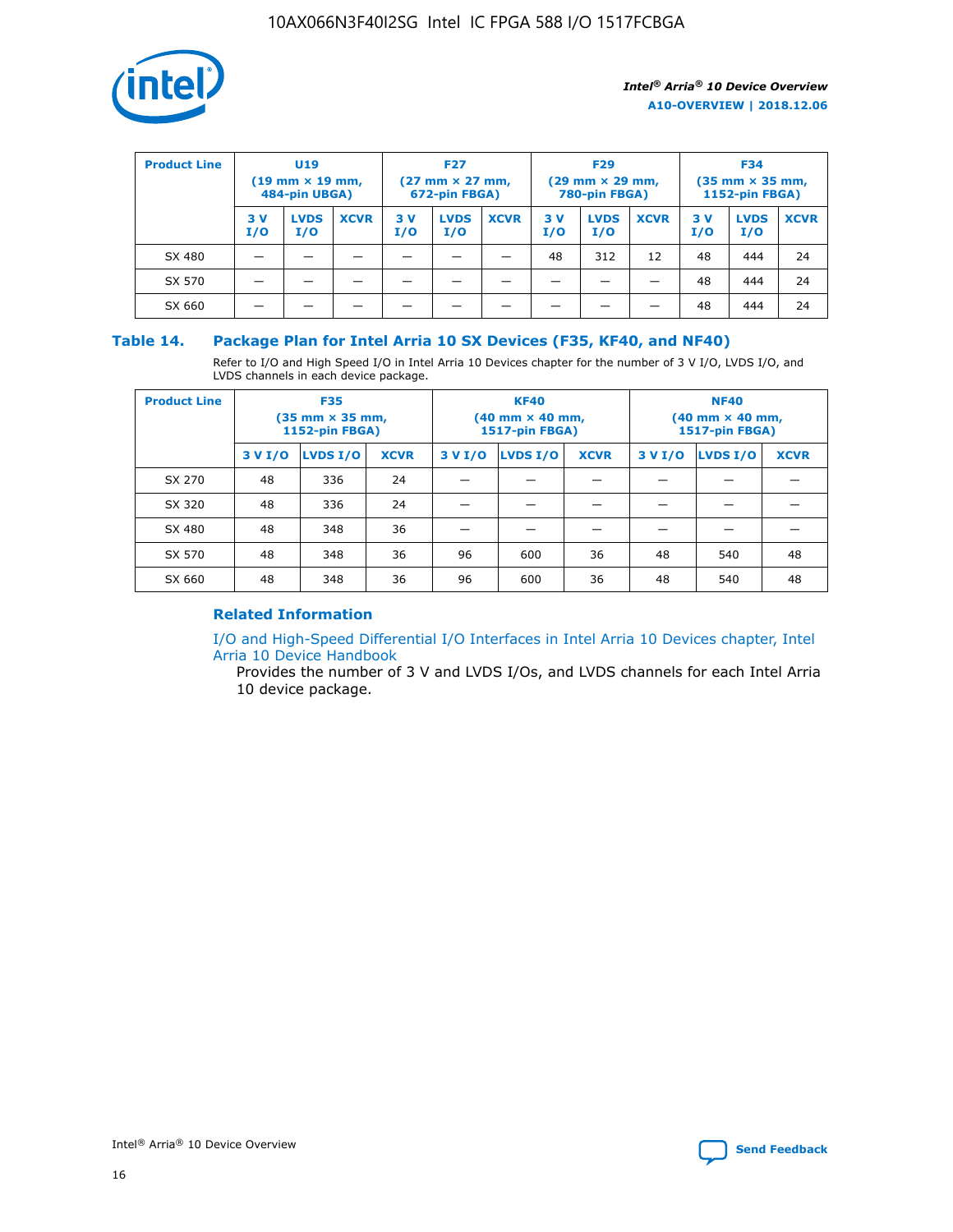

| <b>Product Line</b> | U <sub>19</sub><br>$(19 \text{ mm} \times 19 \text{ mm})$<br>484-pin UBGA) |                    | <b>F27</b><br>$(27 \text{ mm} \times 27 \text{ mm})$<br>672-pin FBGA) |            | <b>F29</b><br>$(29 \text{ mm} \times 29 \text{ mm})$<br>780-pin FBGA) |             |           | <b>F34</b><br>$(35 \text{ mm} \times 35 \text{ mm})$<br><b>1152-pin FBGA)</b> |             |           |                    |             |
|---------------------|----------------------------------------------------------------------------|--------------------|-----------------------------------------------------------------------|------------|-----------------------------------------------------------------------|-------------|-----------|-------------------------------------------------------------------------------|-------------|-----------|--------------------|-------------|
|                     | 3 V<br>I/O                                                                 | <b>LVDS</b><br>I/O | <b>XCVR</b>                                                           | 3 V<br>I/O | <b>LVDS</b><br>I/O                                                    | <b>XCVR</b> | 3V<br>I/O | <b>LVDS</b><br>I/O                                                            | <b>XCVR</b> | 3V<br>I/O | <b>LVDS</b><br>I/O | <b>XCVR</b> |
| SX 480              |                                                                            |                    |                                                                       |            |                                                                       |             | 48        | 312                                                                           | 12          | 48        | 444                | 24          |
| SX 570              |                                                                            |                    |                                                                       |            |                                                                       |             |           |                                                                               |             | 48        | 444                | 24          |
| SX 660              |                                                                            |                    |                                                                       |            |                                                                       |             |           |                                                                               |             | 48        | 444                | 24          |

## **Table 14. Package Plan for Intel Arria 10 SX Devices (F35, KF40, and NF40)**

Refer to I/O and High Speed I/O in Intel Arria 10 Devices chapter for the number of 3 V I/O, LVDS I/O, and LVDS channels in each device package.

| <b>Product Line</b> | <b>F35</b><br>(35 mm × 35 mm,<br><b>1152-pin FBGA)</b> |          |             |                                           | <b>KF40</b><br>(40 mm × 40 mm,<br>1517-pin FBGA) |    | <b>NF40</b><br>$(40 \text{ mm} \times 40 \text{ mm})$<br>1517-pin FBGA) |          |             |  |
|---------------------|--------------------------------------------------------|----------|-------------|-------------------------------------------|--------------------------------------------------|----|-------------------------------------------------------------------------|----------|-------------|--|
|                     | 3 V I/O                                                | LVDS I/O | <b>XCVR</b> | <b>LVDS I/O</b><br>3 V I/O<br><b>XCVR</b> |                                                  |    | 3 V I/O                                                                 | LVDS I/O | <b>XCVR</b> |  |
| SX 270              | 48                                                     | 336      | 24          |                                           |                                                  |    |                                                                         |          |             |  |
| SX 320              | 48                                                     | 336      | 24          |                                           |                                                  |    |                                                                         |          |             |  |
| SX 480              | 48                                                     | 348      | 36          |                                           |                                                  |    |                                                                         |          |             |  |
| SX 570              | 48                                                     | 348      | 36          | 96                                        | 600                                              | 36 | 48                                                                      | 540      | 48          |  |
| SX 660              | 48                                                     | 348      | 36          | 96                                        | 600                                              | 36 | 48                                                                      | 540      | 48          |  |

# **Related Information**

[I/O and High-Speed Differential I/O Interfaces in Intel Arria 10 Devices chapter, Intel](https://www.intel.com/content/www/us/en/programmable/documentation/sam1403482614086.html#sam1403482030321) [Arria 10 Device Handbook](https://www.intel.com/content/www/us/en/programmable/documentation/sam1403482614086.html#sam1403482030321)

Provides the number of 3 V and LVDS I/Os, and LVDS channels for each Intel Arria 10 device package.

Intel<sup>®</sup> Arria<sup>®</sup> 10 Device Overview **[Send Feedback](mailto:FPGAtechdocfeedback@intel.com?subject=Feedback%20on%20Intel%20Arria%2010%20Device%20Overview%20(A10-OVERVIEW%202018.12.06)&body=We%20appreciate%20your%20feedback.%20In%20your%20comments,%20also%20specify%20the%20page%20number%20or%20paragraph.%20Thank%20you.)** Send Feedback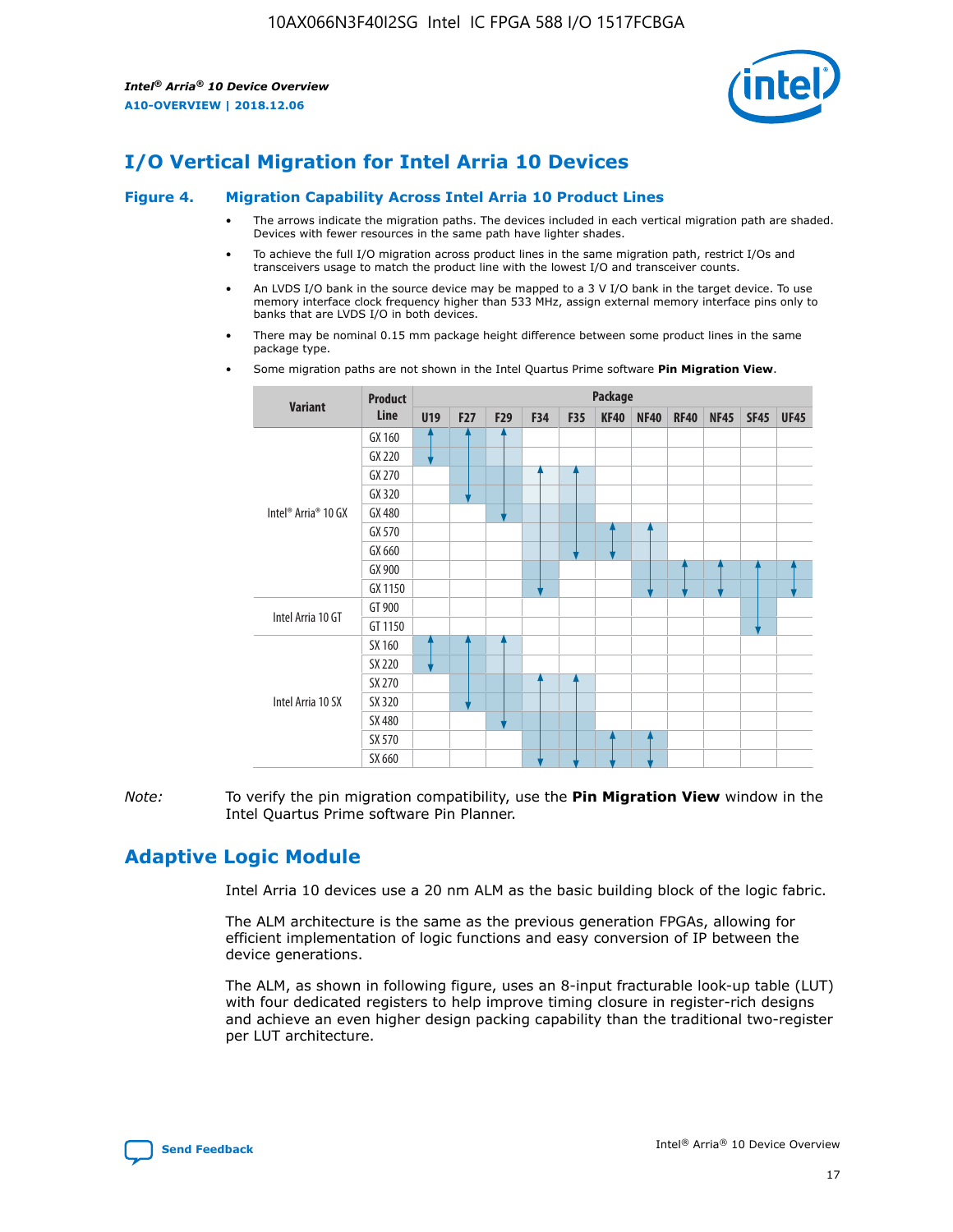

# **I/O Vertical Migration for Intel Arria 10 Devices**

#### **Figure 4. Migration Capability Across Intel Arria 10 Product Lines**

- The arrows indicate the migration paths. The devices included in each vertical migration path are shaded. Devices with fewer resources in the same path have lighter shades.
- To achieve the full I/O migration across product lines in the same migration path, restrict I/Os and transceivers usage to match the product line with the lowest I/O and transceiver counts.
- An LVDS I/O bank in the source device may be mapped to a 3 V I/O bank in the target device. To use memory interface clock frequency higher than 533 MHz, assign external memory interface pins only to banks that are LVDS I/O in both devices.
- There may be nominal 0.15 mm package height difference between some product lines in the same package type.
	- **Variant Product Line Package U19 F27 F29 F34 F35 KF40 NF40 RF40 NF45 SF45 UF45** Intel® Arria® 10 GX GX 160 GX 220 GX 270 GX 320 GX 480 GX 570 GX 660 GX 900 GX 1150 Intel Arria 10 GT GT 900 GT 1150 Intel Arria 10 SX SX 160 SX 220 SX 270 SX 320 SX 480 SX 570 SX 660
- Some migration paths are not shown in the Intel Quartus Prime software **Pin Migration View**.

*Note:* To verify the pin migration compatibility, use the **Pin Migration View** window in the Intel Quartus Prime software Pin Planner.

# **Adaptive Logic Module**

Intel Arria 10 devices use a 20 nm ALM as the basic building block of the logic fabric.

The ALM architecture is the same as the previous generation FPGAs, allowing for efficient implementation of logic functions and easy conversion of IP between the device generations.

The ALM, as shown in following figure, uses an 8-input fracturable look-up table (LUT) with four dedicated registers to help improve timing closure in register-rich designs and achieve an even higher design packing capability than the traditional two-register per LUT architecture.

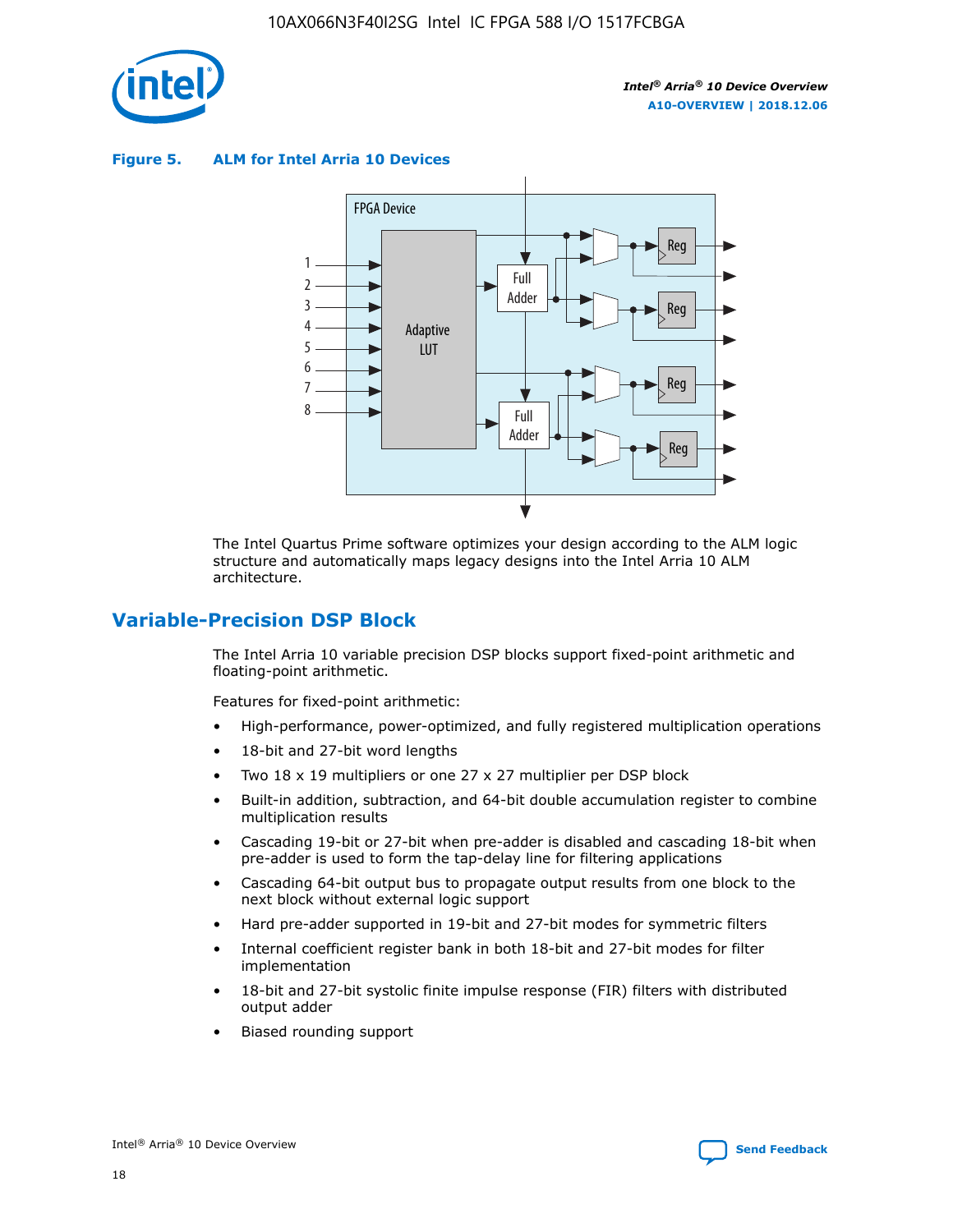

**Figure 5. ALM for Intel Arria 10 Devices**



The Intel Quartus Prime software optimizes your design according to the ALM logic structure and automatically maps legacy designs into the Intel Arria 10 ALM architecture.

# **Variable-Precision DSP Block**

The Intel Arria 10 variable precision DSP blocks support fixed-point arithmetic and floating-point arithmetic.

Features for fixed-point arithmetic:

- High-performance, power-optimized, and fully registered multiplication operations
- 18-bit and 27-bit word lengths
- Two 18 x 19 multipliers or one 27 x 27 multiplier per DSP block
- Built-in addition, subtraction, and 64-bit double accumulation register to combine multiplication results
- Cascading 19-bit or 27-bit when pre-adder is disabled and cascading 18-bit when pre-adder is used to form the tap-delay line for filtering applications
- Cascading 64-bit output bus to propagate output results from one block to the next block without external logic support
- Hard pre-adder supported in 19-bit and 27-bit modes for symmetric filters
- Internal coefficient register bank in both 18-bit and 27-bit modes for filter implementation
- 18-bit and 27-bit systolic finite impulse response (FIR) filters with distributed output adder
- Biased rounding support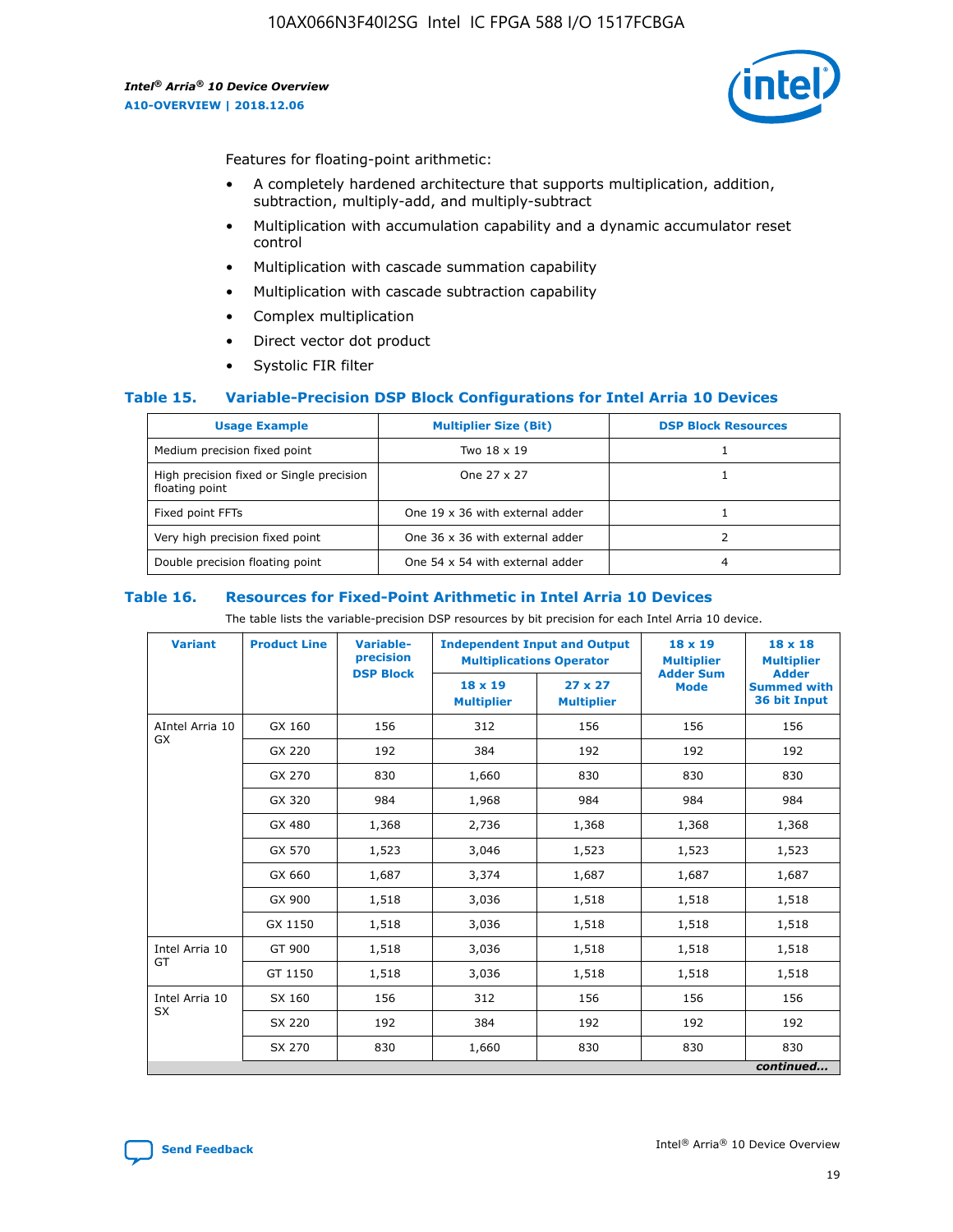

Features for floating-point arithmetic:

- A completely hardened architecture that supports multiplication, addition, subtraction, multiply-add, and multiply-subtract
- Multiplication with accumulation capability and a dynamic accumulator reset control
- Multiplication with cascade summation capability
- Multiplication with cascade subtraction capability
- Complex multiplication
- Direct vector dot product
- Systolic FIR filter

#### **Table 15. Variable-Precision DSP Block Configurations for Intel Arria 10 Devices**

| <b>Usage Example</b>                                       | <b>Multiplier Size (Bit)</b>    | <b>DSP Block Resources</b> |
|------------------------------------------------------------|---------------------------------|----------------------------|
| Medium precision fixed point                               | Two 18 x 19                     |                            |
| High precision fixed or Single precision<br>floating point | One 27 x 27                     |                            |
| Fixed point FFTs                                           | One 19 x 36 with external adder |                            |
| Very high precision fixed point                            | One 36 x 36 with external adder |                            |
| Double precision floating point                            | One 54 x 54 with external adder | 4                          |

#### **Table 16. Resources for Fixed-Point Arithmetic in Intel Arria 10 Devices**

The table lists the variable-precision DSP resources by bit precision for each Intel Arria 10 device.

| <b>Variant</b>        | <b>Product Line</b> | <b>Variable-</b><br>precision<br><b>DSP Block</b> | <b>Independent Input and Output</b><br><b>Multiplications Operator</b> |                                     | $18 \times 19$<br><b>Multiplier</b><br><b>Adder Sum</b> | $18 \times 18$<br><b>Multiplier</b><br><b>Adder</b> |
|-----------------------|---------------------|---------------------------------------------------|------------------------------------------------------------------------|-------------------------------------|---------------------------------------------------------|-----------------------------------------------------|
|                       |                     |                                                   | 18 x 19<br><b>Multiplier</b>                                           | $27 \times 27$<br><b>Multiplier</b> | <b>Mode</b>                                             | <b>Summed with</b><br>36 bit Input                  |
| AIntel Arria 10<br>GX | GX 160              | 156                                               | 312                                                                    | 156                                 | 156                                                     | 156                                                 |
|                       | GX 220              | 192                                               | 384                                                                    | 192                                 | 192                                                     | 192                                                 |
|                       | GX 270              | 830                                               | 1,660                                                                  | 830                                 | 830                                                     | 830                                                 |
|                       | GX 320              | 984                                               | 1,968                                                                  | 984                                 | 984                                                     | 984                                                 |
|                       | GX 480              | 1,368                                             | 2,736                                                                  | 1,368                               | 1,368                                                   | 1,368                                               |
|                       | GX 570              | 1,523                                             | 3,046                                                                  | 1,523                               | 1,523                                                   | 1,523                                               |
|                       | GX 660              | 1,687                                             | 3,374                                                                  | 1,687                               | 1,687                                                   | 1,687                                               |
|                       | GX 900              | 1,518                                             | 3,036                                                                  | 1,518                               | 1,518                                                   | 1,518                                               |
|                       | GX 1150             | 1,518                                             | 3,036                                                                  | 1,518                               | 1,518                                                   | 1,518                                               |
| Intel Arria 10        | GT 900              | 1,518                                             | 3,036                                                                  | 1,518                               | 1,518                                                   | 1,518                                               |
| GT                    | GT 1150             | 1,518                                             | 3,036                                                                  | 1,518                               | 1,518                                                   | 1,518                                               |
| Intel Arria 10        | SX 160              | 156                                               | 312                                                                    | 156                                 | 156                                                     | 156                                                 |
| <b>SX</b>             | SX 220              | 192                                               | 384                                                                    | 192                                 | 192                                                     | 192                                                 |
|                       | SX 270              | 830                                               | 1,660                                                                  | 830                                 | 830                                                     | 830                                                 |
|                       |                     |                                                   |                                                                        |                                     |                                                         | continued                                           |

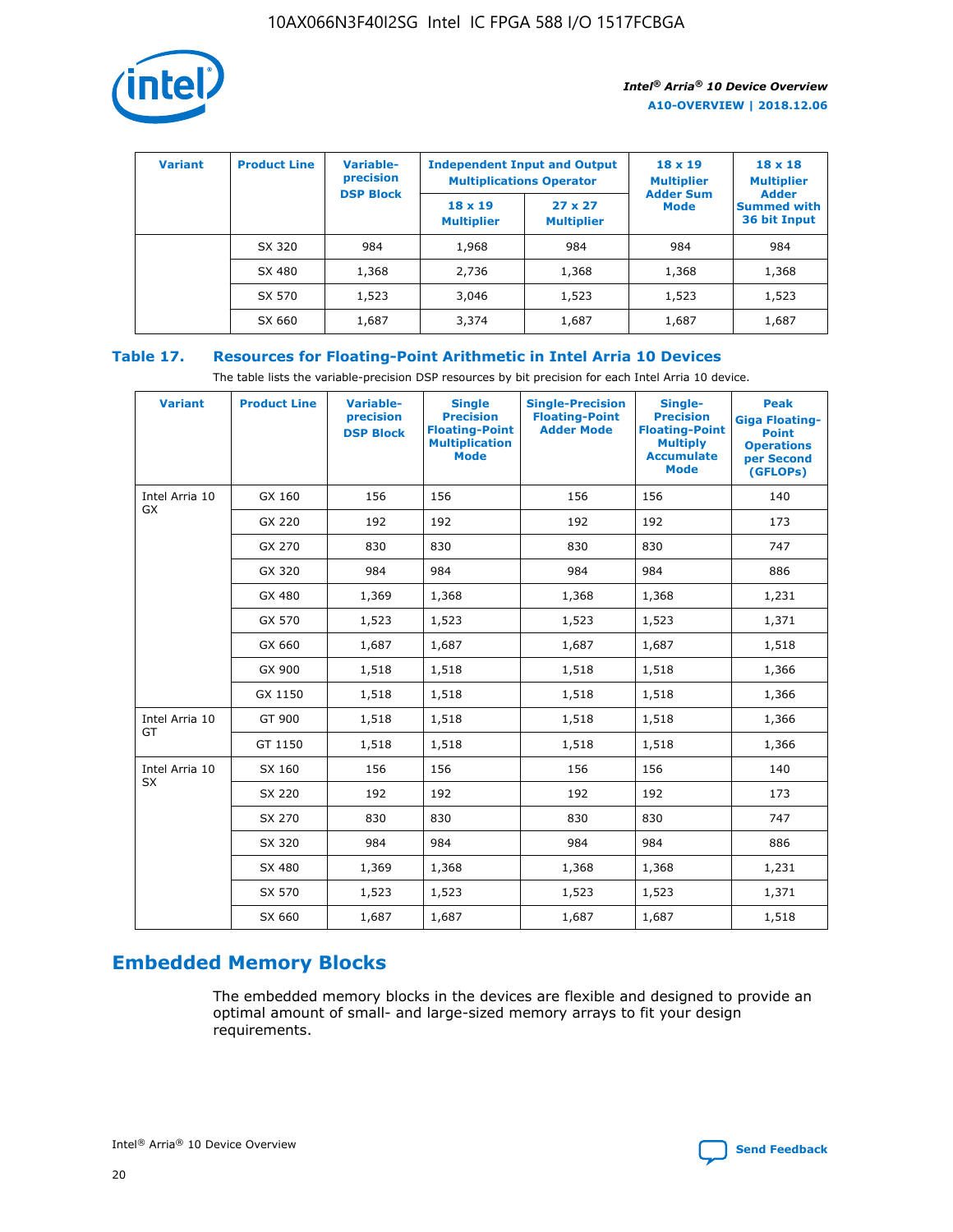

| <b>Variant</b> | <b>Product Line</b> | Variable-<br>precision | <b>Independent Input and Output</b><br><b>Multiplications Operator</b> |                                     | $18 \times 19$<br><b>Multiplier</b> | $18 \times 18$<br><b>Multiplier</b><br><b>Adder</b> |  |
|----------------|---------------------|------------------------|------------------------------------------------------------------------|-------------------------------------|-------------------------------------|-----------------------------------------------------|--|
|                |                     | <b>DSP Block</b>       | $18 \times 19$<br><b>Multiplier</b>                                    | $27 \times 27$<br><b>Multiplier</b> | <b>Adder Sum</b><br><b>Mode</b>     | <b>Summed with</b><br>36 bit Input                  |  |
|                | SX 320              | 984                    | 1,968                                                                  | 984                                 | 984                                 | 984                                                 |  |
|                | SX 480              | 1,368                  | 2,736                                                                  | 1,368                               | 1,368                               | 1,368                                               |  |
|                | SX 570              | 1,523                  | 3,046                                                                  | 1,523                               | 1,523                               | 1,523                                               |  |
|                | SX 660              | 1,687                  | 3,374                                                                  | 1,687                               | 1,687                               | 1,687                                               |  |

# **Table 17. Resources for Floating-Point Arithmetic in Intel Arria 10 Devices**

The table lists the variable-precision DSP resources by bit precision for each Intel Arria 10 device.

| <b>Variant</b> | <b>Product Line</b> | <b>Variable-</b><br>precision<br><b>DSP Block</b> | <b>Single</b><br><b>Precision</b><br><b>Floating-Point</b><br><b>Multiplication</b><br><b>Mode</b> | <b>Single-Precision</b><br><b>Floating-Point</b><br><b>Adder Mode</b> | Single-<br><b>Precision</b><br><b>Floating-Point</b><br><b>Multiply</b><br><b>Accumulate</b><br><b>Mode</b> | <b>Peak</b><br><b>Giga Floating-</b><br><b>Point</b><br><b>Operations</b><br>per Second<br>(GFLOPs) |
|----------------|---------------------|---------------------------------------------------|----------------------------------------------------------------------------------------------------|-----------------------------------------------------------------------|-------------------------------------------------------------------------------------------------------------|-----------------------------------------------------------------------------------------------------|
| Intel Arria 10 | GX 160              | 156                                               | 156                                                                                                | 156                                                                   | 156                                                                                                         | 140                                                                                                 |
| GX             | GX 220              | 192                                               | 192                                                                                                | 192                                                                   | 192                                                                                                         | 173                                                                                                 |
|                | GX 270              | 830                                               | 830                                                                                                | 830                                                                   | 830                                                                                                         | 747                                                                                                 |
|                | GX 320              | 984                                               | 984                                                                                                | 984                                                                   | 984                                                                                                         | 886                                                                                                 |
|                | GX 480              | 1,369                                             | 1,368                                                                                              | 1,368                                                                 | 1,368                                                                                                       | 1,231                                                                                               |
|                | GX 570              | 1,523                                             | 1,523                                                                                              | 1,523                                                                 | 1,523                                                                                                       | 1,371                                                                                               |
|                | GX 660              | 1,687                                             | 1,687                                                                                              | 1,687                                                                 | 1,687                                                                                                       | 1,518                                                                                               |
|                | GX 900              | 1,518                                             | 1,518                                                                                              | 1,518                                                                 | 1,518                                                                                                       | 1,366                                                                                               |
|                | GX 1150             | 1,518                                             | 1,518                                                                                              | 1,518                                                                 | 1,518                                                                                                       | 1,366                                                                                               |
| Intel Arria 10 | GT 900              | 1,518                                             | 1,518                                                                                              | 1,518                                                                 | 1,518                                                                                                       | 1,366                                                                                               |
| GT             | GT 1150             | 1,518                                             | 1,518                                                                                              | 1,518                                                                 | 1,518                                                                                                       | 1,366                                                                                               |
| Intel Arria 10 | SX 160              | 156                                               | 156                                                                                                | 156                                                                   | 156                                                                                                         | 140                                                                                                 |
| <b>SX</b>      | SX 220              | 192                                               | 192                                                                                                | 192                                                                   | 192                                                                                                         | 173                                                                                                 |
|                | SX 270              | 830                                               | 830                                                                                                | 830                                                                   | 830                                                                                                         | 747                                                                                                 |
|                | SX 320              | 984                                               | 984                                                                                                | 984                                                                   | 984                                                                                                         | 886                                                                                                 |
|                | SX 480              | 1,369                                             | 1,368                                                                                              | 1,368                                                                 | 1,368                                                                                                       | 1,231                                                                                               |
|                | SX 570              | 1,523                                             | 1,523                                                                                              | 1,523                                                                 | 1,523                                                                                                       | 1,371                                                                                               |
|                | SX 660              | 1,687                                             | 1,687                                                                                              | 1,687                                                                 | 1,687                                                                                                       | 1,518                                                                                               |

# **Embedded Memory Blocks**

The embedded memory blocks in the devices are flexible and designed to provide an optimal amount of small- and large-sized memory arrays to fit your design requirements.

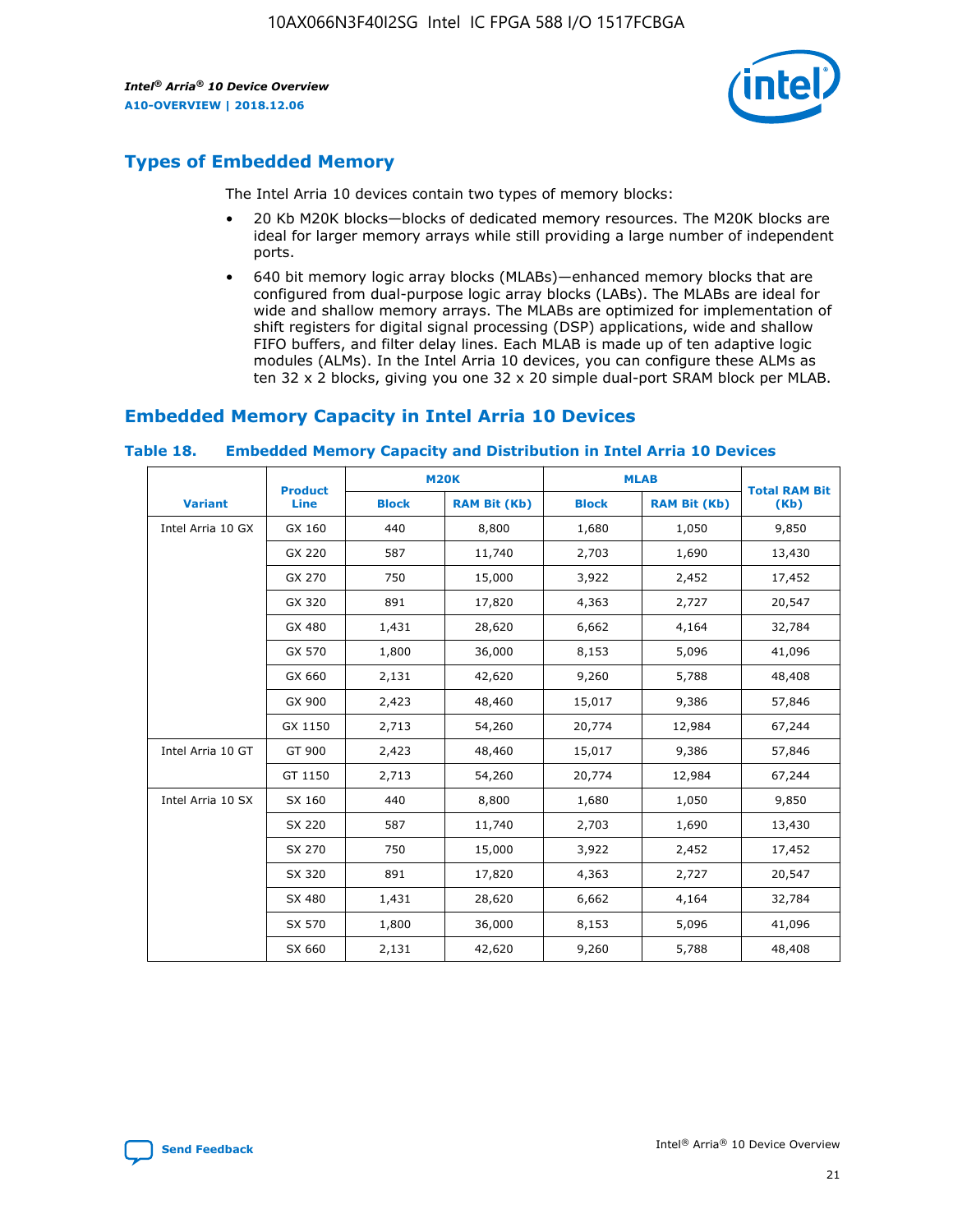

# **Types of Embedded Memory**

The Intel Arria 10 devices contain two types of memory blocks:

- 20 Kb M20K blocks—blocks of dedicated memory resources. The M20K blocks are ideal for larger memory arrays while still providing a large number of independent ports.
- 640 bit memory logic array blocks (MLABs)—enhanced memory blocks that are configured from dual-purpose logic array blocks (LABs). The MLABs are ideal for wide and shallow memory arrays. The MLABs are optimized for implementation of shift registers for digital signal processing (DSP) applications, wide and shallow FIFO buffers, and filter delay lines. Each MLAB is made up of ten adaptive logic modules (ALMs). In the Intel Arria 10 devices, you can configure these ALMs as ten 32 x 2 blocks, giving you one 32 x 20 simple dual-port SRAM block per MLAB.

# **Embedded Memory Capacity in Intel Arria 10 Devices**

|                   | <b>Product</b> |              | <b>M20K</b>         | <b>MLAB</b>  |                     | <b>Total RAM Bit</b> |
|-------------------|----------------|--------------|---------------------|--------------|---------------------|----------------------|
| <b>Variant</b>    | <b>Line</b>    | <b>Block</b> | <b>RAM Bit (Kb)</b> | <b>Block</b> | <b>RAM Bit (Kb)</b> | (Kb)                 |
| Intel Arria 10 GX | GX 160         | 440          | 8,800               | 1,680        | 1,050               | 9,850                |
|                   | GX 220         | 587          | 11,740              | 2,703        | 1,690               | 13,430               |
|                   | GX 270         | 750          | 15,000              | 3,922        | 2,452               | 17,452               |
|                   | GX 320         | 891          | 17,820              | 4,363        | 2,727               | 20,547               |
|                   | GX 480         | 1,431        | 28,620              | 6,662        | 4,164               | 32,784               |
|                   | GX 570         | 1,800        | 36,000              | 8,153        | 5,096               | 41,096               |
|                   | GX 660         | 2,131        | 42,620              | 9,260        | 5,788               | 48,408               |
|                   | GX 900         | 2,423        | 48,460              | 15,017       | 9,386               | 57,846               |
|                   | GX 1150        | 2,713        | 54,260              | 20,774       | 12,984              | 67,244               |
| Intel Arria 10 GT | GT 900         | 2,423        | 48,460              | 15,017       | 9,386               | 57,846               |
|                   | GT 1150        | 2,713        | 54,260              | 20,774       | 12,984              | 67,244               |
| Intel Arria 10 SX | SX 160         | 440          | 8,800               | 1,680        | 1,050               | 9,850                |
|                   | SX 220         | 587          | 11,740              | 2,703        | 1,690               | 13,430               |
|                   | SX 270         | 750          | 15,000              | 3,922        | 2,452               | 17,452               |
|                   | SX 320         | 891          | 17,820              | 4,363        | 2,727               | 20,547               |
|                   | SX 480         | 1,431        | 28,620              | 6,662        | 4,164               | 32,784               |
|                   | SX 570         | 1,800        | 36,000              | 8,153        | 5,096               | 41,096               |
|                   | SX 660         | 2,131        | 42,620              | 9,260        | 5,788               | 48,408               |

#### **Table 18. Embedded Memory Capacity and Distribution in Intel Arria 10 Devices**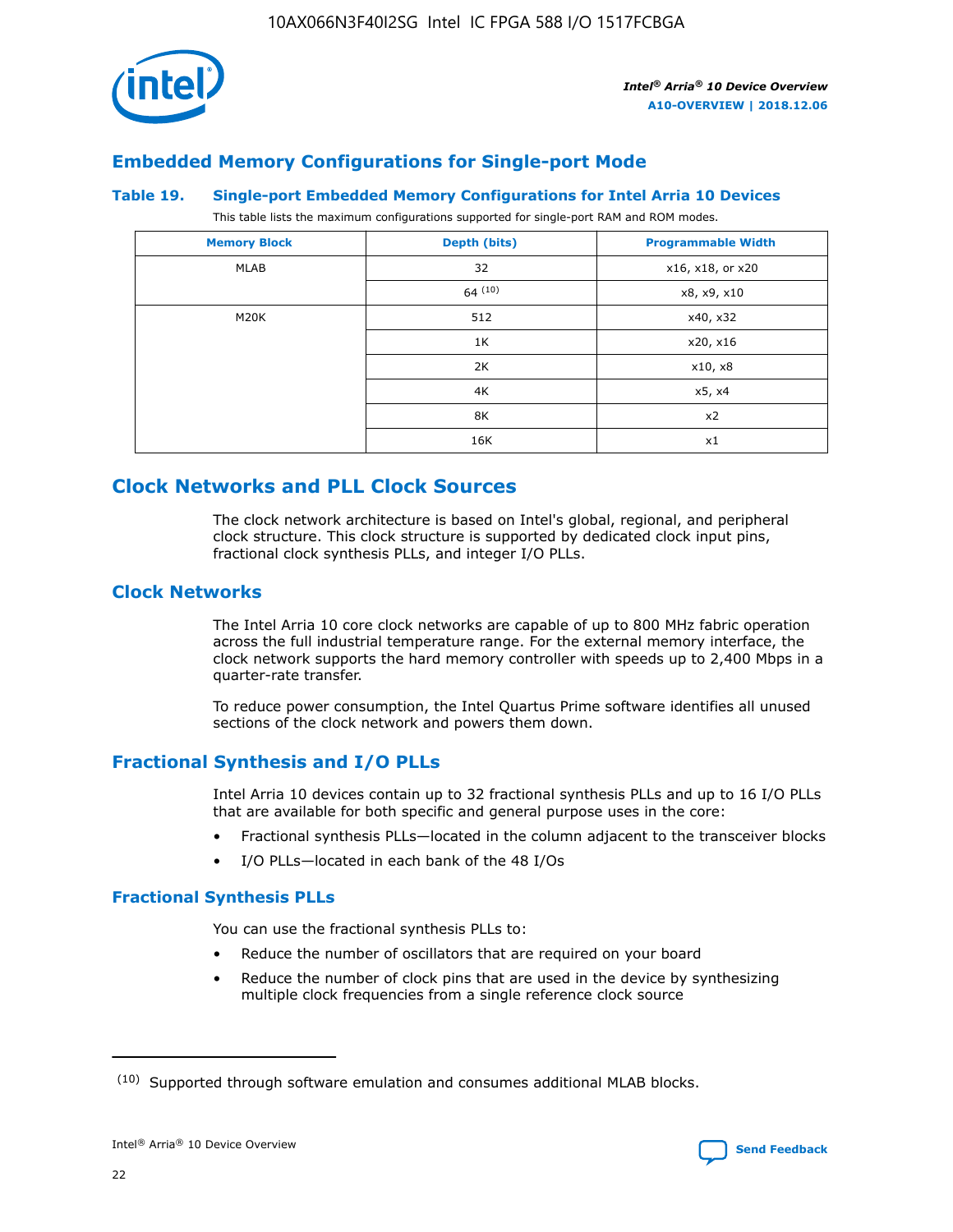

# **Embedded Memory Configurations for Single-port Mode**

#### **Table 19. Single-port Embedded Memory Configurations for Intel Arria 10 Devices**

This table lists the maximum configurations supported for single-port RAM and ROM modes.

| <b>Memory Block</b> | Depth (bits) | <b>Programmable Width</b> |
|---------------------|--------------|---------------------------|
| MLAB                | 32           | x16, x18, or x20          |
|                     | 64(10)       | x8, x9, x10               |
| M20K                | 512          | x40, x32                  |
|                     | 1K           | x20, x16                  |
|                     | 2K           | x10, x8                   |
|                     | 4K           | x5, x4                    |
|                     | 8K           | x2                        |
|                     | 16K          | x1                        |

# **Clock Networks and PLL Clock Sources**

The clock network architecture is based on Intel's global, regional, and peripheral clock structure. This clock structure is supported by dedicated clock input pins, fractional clock synthesis PLLs, and integer I/O PLLs.

# **Clock Networks**

The Intel Arria 10 core clock networks are capable of up to 800 MHz fabric operation across the full industrial temperature range. For the external memory interface, the clock network supports the hard memory controller with speeds up to 2,400 Mbps in a quarter-rate transfer.

To reduce power consumption, the Intel Quartus Prime software identifies all unused sections of the clock network and powers them down.

# **Fractional Synthesis and I/O PLLs**

Intel Arria 10 devices contain up to 32 fractional synthesis PLLs and up to 16 I/O PLLs that are available for both specific and general purpose uses in the core:

- Fractional synthesis PLLs—located in the column adjacent to the transceiver blocks
- I/O PLLs—located in each bank of the 48 I/Os

#### **Fractional Synthesis PLLs**

You can use the fractional synthesis PLLs to:

- Reduce the number of oscillators that are required on your board
- Reduce the number of clock pins that are used in the device by synthesizing multiple clock frequencies from a single reference clock source

<sup>(10)</sup> Supported through software emulation and consumes additional MLAB blocks.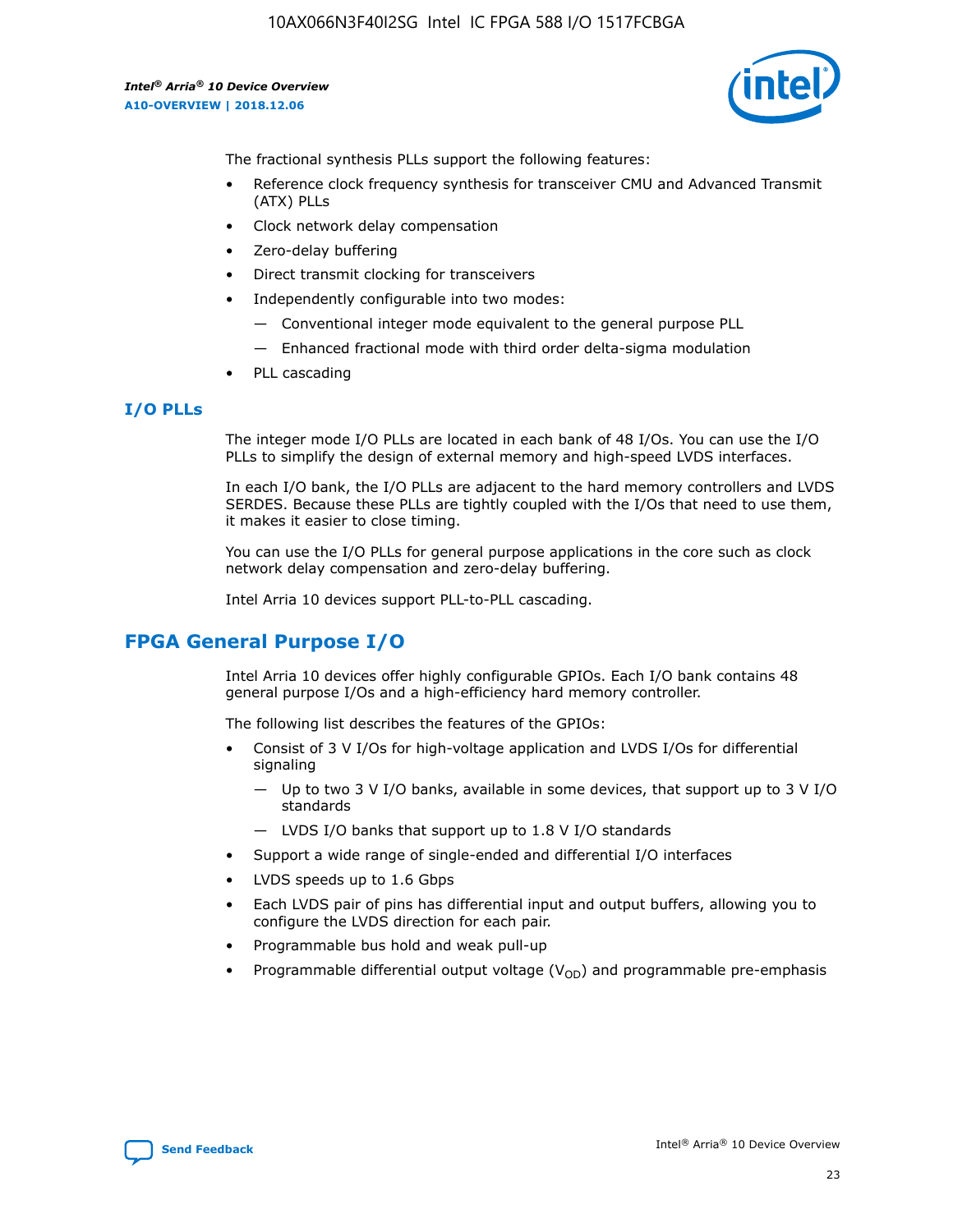

The fractional synthesis PLLs support the following features:

- Reference clock frequency synthesis for transceiver CMU and Advanced Transmit (ATX) PLLs
- Clock network delay compensation
- Zero-delay buffering
- Direct transmit clocking for transceivers
- Independently configurable into two modes:
	- Conventional integer mode equivalent to the general purpose PLL
	- Enhanced fractional mode with third order delta-sigma modulation
- PLL cascading

#### **I/O PLLs**

The integer mode I/O PLLs are located in each bank of 48 I/Os. You can use the I/O PLLs to simplify the design of external memory and high-speed LVDS interfaces.

In each I/O bank, the I/O PLLs are adjacent to the hard memory controllers and LVDS SERDES. Because these PLLs are tightly coupled with the I/Os that need to use them, it makes it easier to close timing.

You can use the I/O PLLs for general purpose applications in the core such as clock network delay compensation and zero-delay buffering.

Intel Arria 10 devices support PLL-to-PLL cascading.

# **FPGA General Purpose I/O**

Intel Arria 10 devices offer highly configurable GPIOs. Each I/O bank contains 48 general purpose I/Os and a high-efficiency hard memory controller.

The following list describes the features of the GPIOs:

- Consist of 3 V I/Os for high-voltage application and LVDS I/Os for differential signaling
	- Up to two 3 V I/O banks, available in some devices, that support up to 3 V I/O standards
	- LVDS I/O banks that support up to 1.8 V I/O standards
- Support a wide range of single-ended and differential I/O interfaces
- LVDS speeds up to 1.6 Gbps
- Each LVDS pair of pins has differential input and output buffers, allowing you to configure the LVDS direction for each pair.
- Programmable bus hold and weak pull-up
- Programmable differential output voltage  $(V_{OD})$  and programmable pre-emphasis

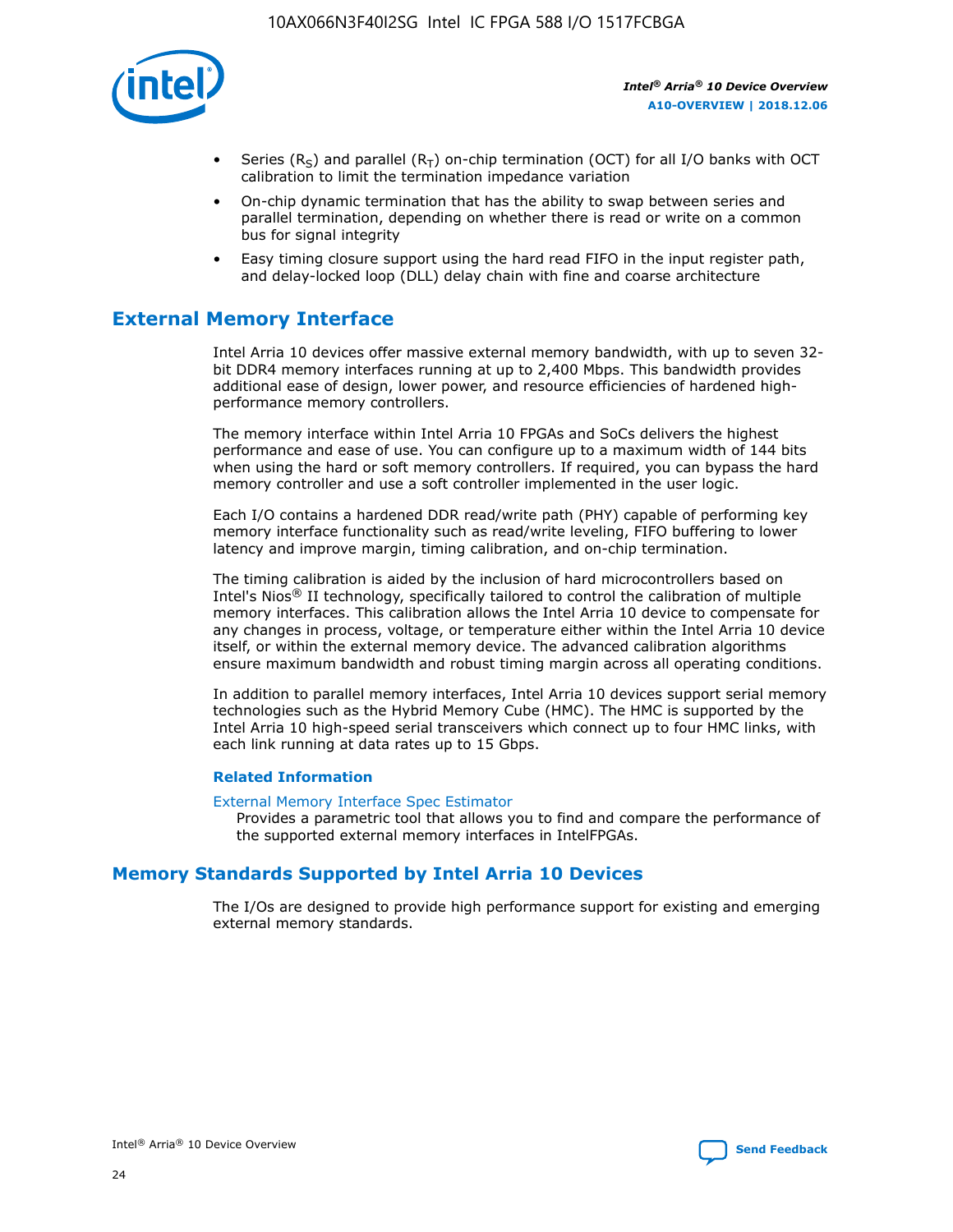

- Series (R<sub>S</sub>) and parallel (R<sub>T</sub>) on-chip termination (OCT) for all I/O banks with OCT calibration to limit the termination impedance variation
- On-chip dynamic termination that has the ability to swap between series and parallel termination, depending on whether there is read or write on a common bus for signal integrity
- Easy timing closure support using the hard read FIFO in the input register path, and delay-locked loop (DLL) delay chain with fine and coarse architecture

# **External Memory Interface**

Intel Arria 10 devices offer massive external memory bandwidth, with up to seven 32 bit DDR4 memory interfaces running at up to 2,400 Mbps. This bandwidth provides additional ease of design, lower power, and resource efficiencies of hardened highperformance memory controllers.

The memory interface within Intel Arria 10 FPGAs and SoCs delivers the highest performance and ease of use. You can configure up to a maximum width of 144 bits when using the hard or soft memory controllers. If required, you can bypass the hard memory controller and use a soft controller implemented in the user logic.

Each I/O contains a hardened DDR read/write path (PHY) capable of performing key memory interface functionality such as read/write leveling, FIFO buffering to lower latency and improve margin, timing calibration, and on-chip termination.

The timing calibration is aided by the inclusion of hard microcontrollers based on Intel's Nios® II technology, specifically tailored to control the calibration of multiple memory interfaces. This calibration allows the Intel Arria 10 device to compensate for any changes in process, voltage, or temperature either within the Intel Arria 10 device itself, or within the external memory device. The advanced calibration algorithms ensure maximum bandwidth and robust timing margin across all operating conditions.

In addition to parallel memory interfaces, Intel Arria 10 devices support serial memory technologies such as the Hybrid Memory Cube (HMC). The HMC is supported by the Intel Arria 10 high-speed serial transceivers which connect up to four HMC links, with each link running at data rates up to 15 Gbps.

#### **Related Information**

#### [External Memory Interface Spec Estimator](http://www.altera.com/technology/memory/estimator/mem-emif-index.html)

Provides a parametric tool that allows you to find and compare the performance of the supported external memory interfaces in IntelFPGAs.

# **Memory Standards Supported by Intel Arria 10 Devices**

The I/Os are designed to provide high performance support for existing and emerging external memory standards.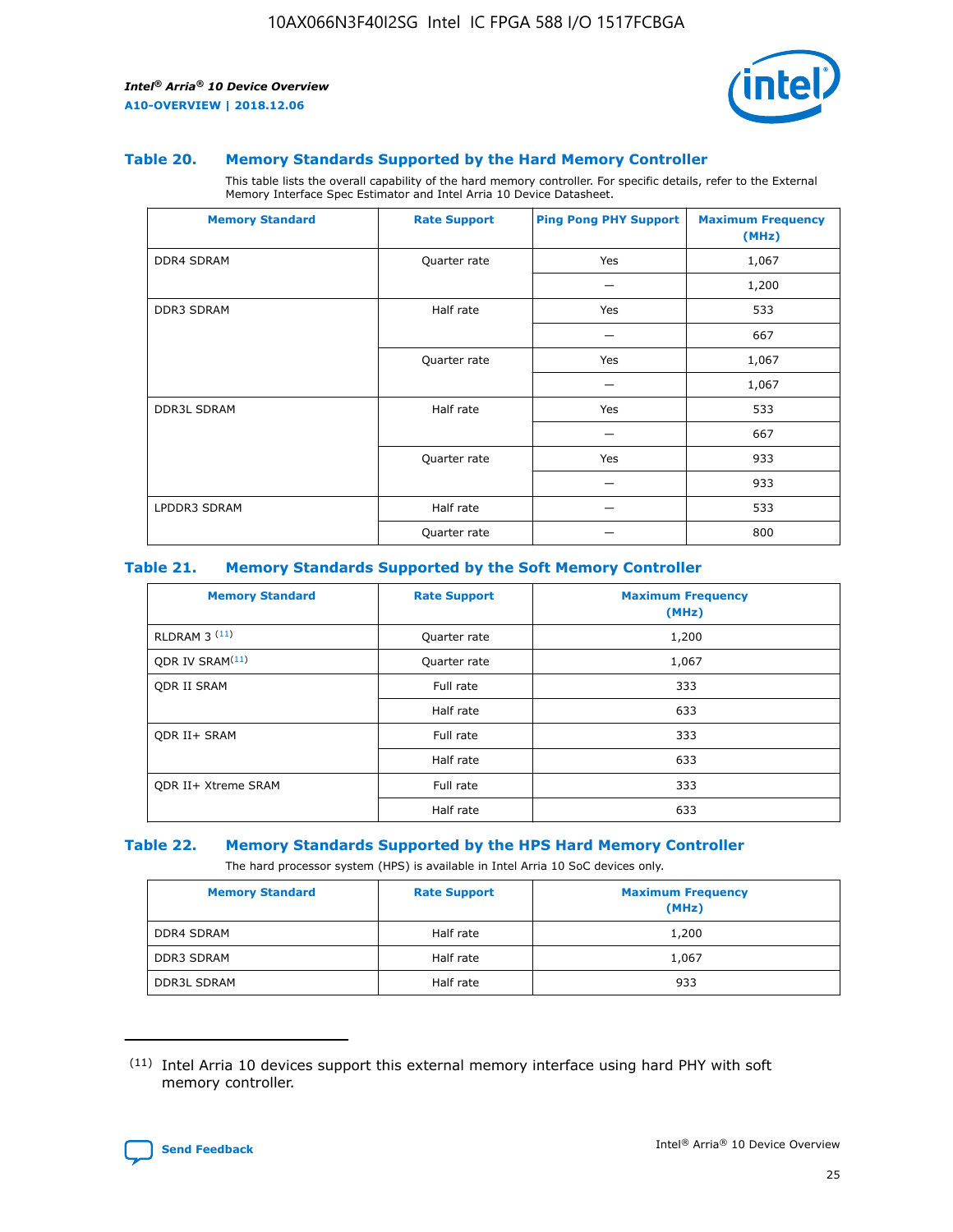

#### **Table 20. Memory Standards Supported by the Hard Memory Controller**

This table lists the overall capability of the hard memory controller. For specific details, refer to the External Memory Interface Spec Estimator and Intel Arria 10 Device Datasheet.

| <b>Memory Standard</b> | <b>Rate Support</b> | <b>Ping Pong PHY Support</b> | <b>Maximum Frequency</b><br>(MHz) |
|------------------------|---------------------|------------------------------|-----------------------------------|
| <b>DDR4 SDRAM</b>      | Quarter rate        | Yes                          | 1,067                             |
|                        |                     |                              | 1,200                             |
| DDR3 SDRAM             | Half rate           | Yes                          | 533                               |
|                        |                     |                              | 667                               |
|                        | Quarter rate        | Yes                          | 1,067                             |
|                        |                     |                              | 1,067                             |
| <b>DDR3L SDRAM</b>     | Half rate           | Yes                          | 533                               |
|                        |                     |                              | 667                               |
|                        | Quarter rate        | Yes                          | 933                               |
|                        |                     |                              | 933                               |
| LPDDR3 SDRAM           | Half rate           |                              | 533                               |
|                        | Quarter rate        |                              | 800                               |

#### **Table 21. Memory Standards Supported by the Soft Memory Controller**

| <b>Memory Standard</b>      | <b>Rate Support</b> | <b>Maximum Frequency</b><br>(MHz) |
|-----------------------------|---------------------|-----------------------------------|
| <b>RLDRAM 3 (11)</b>        | Quarter rate        | 1,200                             |
| ODR IV SRAM <sup>(11)</sup> | Quarter rate        | 1,067                             |
| <b>ODR II SRAM</b>          | Full rate           | 333                               |
|                             | Half rate           | 633                               |
| <b>ODR II+ SRAM</b>         | Full rate           | 333                               |
|                             | Half rate           | 633                               |
| <b>ODR II+ Xtreme SRAM</b>  | Full rate           | 333                               |
|                             | Half rate           | 633                               |

#### **Table 22. Memory Standards Supported by the HPS Hard Memory Controller**

The hard processor system (HPS) is available in Intel Arria 10 SoC devices only.

| <b>Memory Standard</b> | <b>Rate Support</b> | <b>Maximum Frequency</b><br>(MHz) |
|------------------------|---------------------|-----------------------------------|
| <b>DDR4 SDRAM</b>      | Half rate           | 1,200                             |
| <b>DDR3 SDRAM</b>      | Half rate           | 1,067                             |
| <b>DDR3L SDRAM</b>     | Half rate           | 933                               |

<sup>(11)</sup> Intel Arria 10 devices support this external memory interface using hard PHY with soft memory controller.

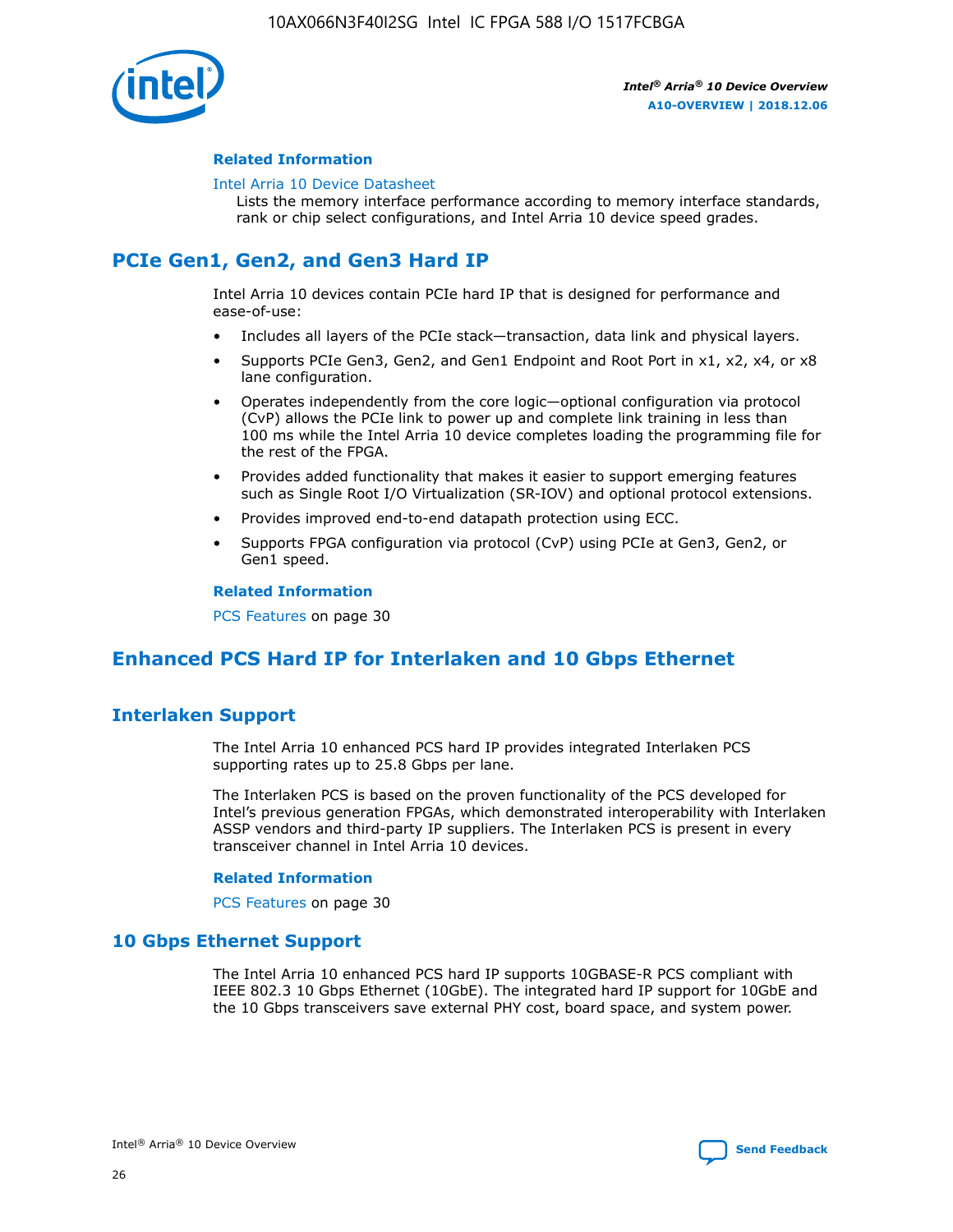

#### **Related Information**

#### [Intel Arria 10 Device Datasheet](https://www.intel.com/content/www/us/en/programmable/documentation/mcn1413182292568.html#mcn1413182153340)

Lists the memory interface performance according to memory interface standards, rank or chip select configurations, and Intel Arria 10 device speed grades.

# **PCIe Gen1, Gen2, and Gen3 Hard IP**

Intel Arria 10 devices contain PCIe hard IP that is designed for performance and ease-of-use:

- Includes all layers of the PCIe stack—transaction, data link and physical layers.
- Supports PCIe Gen3, Gen2, and Gen1 Endpoint and Root Port in x1, x2, x4, or x8 lane configuration.
- Operates independently from the core logic—optional configuration via protocol (CvP) allows the PCIe link to power up and complete link training in less than 100 ms while the Intel Arria 10 device completes loading the programming file for the rest of the FPGA.
- Provides added functionality that makes it easier to support emerging features such as Single Root I/O Virtualization (SR-IOV) and optional protocol extensions.
- Provides improved end-to-end datapath protection using ECC.
- Supports FPGA configuration via protocol (CvP) using PCIe at Gen3, Gen2, or Gen1 speed.

#### **Related Information**

PCS Features on page 30

# **Enhanced PCS Hard IP for Interlaken and 10 Gbps Ethernet**

# **Interlaken Support**

The Intel Arria 10 enhanced PCS hard IP provides integrated Interlaken PCS supporting rates up to 25.8 Gbps per lane.

The Interlaken PCS is based on the proven functionality of the PCS developed for Intel's previous generation FPGAs, which demonstrated interoperability with Interlaken ASSP vendors and third-party IP suppliers. The Interlaken PCS is present in every transceiver channel in Intel Arria 10 devices.

#### **Related Information**

PCS Features on page 30

# **10 Gbps Ethernet Support**

The Intel Arria 10 enhanced PCS hard IP supports 10GBASE-R PCS compliant with IEEE 802.3 10 Gbps Ethernet (10GbE). The integrated hard IP support for 10GbE and the 10 Gbps transceivers save external PHY cost, board space, and system power.

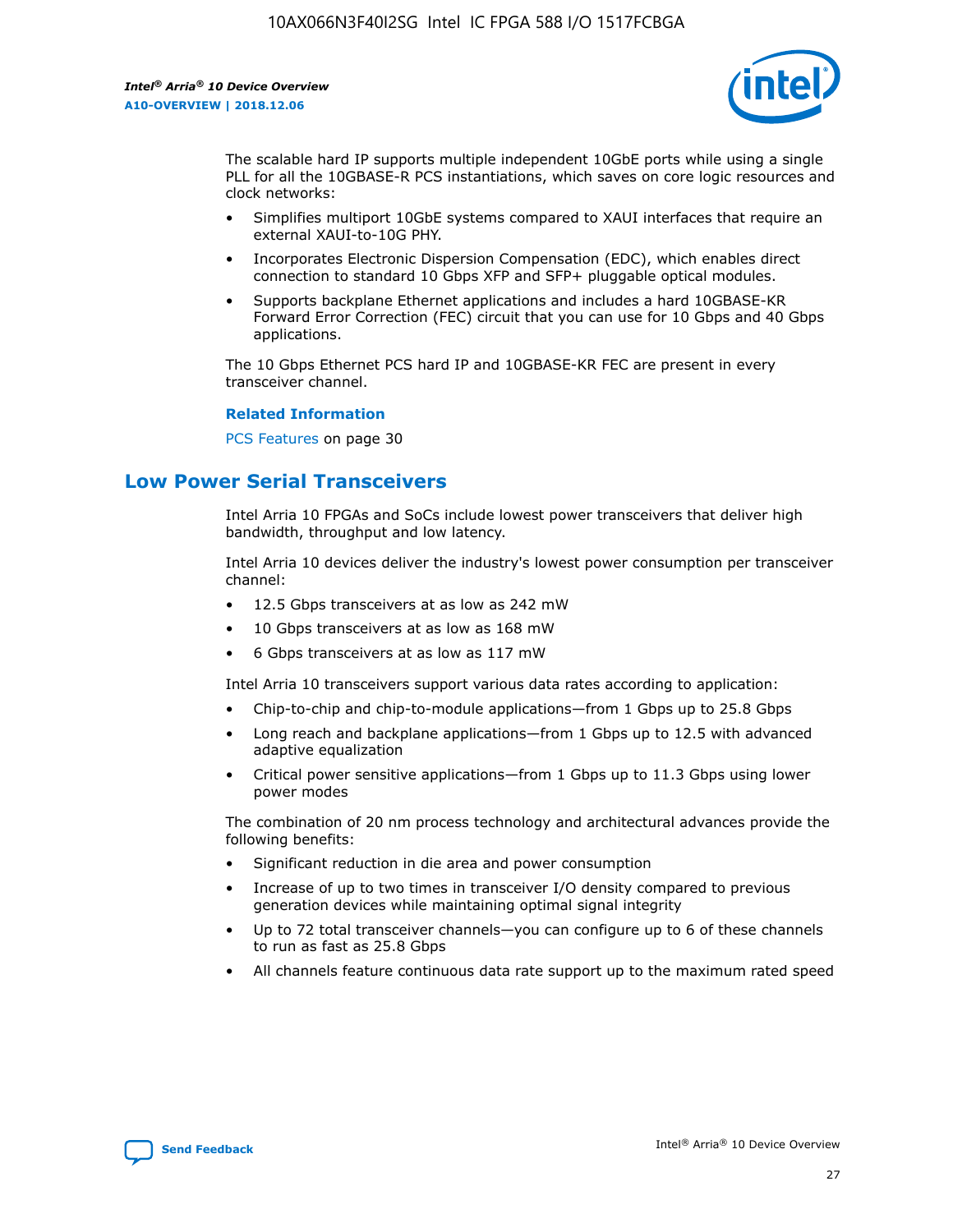

The scalable hard IP supports multiple independent 10GbE ports while using a single PLL for all the 10GBASE-R PCS instantiations, which saves on core logic resources and clock networks:

- Simplifies multiport 10GbE systems compared to XAUI interfaces that require an external XAUI-to-10G PHY.
- Incorporates Electronic Dispersion Compensation (EDC), which enables direct connection to standard 10 Gbps XFP and SFP+ pluggable optical modules.
- Supports backplane Ethernet applications and includes a hard 10GBASE-KR Forward Error Correction (FEC) circuit that you can use for 10 Gbps and 40 Gbps applications.

The 10 Gbps Ethernet PCS hard IP and 10GBASE-KR FEC are present in every transceiver channel.

#### **Related Information**

PCS Features on page 30

# **Low Power Serial Transceivers**

Intel Arria 10 FPGAs and SoCs include lowest power transceivers that deliver high bandwidth, throughput and low latency.

Intel Arria 10 devices deliver the industry's lowest power consumption per transceiver channel:

- 12.5 Gbps transceivers at as low as 242 mW
- 10 Gbps transceivers at as low as 168 mW
- 6 Gbps transceivers at as low as 117 mW

Intel Arria 10 transceivers support various data rates according to application:

- Chip-to-chip and chip-to-module applications—from 1 Gbps up to 25.8 Gbps
- Long reach and backplane applications—from 1 Gbps up to 12.5 with advanced adaptive equalization
- Critical power sensitive applications—from 1 Gbps up to 11.3 Gbps using lower power modes

The combination of 20 nm process technology and architectural advances provide the following benefits:

- Significant reduction in die area and power consumption
- Increase of up to two times in transceiver I/O density compared to previous generation devices while maintaining optimal signal integrity
- Up to 72 total transceiver channels—you can configure up to 6 of these channels to run as fast as 25.8 Gbps
- All channels feature continuous data rate support up to the maximum rated speed

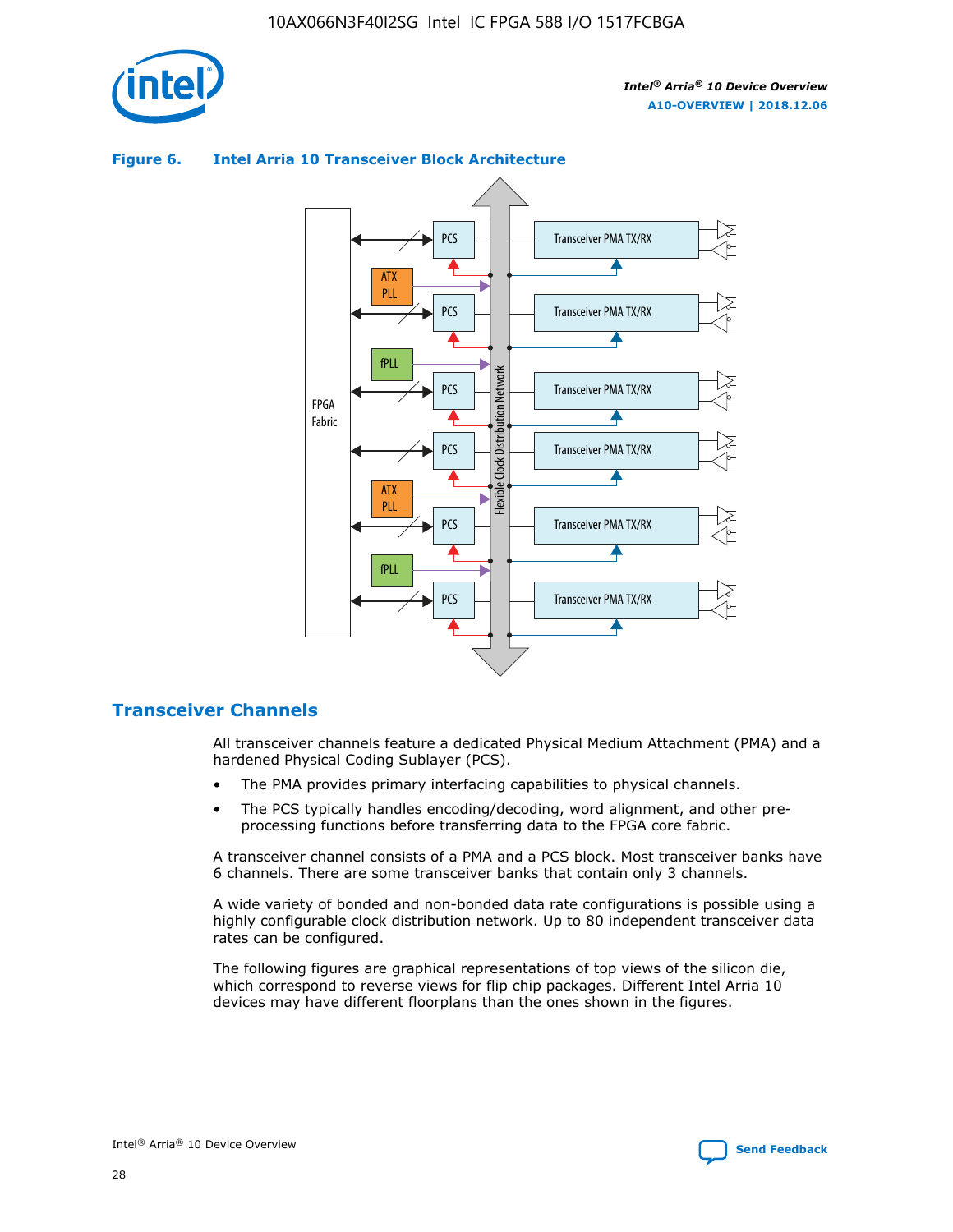

# Transceiver PMA TX/RX PCS ATX PLL Transceiver PMA TX/RX PCS fPLL Network Flexible Clock Distribution Network PCS Transceiver PMA TX/RX FPGA **Clock Distribution** Fabric PCS Transceiver PMA TX/RX ATX Flexible PLL PCS Transceiver PMA TX/RX ▲ fPLL Transceiver PMA TX/RX PCS 4

## **Figure 6. Intel Arria 10 Transceiver Block Architecture**

# **Transceiver Channels**

All transceiver channels feature a dedicated Physical Medium Attachment (PMA) and a hardened Physical Coding Sublayer (PCS).

- The PMA provides primary interfacing capabilities to physical channels.
- The PCS typically handles encoding/decoding, word alignment, and other preprocessing functions before transferring data to the FPGA core fabric.

A transceiver channel consists of a PMA and a PCS block. Most transceiver banks have 6 channels. There are some transceiver banks that contain only 3 channels.

A wide variety of bonded and non-bonded data rate configurations is possible using a highly configurable clock distribution network. Up to 80 independent transceiver data rates can be configured.

The following figures are graphical representations of top views of the silicon die, which correspond to reverse views for flip chip packages. Different Intel Arria 10 devices may have different floorplans than the ones shown in the figures.

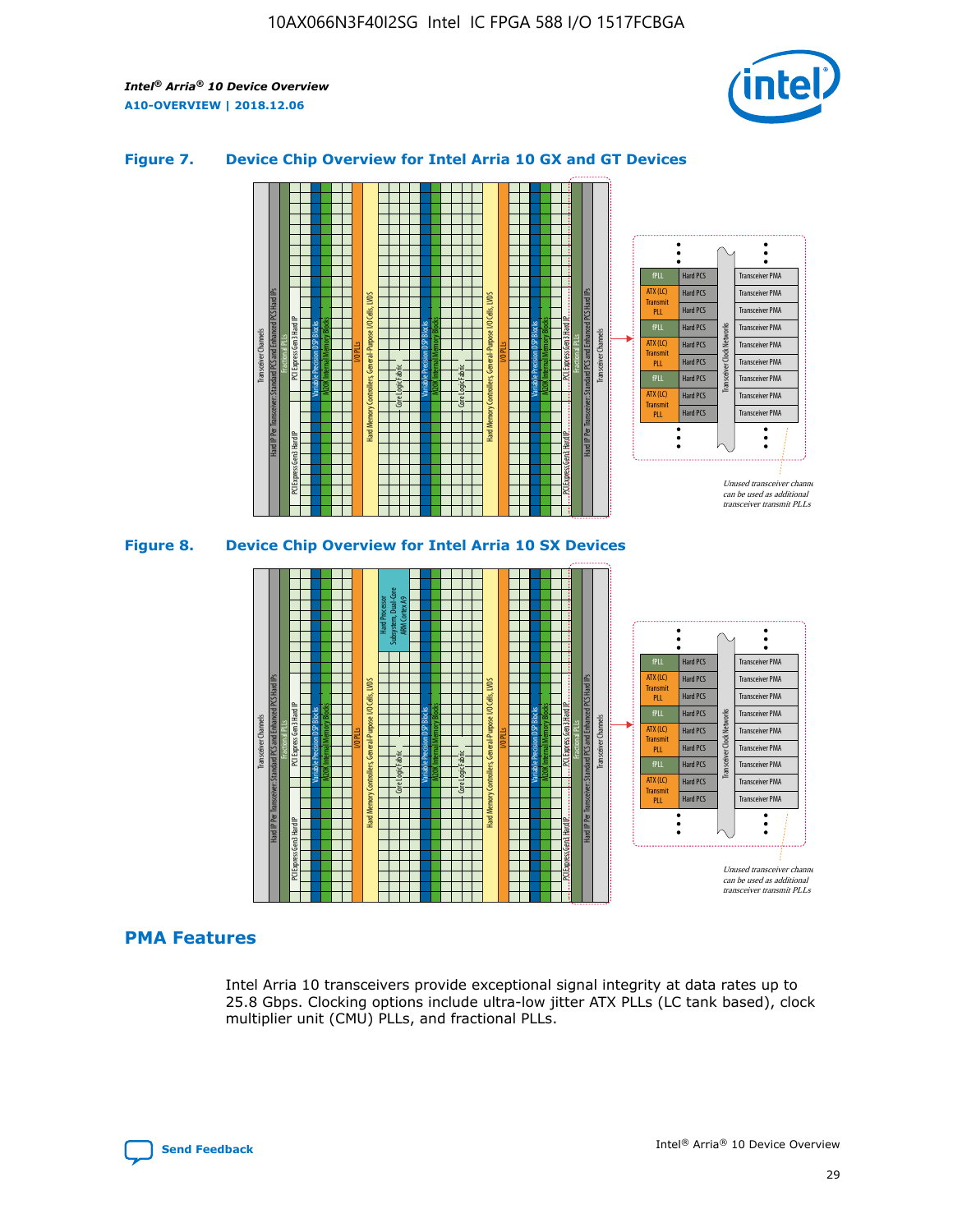

## **Figure 7. Device Chip Overview for Intel Arria 10 GX and GT Devices**



M20K Internal Memory Blocks Core Logic Fabric Transceiver Channels Hard IP Per Transceiver: Standard PCS and Enhanced PCS Hard IPs PCI Express Gen3 Hard IP Fractional PLLs M20K Internal Memory Blocks PCI Express Gen3 Hard IP Variable Precision DSP Blocks I/O PLLs Hard Memory Controllers, General-Purpose I/O Cells, LVDS Hard Processor Subsystem, Dual-Core ARM Cortex A9 M20K Internal Memory Blocks Variable Precision DSP Blocks M20K Internal Memory Blocks Core Logic Fabric I/O PLLs Hard Memory Controllers, General-Purpose I/O Cells, LVDS M20K Internal Memory Blocks Variable Precision DSP Blocks M20K Internal Memory Blocks Transceiver Channels Hard IP Per Transceiver: Standard PCS and Enhanced PCS Hard IPs PCI Express Gen3 Hard IP Fractional PLLs PCI Express Gen3 Hard IP  $\ddot{\cdot}$ Hard PCS Transceiver PMA fPLL ATX (LC) Hard PCS Transceiver PMA **Transmit** Hard PCS Transceiver PMA PLL fPLL Hard PCS Transceiver PMA Transceiver Clock Networks ATX (LC) Hard PCS Transceiver PMA Transmi Hard PCS Transceiver PMA PLL fPLL Hard PCS Transceiver PMA Transceiver PMA Hard PCS ATX (LC) **Transmit** Hard PCS Transceiver PMA PLL Unused transceiver chann can be used as additional transceiver transmit PLLs

# **PMA Features**

Intel Arria 10 transceivers provide exceptional signal integrity at data rates up to 25.8 Gbps. Clocking options include ultra-low jitter ATX PLLs (LC tank based), clock multiplier unit (CMU) PLLs, and fractional PLLs.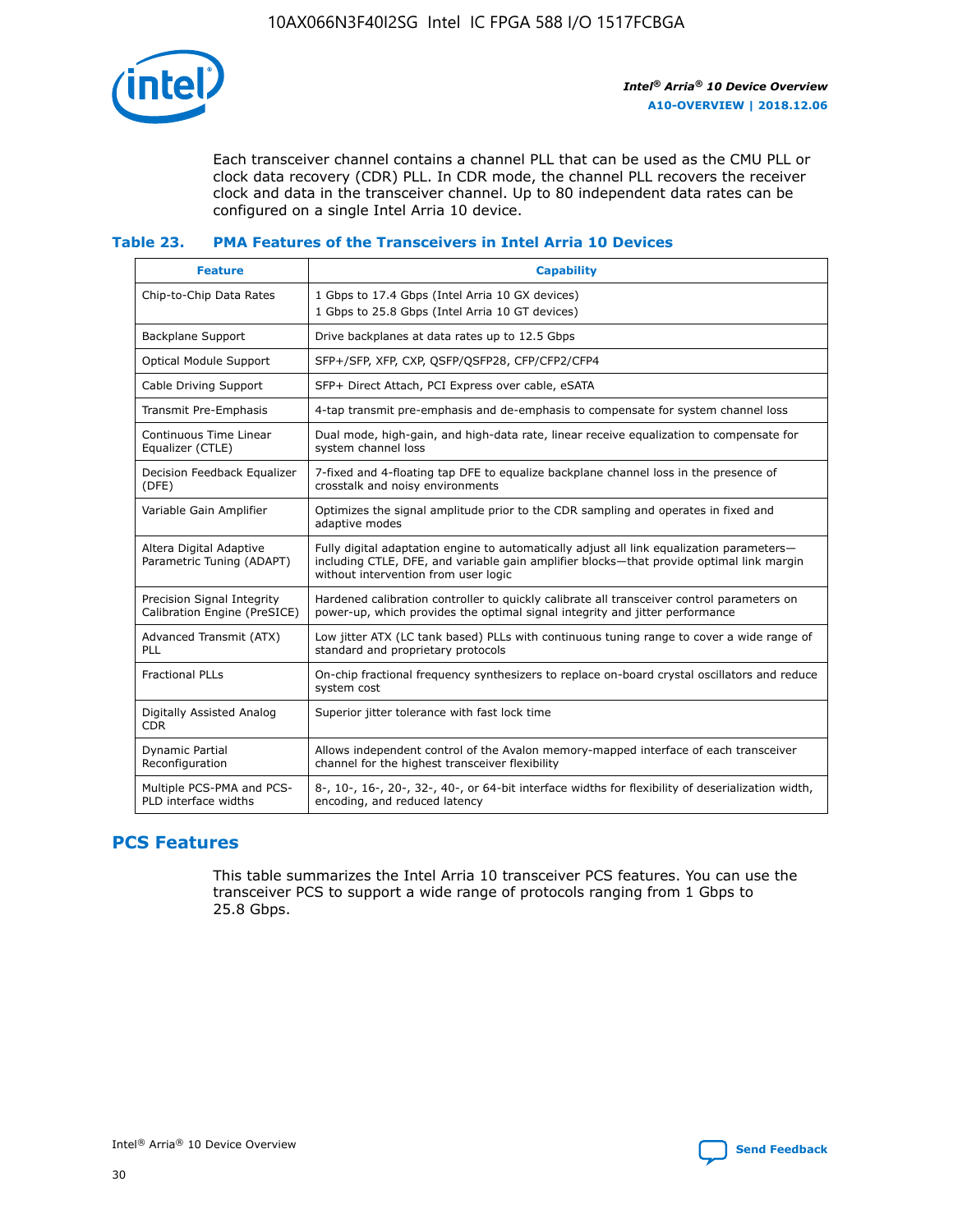

Each transceiver channel contains a channel PLL that can be used as the CMU PLL or clock data recovery (CDR) PLL. In CDR mode, the channel PLL recovers the receiver clock and data in the transceiver channel. Up to 80 independent data rates can be configured on a single Intel Arria 10 device.

## **Table 23. PMA Features of the Transceivers in Intel Arria 10 Devices**

| <b>Feature</b>                                             | <b>Capability</b>                                                                                                                                                                                                             |
|------------------------------------------------------------|-------------------------------------------------------------------------------------------------------------------------------------------------------------------------------------------------------------------------------|
| Chip-to-Chip Data Rates                                    | 1 Gbps to 17.4 Gbps (Intel Arria 10 GX devices)<br>1 Gbps to 25.8 Gbps (Intel Arria 10 GT devices)                                                                                                                            |
| Backplane Support                                          | Drive backplanes at data rates up to 12.5 Gbps                                                                                                                                                                                |
| <b>Optical Module Support</b>                              | SFP+/SFP, XFP, CXP, QSFP/QSFP28, CFP/CFP2/CFP4                                                                                                                                                                                |
| Cable Driving Support                                      | SFP+ Direct Attach, PCI Express over cable, eSATA                                                                                                                                                                             |
| Transmit Pre-Emphasis                                      | 4-tap transmit pre-emphasis and de-emphasis to compensate for system channel loss                                                                                                                                             |
| Continuous Time Linear<br>Equalizer (CTLE)                 | Dual mode, high-gain, and high-data rate, linear receive equalization to compensate for<br>system channel loss                                                                                                                |
| Decision Feedback Equalizer<br>(DFE)                       | 7-fixed and 4-floating tap DFE to equalize backplane channel loss in the presence of<br>crosstalk and noisy environments                                                                                                      |
| Variable Gain Amplifier                                    | Optimizes the signal amplitude prior to the CDR sampling and operates in fixed and<br>adaptive modes                                                                                                                          |
| Altera Digital Adaptive<br>Parametric Tuning (ADAPT)       | Fully digital adaptation engine to automatically adjust all link equalization parameters-<br>including CTLE, DFE, and variable gain amplifier blocks—that provide optimal link margin<br>without intervention from user logic |
| Precision Signal Integrity<br>Calibration Engine (PreSICE) | Hardened calibration controller to quickly calibrate all transceiver control parameters on<br>power-up, which provides the optimal signal integrity and jitter performance                                                    |
| Advanced Transmit (ATX)<br>PLL                             | Low jitter ATX (LC tank based) PLLs with continuous tuning range to cover a wide range of<br>standard and proprietary protocols                                                                                               |
| <b>Fractional PLLs</b>                                     | On-chip fractional frequency synthesizers to replace on-board crystal oscillators and reduce<br>system cost                                                                                                                   |
| Digitally Assisted Analog<br><b>CDR</b>                    | Superior jitter tolerance with fast lock time                                                                                                                                                                                 |
| <b>Dynamic Partial</b><br>Reconfiguration                  | Allows independent control of the Avalon memory-mapped interface of each transceiver<br>channel for the highest transceiver flexibility                                                                                       |
| Multiple PCS-PMA and PCS-<br>PLD interface widths          | 8-, 10-, 16-, 20-, 32-, 40-, or 64-bit interface widths for flexibility of deserialization width,<br>encoding, and reduced latency                                                                                            |

# **PCS Features**

This table summarizes the Intel Arria 10 transceiver PCS features. You can use the transceiver PCS to support a wide range of protocols ranging from 1 Gbps to 25.8 Gbps.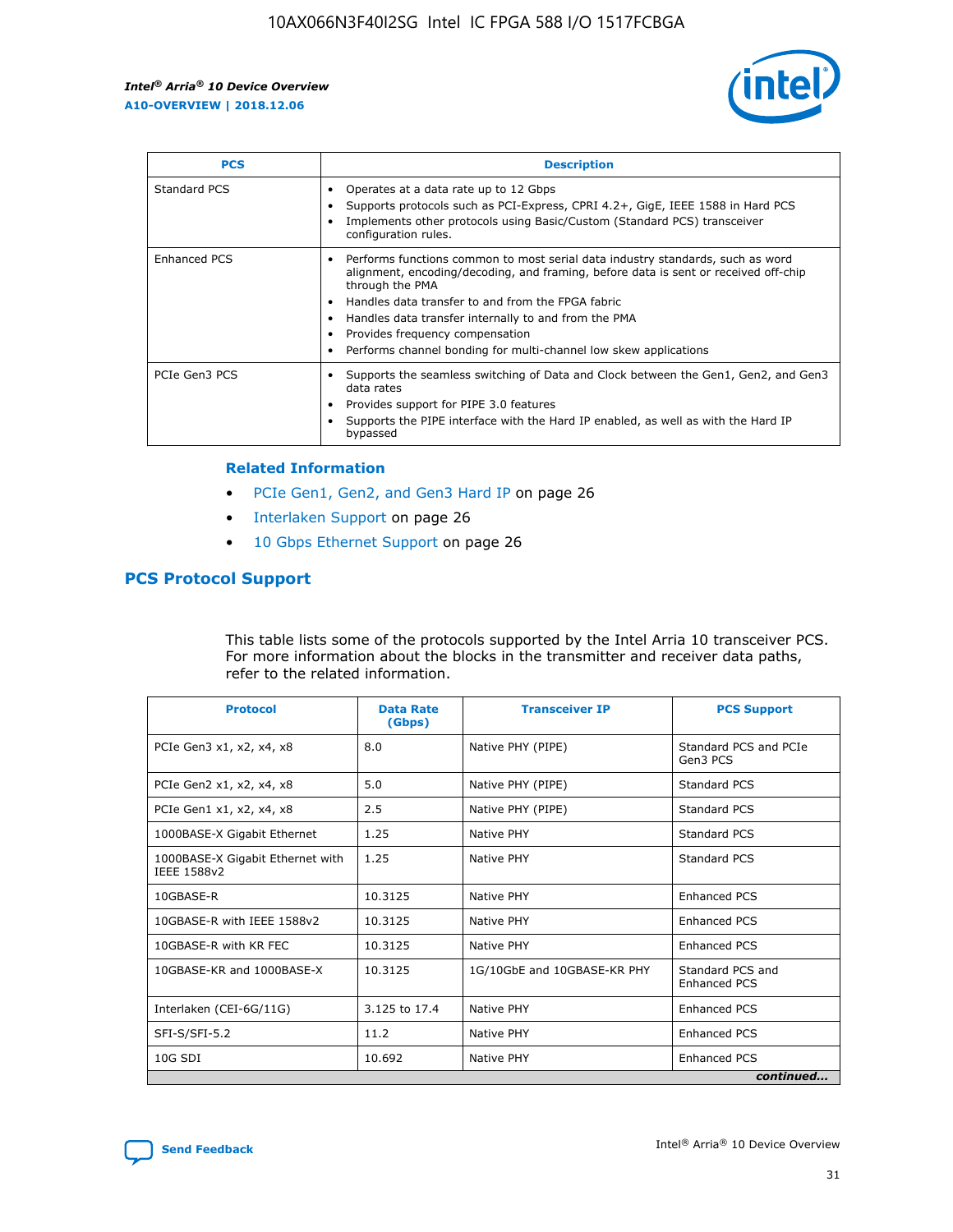

| <b>PCS</b>    | <b>Description</b>                                                                                                                                                                                                                                                                                                                                                                                             |
|---------------|----------------------------------------------------------------------------------------------------------------------------------------------------------------------------------------------------------------------------------------------------------------------------------------------------------------------------------------------------------------------------------------------------------------|
| Standard PCS  | Operates at a data rate up to 12 Gbps<br>Supports protocols such as PCI-Express, CPRI 4.2+, GigE, IEEE 1588 in Hard PCS<br>Implements other protocols using Basic/Custom (Standard PCS) transceiver<br>configuration rules.                                                                                                                                                                                    |
| Enhanced PCS  | Performs functions common to most serial data industry standards, such as word<br>alignment, encoding/decoding, and framing, before data is sent or received off-chip<br>through the PMA<br>• Handles data transfer to and from the FPGA fabric<br>Handles data transfer internally to and from the PMA<br>Provides frequency compensation<br>Performs channel bonding for multi-channel low skew applications |
| PCIe Gen3 PCS | Supports the seamless switching of Data and Clock between the Gen1, Gen2, and Gen3<br>data rates<br>Provides support for PIPE 3.0 features<br>Supports the PIPE interface with the Hard IP enabled, as well as with the Hard IP<br>bypassed                                                                                                                                                                    |

#### **Related Information**

- PCIe Gen1, Gen2, and Gen3 Hard IP on page 26
- Interlaken Support on page 26
- 10 Gbps Ethernet Support on page 26

# **PCS Protocol Support**

This table lists some of the protocols supported by the Intel Arria 10 transceiver PCS. For more information about the blocks in the transmitter and receiver data paths, refer to the related information.

| <b>Protocol</b>                                 | <b>Data Rate</b><br>(Gbps) | <b>Transceiver IP</b>       | <b>PCS Support</b>                      |
|-------------------------------------------------|----------------------------|-----------------------------|-----------------------------------------|
| PCIe Gen3 x1, x2, x4, x8                        | 8.0                        | Native PHY (PIPE)           | Standard PCS and PCIe<br>Gen3 PCS       |
| PCIe Gen2 x1, x2, x4, x8                        | 5.0                        | Native PHY (PIPE)           | <b>Standard PCS</b>                     |
| PCIe Gen1 x1, x2, x4, x8                        | 2.5                        | Native PHY (PIPE)           | Standard PCS                            |
| 1000BASE-X Gigabit Ethernet                     | 1.25                       | Native PHY                  | <b>Standard PCS</b>                     |
| 1000BASE-X Gigabit Ethernet with<br>IEEE 1588v2 | 1.25                       | Native PHY                  | Standard PCS                            |
| 10GBASE-R                                       | 10.3125                    | Native PHY                  | <b>Enhanced PCS</b>                     |
| 10GBASE-R with IEEE 1588v2                      | 10.3125                    | Native PHY                  | <b>Enhanced PCS</b>                     |
| 10GBASE-R with KR FEC                           | 10.3125                    | Native PHY                  | <b>Enhanced PCS</b>                     |
| 10GBASE-KR and 1000BASE-X                       | 10.3125                    | 1G/10GbE and 10GBASE-KR PHY | Standard PCS and<br><b>Enhanced PCS</b> |
| Interlaken (CEI-6G/11G)                         | 3.125 to 17.4              | Native PHY                  | <b>Enhanced PCS</b>                     |
| SFI-S/SFI-5.2                                   | 11.2                       | Native PHY                  | <b>Enhanced PCS</b>                     |
| 10G SDI                                         | 10.692                     | Native PHY                  | <b>Enhanced PCS</b>                     |
|                                                 |                            |                             | continued                               |

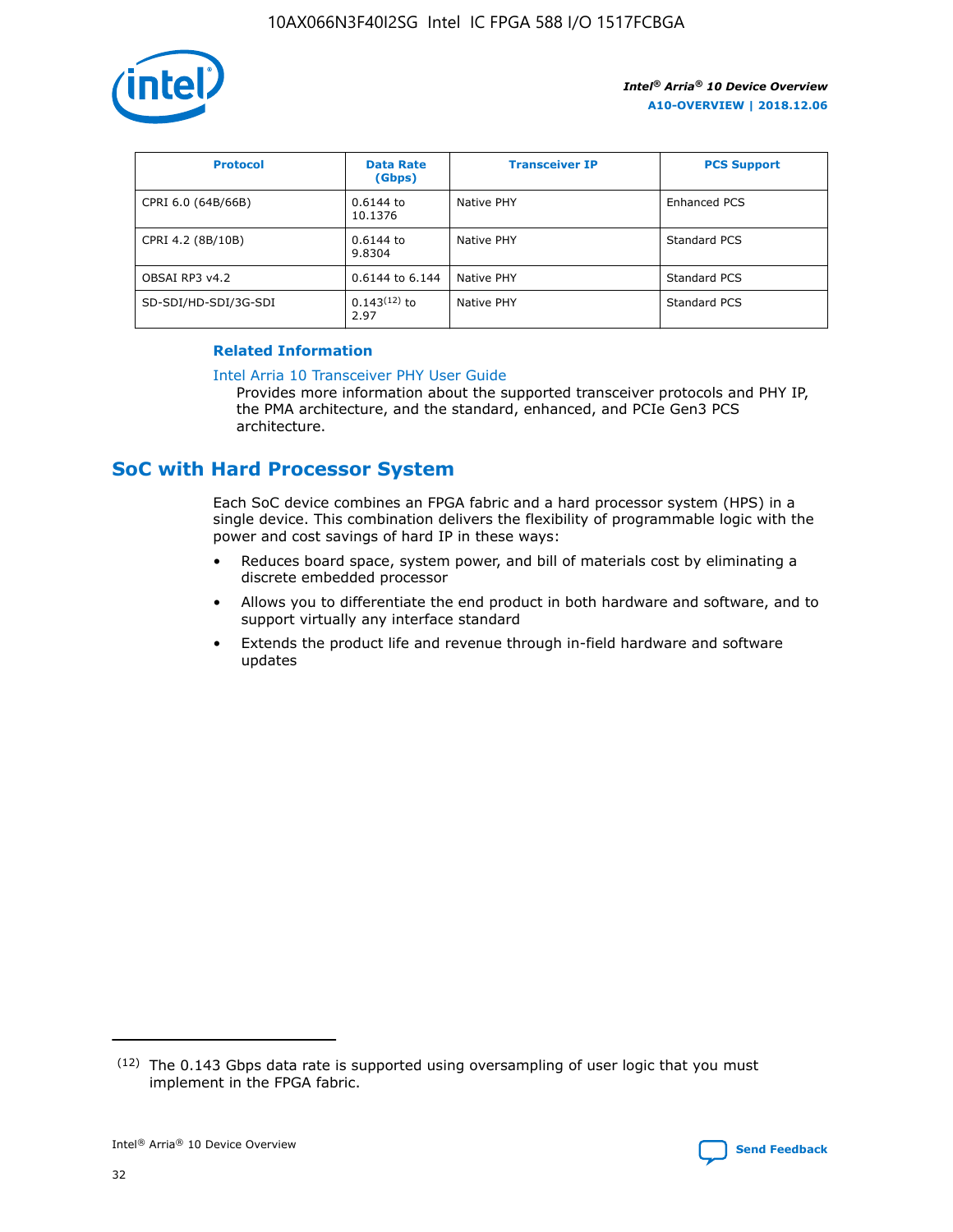

| <b>Protocol</b>      | <b>Data Rate</b><br>(Gbps) | <b>Transceiver IP</b> | <b>PCS Support</b> |
|----------------------|----------------------------|-----------------------|--------------------|
| CPRI 6.0 (64B/66B)   | 0.6144 to<br>10.1376       | Native PHY            | Enhanced PCS       |
| CPRI 4.2 (8B/10B)    | 0.6144 to<br>9.8304        | Native PHY            | Standard PCS       |
| OBSAI RP3 v4.2       | 0.6144 to 6.144            | Native PHY            | Standard PCS       |
| SD-SDI/HD-SDI/3G-SDI | $0.143(12)$ to<br>2.97     | Native PHY            | Standard PCS       |

## **Related Information**

#### [Intel Arria 10 Transceiver PHY User Guide](https://www.intel.com/content/www/us/en/programmable/documentation/nik1398707230472.html#nik1398707091164)

Provides more information about the supported transceiver protocols and PHY IP, the PMA architecture, and the standard, enhanced, and PCIe Gen3 PCS architecture.

# **SoC with Hard Processor System**

Each SoC device combines an FPGA fabric and a hard processor system (HPS) in a single device. This combination delivers the flexibility of programmable logic with the power and cost savings of hard IP in these ways:

- Reduces board space, system power, and bill of materials cost by eliminating a discrete embedded processor
- Allows you to differentiate the end product in both hardware and software, and to support virtually any interface standard
- Extends the product life and revenue through in-field hardware and software updates

 $(12)$  The 0.143 Gbps data rate is supported using oversampling of user logic that you must implement in the FPGA fabric.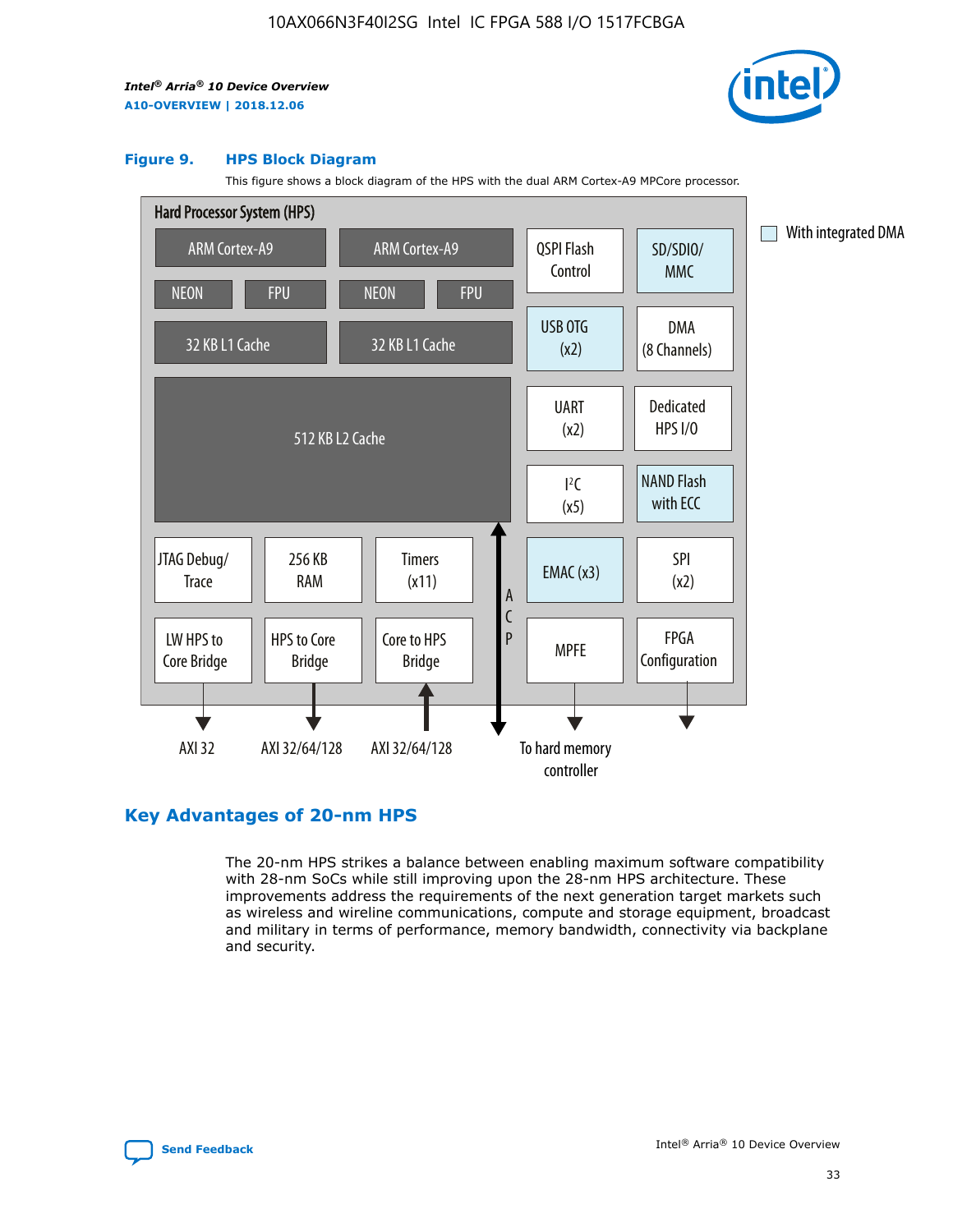

#### **Figure 9. HPS Block Diagram**

This figure shows a block diagram of the HPS with the dual ARM Cortex-A9 MPCore processor.



# **Key Advantages of 20-nm HPS**

The 20-nm HPS strikes a balance between enabling maximum software compatibility with 28-nm SoCs while still improving upon the 28-nm HPS architecture. These improvements address the requirements of the next generation target markets such as wireless and wireline communications, compute and storage equipment, broadcast and military in terms of performance, memory bandwidth, connectivity via backplane and security.

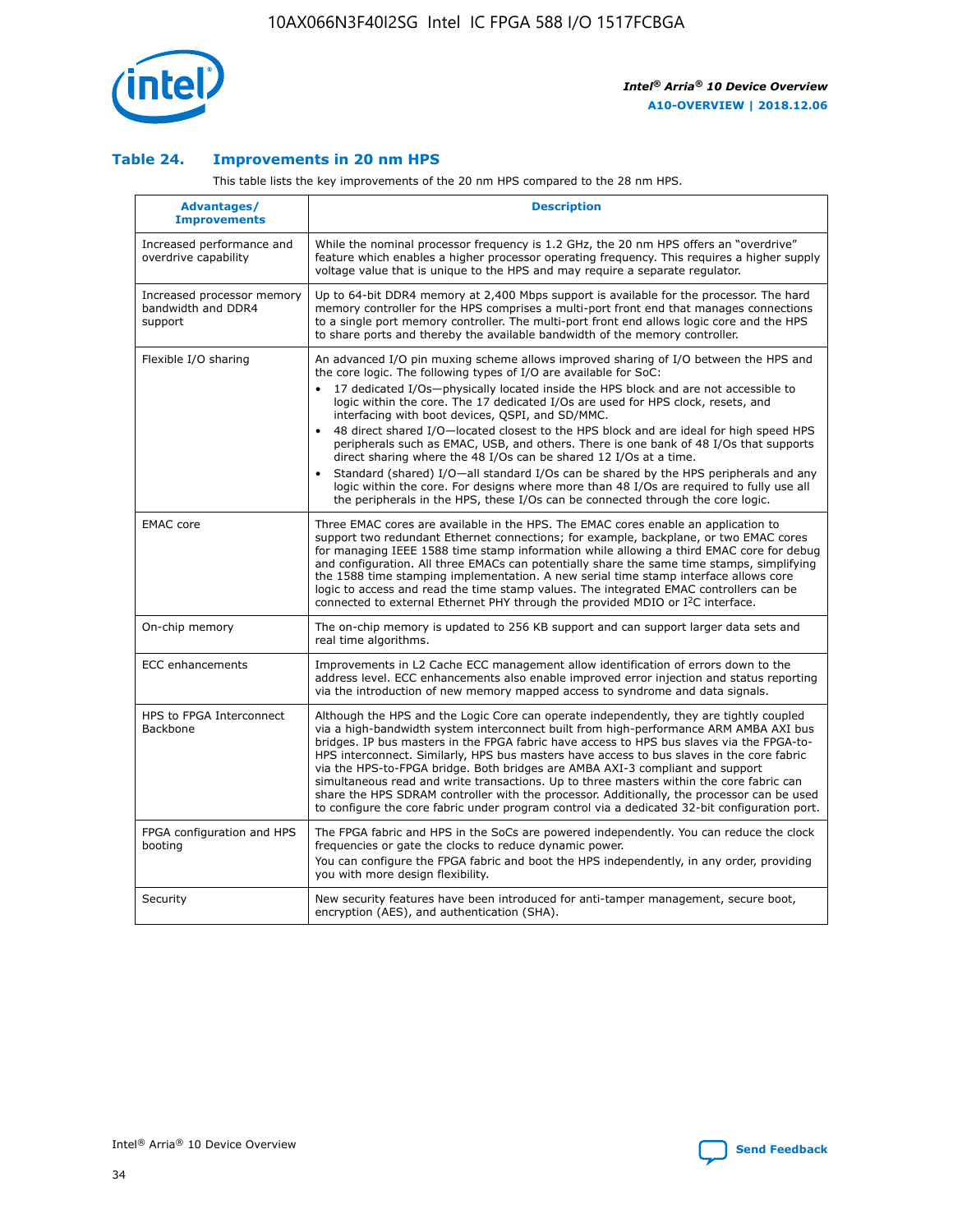

## **Table 24. Improvements in 20 nm HPS**

This table lists the key improvements of the 20 nm HPS compared to the 28 nm HPS.

| Advantages/<br><b>Improvements</b>                          | <b>Description</b>                                                                                                                                                                                                                                                                                                                                                                                                                                                                                                                                                                                                                                                                                                                                                                                                                                                                                                                   |
|-------------------------------------------------------------|--------------------------------------------------------------------------------------------------------------------------------------------------------------------------------------------------------------------------------------------------------------------------------------------------------------------------------------------------------------------------------------------------------------------------------------------------------------------------------------------------------------------------------------------------------------------------------------------------------------------------------------------------------------------------------------------------------------------------------------------------------------------------------------------------------------------------------------------------------------------------------------------------------------------------------------|
| Increased performance and<br>overdrive capability           | While the nominal processor frequency is 1.2 GHz, the 20 nm HPS offers an "overdrive"<br>feature which enables a higher processor operating frequency. This requires a higher supply<br>voltage value that is unique to the HPS and may require a separate requlator.                                                                                                                                                                                                                                                                                                                                                                                                                                                                                                                                                                                                                                                                |
| Increased processor memory<br>bandwidth and DDR4<br>support | Up to 64-bit DDR4 memory at 2,400 Mbps support is available for the processor. The hard<br>memory controller for the HPS comprises a multi-port front end that manages connections<br>to a single port memory controller. The multi-port front end allows logic core and the HPS<br>to share ports and thereby the available bandwidth of the memory controller.                                                                                                                                                                                                                                                                                                                                                                                                                                                                                                                                                                     |
| Flexible I/O sharing                                        | An advanced I/O pin muxing scheme allows improved sharing of I/O between the HPS and<br>the core logic. The following types of I/O are available for SoC:<br>17 dedicated I/Os-physically located inside the HPS block and are not accessible to<br>logic within the core. The 17 dedicated I/Os are used for HPS clock, resets, and<br>interfacing with boot devices, QSPI, and SD/MMC.<br>48 direct shared I/O-located closest to the HPS block and are ideal for high speed HPS<br>peripherals such as EMAC, USB, and others. There is one bank of 48 I/Os that supports<br>direct sharing where the 48 I/Os can be shared 12 I/Os at a time.<br>Standard (shared) I/O-all standard I/Os can be shared by the HPS peripherals and any<br>$\bullet$<br>logic within the core. For designs where more than 48 I/Os are required to fully use all<br>the peripherals in the HPS, these I/Os can be connected through the core logic. |
| <b>EMAC</b> core                                            | Three EMAC cores are available in the HPS. The EMAC cores enable an application to<br>support two redundant Ethernet connections; for example, backplane, or two EMAC cores<br>for managing IEEE 1588 time stamp information while allowing a third EMAC core for debug<br>and configuration. All three EMACs can potentially share the same time stamps, simplifying<br>the 1588 time stamping implementation. A new serial time stamp interface allows core<br>logic to access and read the time stamp values. The integrated EMAC controllers can be<br>connected to external Ethernet PHY through the provided MDIO or I <sup>2</sup> C interface.                                                                                                                                                                                                                                                                               |
| On-chip memory                                              | The on-chip memory is updated to 256 KB support and can support larger data sets and<br>real time algorithms.                                                                                                                                                                                                                                                                                                                                                                                                                                                                                                                                                                                                                                                                                                                                                                                                                        |
| <b>ECC</b> enhancements                                     | Improvements in L2 Cache ECC management allow identification of errors down to the<br>address level. ECC enhancements also enable improved error injection and status reporting<br>via the introduction of new memory mapped access to syndrome and data signals.                                                                                                                                                                                                                                                                                                                                                                                                                                                                                                                                                                                                                                                                    |
| HPS to FPGA Interconnect<br><b>Backbone</b>                 | Although the HPS and the Logic Core can operate independently, they are tightly coupled<br>via a high-bandwidth system interconnect built from high-performance ARM AMBA AXI bus<br>bridges. IP bus masters in the FPGA fabric have access to HPS bus slaves via the FPGA-to-<br>HPS interconnect. Similarly, HPS bus masters have access to bus slaves in the core fabric<br>via the HPS-to-FPGA bridge. Both bridges are AMBA AXI-3 compliant and support<br>simultaneous read and write transactions. Up to three masters within the core fabric can<br>share the HPS SDRAM controller with the processor. Additionally, the processor can be used<br>to configure the core fabric under program control via a dedicated 32-bit configuration port.                                                                                                                                                                               |
| FPGA configuration and HPS<br>booting                       | The FPGA fabric and HPS in the SoCs are powered independently. You can reduce the clock<br>frequencies or gate the clocks to reduce dynamic power.<br>You can configure the FPGA fabric and boot the HPS independently, in any order, providing<br>you with more design flexibility.                                                                                                                                                                                                                                                                                                                                                                                                                                                                                                                                                                                                                                                 |
| Security                                                    | New security features have been introduced for anti-tamper management, secure boot,<br>encryption (AES), and authentication (SHA).                                                                                                                                                                                                                                                                                                                                                                                                                                                                                                                                                                                                                                                                                                                                                                                                   |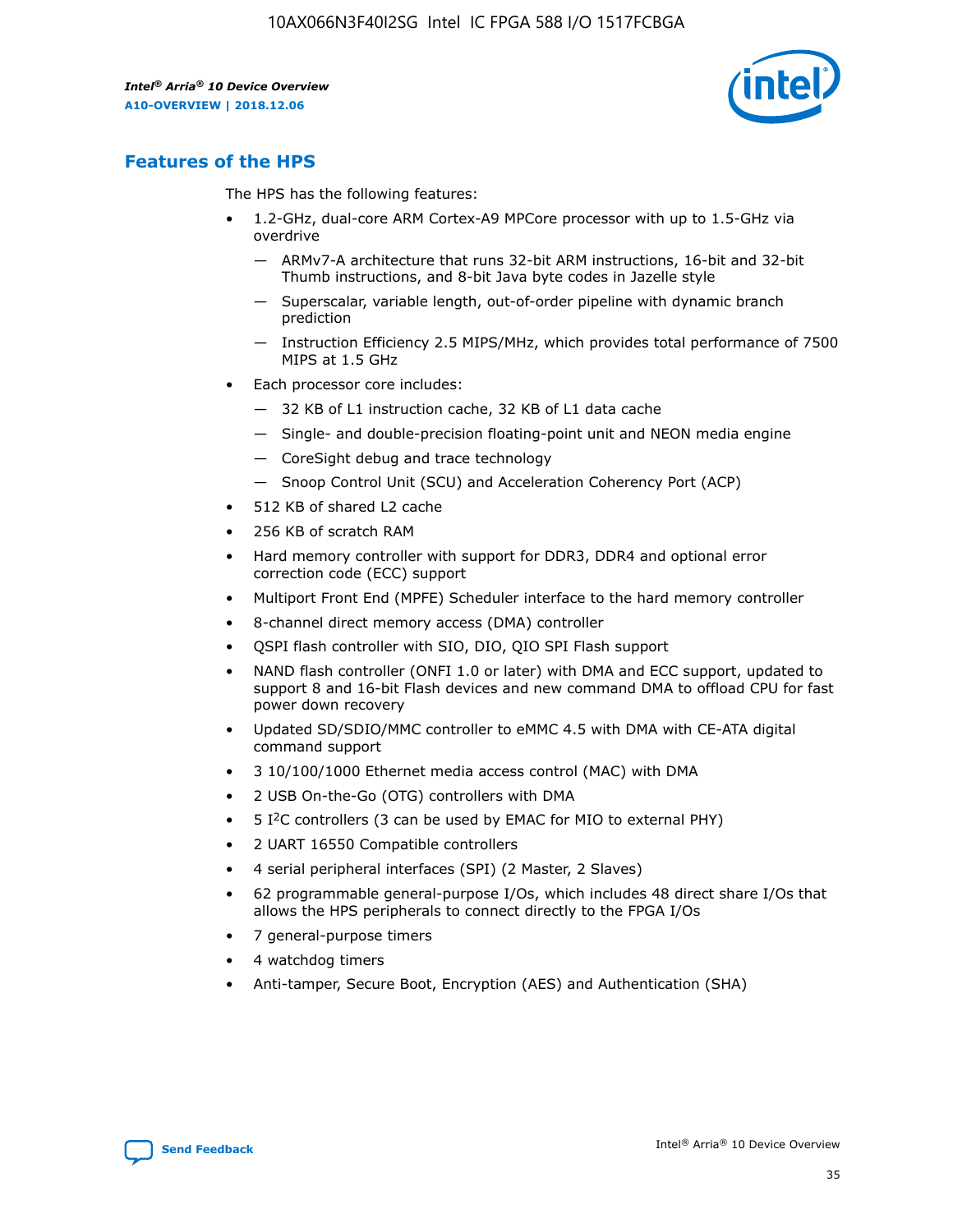

# **Features of the HPS**

The HPS has the following features:

- 1.2-GHz, dual-core ARM Cortex-A9 MPCore processor with up to 1.5-GHz via overdrive
	- ARMv7-A architecture that runs 32-bit ARM instructions, 16-bit and 32-bit Thumb instructions, and 8-bit Java byte codes in Jazelle style
	- Superscalar, variable length, out-of-order pipeline with dynamic branch prediction
	- Instruction Efficiency 2.5 MIPS/MHz, which provides total performance of 7500 MIPS at 1.5 GHz
- Each processor core includes:
	- 32 KB of L1 instruction cache, 32 KB of L1 data cache
	- Single- and double-precision floating-point unit and NEON media engine
	- CoreSight debug and trace technology
	- Snoop Control Unit (SCU) and Acceleration Coherency Port (ACP)
- 512 KB of shared L2 cache
- 256 KB of scratch RAM
- Hard memory controller with support for DDR3, DDR4 and optional error correction code (ECC) support
- Multiport Front End (MPFE) Scheduler interface to the hard memory controller
- 8-channel direct memory access (DMA) controller
- QSPI flash controller with SIO, DIO, QIO SPI Flash support
- NAND flash controller (ONFI 1.0 or later) with DMA and ECC support, updated to support 8 and 16-bit Flash devices and new command DMA to offload CPU for fast power down recovery
- Updated SD/SDIO/MMC controller to eMMC 4.5 with DMA with CE-ATA digital command support
- 3 10/100/1000 Ethernet media access control (MAC) with DMA
- 2 USB On-the-Go (OTG) controllers with DMA
- $\bullet$  5 I<sup>2</sup>C controllers (3 can be used by EMAC for MIO to external PHY)
- 2 UART 16550 Compatible controllers
- 4 serial peripheral interfaces (SPI) (2 Master, 2 Slaves)
- 62 programmable general-purpose I/Os, which includes 48 direct share I/Os that allows the HPS peripherals to connect directly to the FPGA I/Os
- 7 general-purpose timers
- 4 watchdog timers
- Anti-tamper, Secure Boot, Encryption (AES) and Authentication (SHA)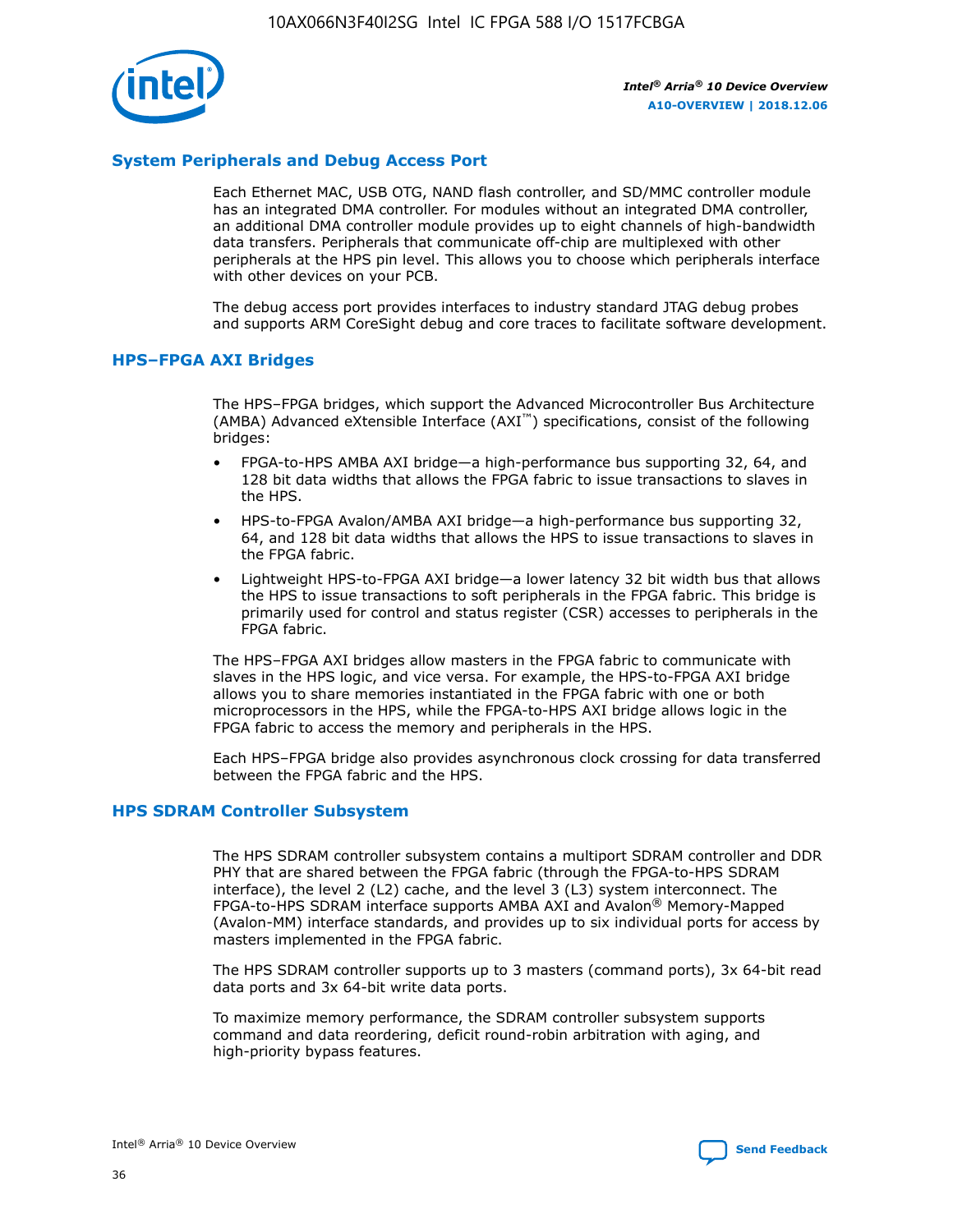

# **System Peripherals and Debug Access Port**

Each Ethernet MAC, USB OTG, NAND flash controller, and SD/MMC controller module has an integrated DMA controller. For modules without an integrated DMA controller, an additional DMA controller module provides up to eight channels of high-bandwidth data transfers. Peripherals that communicate off-chip are multiplexed with other peripherals at the HPS pin level. This allows you to choose which peripherals interface with other devices on your PCB.

The debug access port provides interfaces to industry standard JTAG debug probes and supports ARM CoreSight debug and core traces to facilitate software development.

## **HPS–FPGA AXI Bridges**

The HPS–FPGA bridges, which support the Advanced Microcontroller Bus Architecture (AMBA) Advanced eXtensible Interface (AXI™) specifications, consist of the following bridges:

- FPGA-to-HPS AMBA AXI bridge—a high-performance bus supporting 32, 64, and 128 bit data widths that allows the FPGA fabric to issue transactions to slaves in the HPS.
- HPS-to-FPGA Avalon/AMBA AXI bridge—a high-performance bus supporting 32, 64, and 128 bit data widths that allows the HPS to issue transactions to slaves in the FPGA fabric.
- Lightweight HPS-to-FPGA AXI bridge—a lower latency 32 bit width bus that allows the HPS to issue transactions to soft peripherals in the FPGA fabric. This bridge is primarily used for control and status register (CSR) accesses to peripherals in the FPGA fabric.

The HPS–FPGA AXI bridges allow masters in the FPGA fabric to communicate with slaves in the HPS logic, and vice versa. For example, the HPS-to-FPGA AXI bridge allows you to share memories instantiated in the FPGA fabric with one or both microprocessors in the HPS, while the FPGA-to-HPS AXI bridge allows logic in the FPGA fabric to access the memory and peripherals in the HPS.

Each HPS–FPGA bridge also provides asynchronous clock crossing for data transferred between the FPGA fabric and the HPS.

#### **HPS SDRAM Controller Subsystem**

The HPS SDRAM controller subsystem contains a multiport SDRAM controller and DDR PHY that are shared between the FPGA fabric (through the FPGA-to-HPS SDRAM interface), the level 2 (L2) cache, and the level 3 (L3) system interconnect. The FPGA-to-HPS SDRAM interface supports AMBA AXI and Avalon® Memory-Mapped (Avalon-MM) interface standards, and provides up to six individual ports for access by masters implemented in the FPGA fabric.

The HPS SDRAM controller supports up to 3 masters (command ports), 3x 64-bit read data ports and 3x 64-bit write data ports.

To maximize memory performance, the SDRAM controller subsystem supports command and data reordering, deficit round-robin arbitration with aging, and high-priority bypass features.

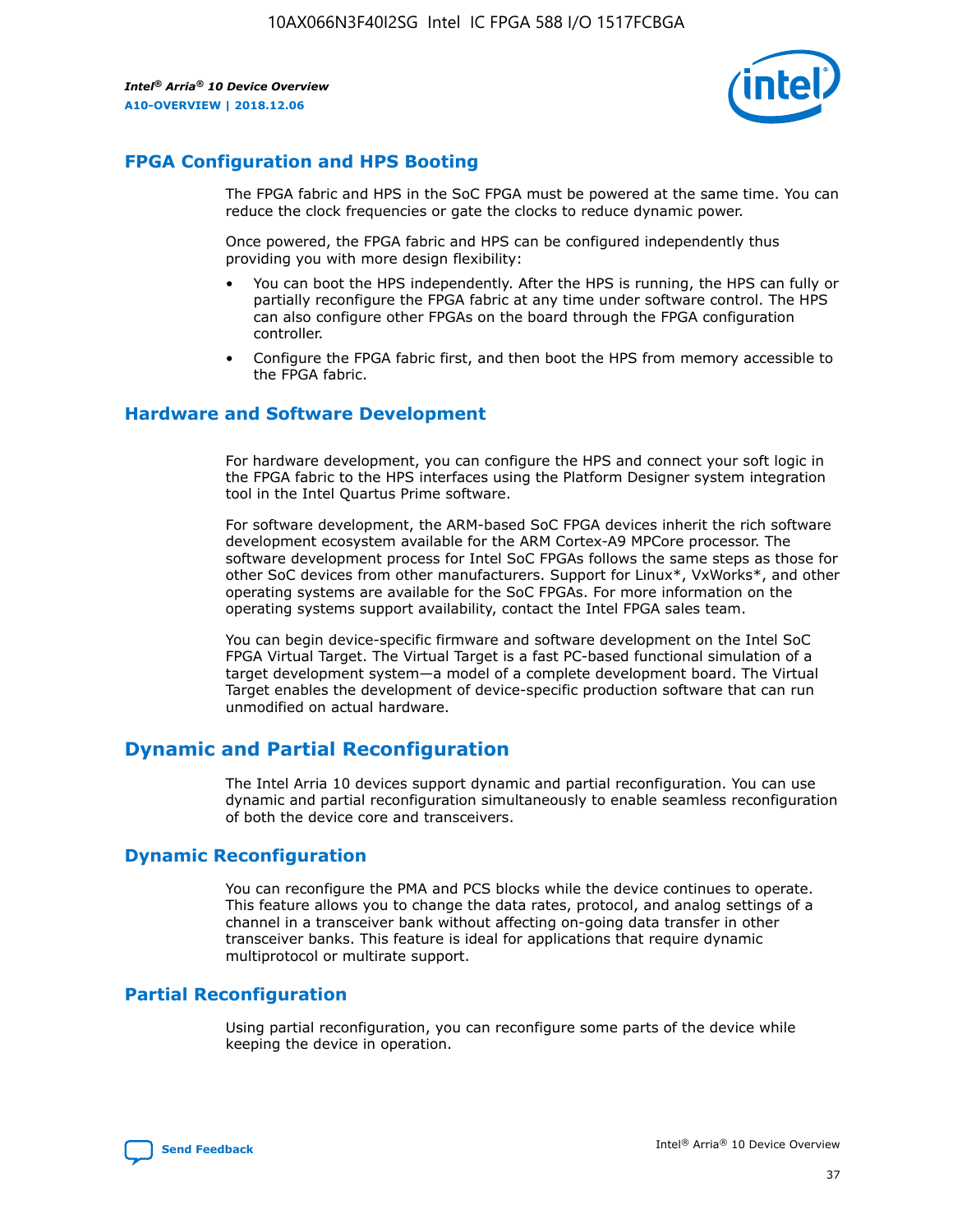

# **FPGA Configuration and HPS Booting**

The FPGA fabric and HPS in the SoC FPGA must be powered at the same time. You can reduce the clock frequencies or gate the clocks to reduce dynamic power.

Once powered, the FPGA fabric and HPS can be configured independently thus providing you with more design flexibility:

- You can boot the HPS independently. After the HPS is running, the HPS can fully or partially reconfigure the FPGA fabric at any time under software control. The HPS can also configure other FPGAs on the board through the FPGA configuration controller.
- Configure the FPGA fabric first, and then boot the HPS from memory accessible to the FPGA fabric.

## **Hardware and Software Development**

For hardware development, you can configure the HPS and connect your soft logic in the FPGA fabric to the HPS interfaces using the Platform Designer system integration tool in the Intel Quartus Prime software.

For software development, the ARM-based SoC FPGA devices inherit the rich software development ecosystem available for the ARM Cortex-A9 MPCore processor. The software development process for Intel SoC FPGAs follows the same steps as those for other SoC devices from other manufacturers. Support for Linux\*, VxWorks\*, and other operating systems are available for the SoC FPGAs. For more information on the operating systems support availability, contact the Intel FPGA sales team.

You can begin device-specific firmware and software development on the Intel SoC FPGA Virtual Target. The Virtual Target is a fast PC-based functional simulation of a target development system—a model of a complete development board. The Virtual Target enables the development of device-specific production software that can run unmodified on actual hardware.

# **Dynamic and Partial Reconfiguration**

The Intel Arria 10 devices support dynamic and partial reconfiguration. You can use dynamic and partial reconfiguration simultaneously to enable seamless reconfiguration of both the device core and transceivers.

# **Dynamic Reconfiguration**

You can reconfigure the PMA and PCS blocks while the device continues to operate. This feature allows you to change the data rates, protocol, and analog settings of a channel in a transceiver bank without affecting on-going data transfer in other transceiver banks. This feature is ideal for applications that require dynamic multiprotocol or multirate support.

# **Partial Reconfiguration**

Using partial reconfiguration, you can reconfigure some parts of the device while keeping the device in operation.

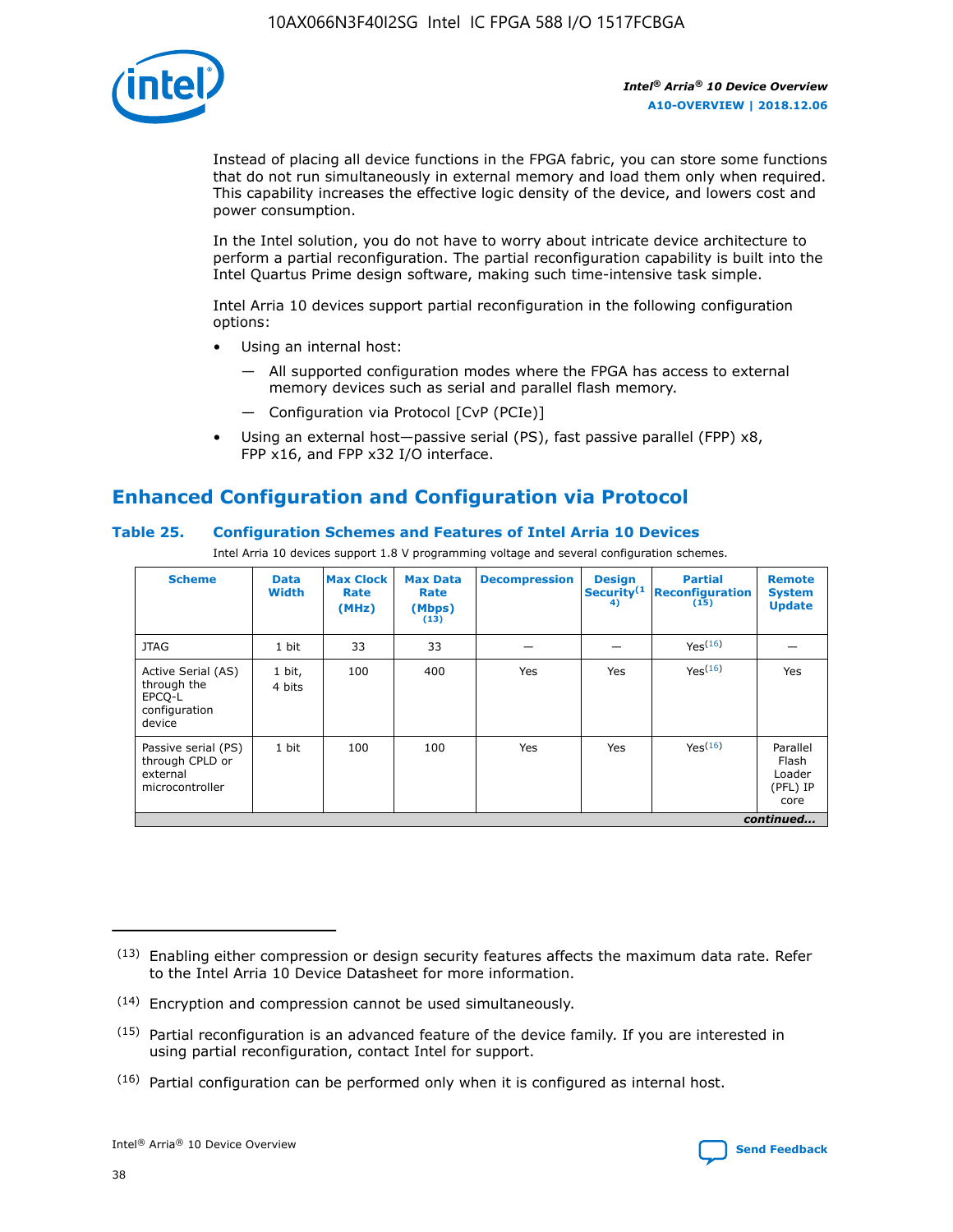

Instead of placing all device functions in the FPGA fabric, you can store some functions that do not run simultaneously in external memory and load them only when required. This capability increases the effective logic density of the device, and lowers cost and power consumption.

In the Intel solution, you do not have to worry about intricate device architecture to perform a partial reconfiguration. The partial reconfiguration capability is built into the Intel Quartus Prime design software, making such time-intensive task simple.

Intel Arria 10 devices support partial reconfiguration in the following configuration options:

- Using an internal host:
	- All supported configuration modes where the FPGA has access to external memory devices such as serial and parallel flash memory.
	- Configuration via Protocol [CvP (PCIe)]
- Using an external host—passive serial (PS), fast passive parallel (FPP) x8, FPP x16, and FPP x32 I/O interface.

# **Enhanced Configuration and Configuration via Protocol**

# **Table 25. Configuration Schemes and Features of Intel Arria 10 Devices**

Intel Arria 10 devices support 1.8 V programming voltage and several configuration schemes.

| <b>Scheme</b>                                                          | <b>Data</b><br><b>Width</b> | <b>Max Clock</b><br>Rate<br>(MHz) | <b>Max Data</b><br>Rate<br>(Mbps)<br>(13) | <b>Decompression</b> | <b>Design</b><br>Security <sup>(1</sup><br>4) | <b>Partial</b><br><b>Reconfiguration</b><br>(15) | <b>Remote</b><br><b>System</b><br><b>Update</b> |
|------------------------------------------------------------------------|-----------------------------|-----------------------------------|-------------------------------------------|----------------------|-----------------------------------------------|--------------------------------------------------|-------------------------------------------------|
| <b>JTAG</b>                                                            | 1 bit                       | 33                                | 33                                        |                      |                                               | Yes(16)                                          |                                                 |
| Active Serial (AS)<br>through the<br>EPCO-L<br>configuration<br>device | 1 bit,<br>4 bits            | 100                               | 400                                       | Yes                  | Yes                                           | $Y_{PS}(16)$                                     | Yes                                             |
| Passive serial (PS)<br>through CPLD or<br>external<br>microcontroller  | 1 bit                       | 100                               | 100                                       | Yes                  | Yes                                           | Yes(16)                                          | Parallel<br>Flash<br>Loader<br>(PFL) IP<br>core |
|                                                                        |                             |                                   |                                           |                      |                                               |                                                  | continued                                       |

<sup>(13)</sup> Enabling either compression or design security features affects the maximum data rate. Refer to the Intel Arria 10 Device Datasheet for more information.

<sup>(14)</sup> Encryption and compression cannot be used simultaneously.

 $(15)$  Partial reconfiguration is an advanced feature of the device family. If you are interested in using partial reconfiguration, contact Intel for support.

 $(16)$  Partial configuration can be performed only when it is configured as internal host.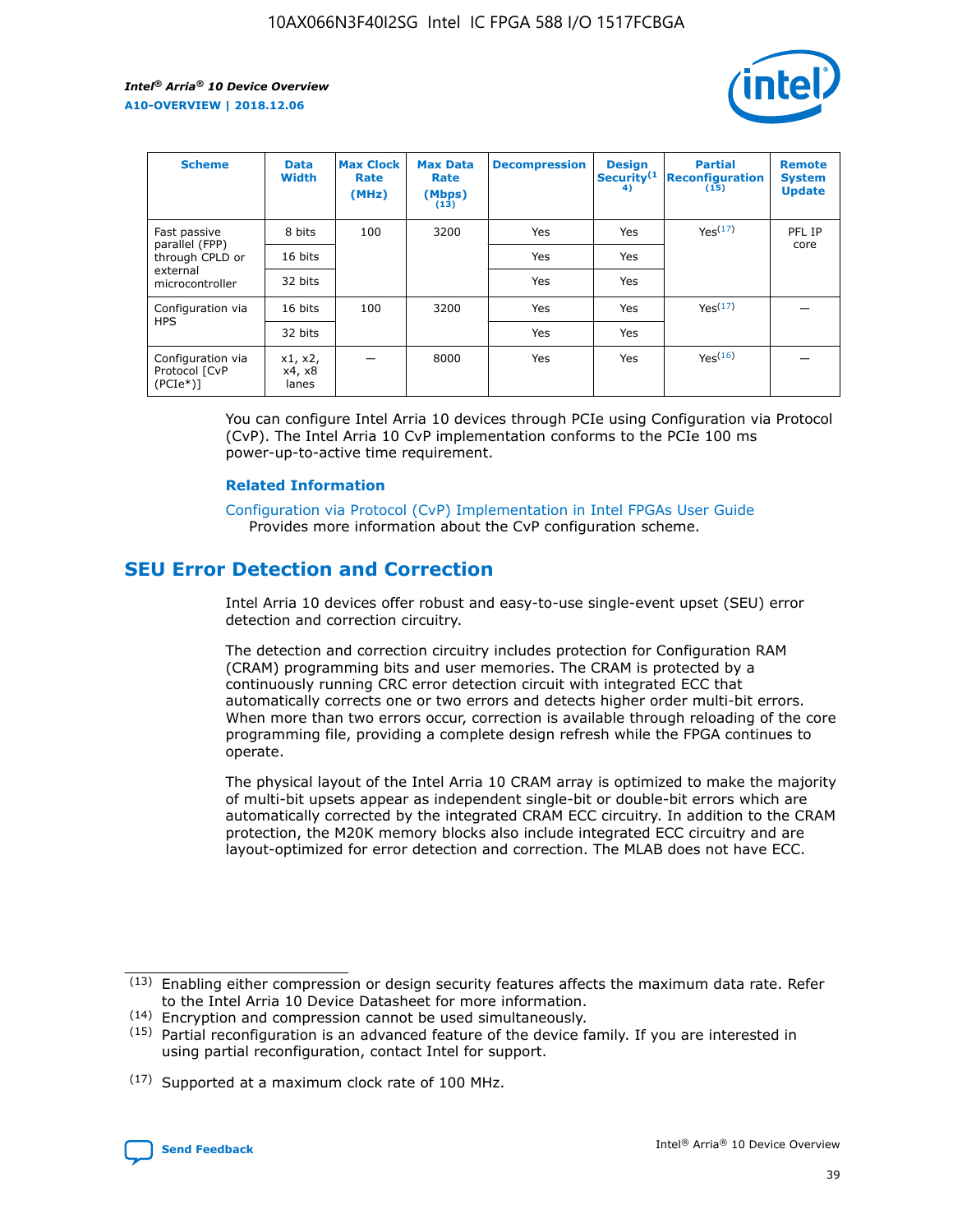

| <b>Scheme</b>                                   | <b>Data</b><br><b>Width</b> | <b>Max Clock</b><br>Rate<br>(MHz) | <b>Max Data</b><br>Rate<br>(Mbps)<br>(13) | <b>Decompression</b> | <b>Design</b><br>Security <sup>(1</sup><br>4) | <b>Partial</b><br><b>Reconfiguration</b><br>(15) | <b>Remote</b><br><b>System</b><br><b>Update</b> |
|-------------------------------------------------|-----------------------------|-----------------------------------|-------------------------------------------|----------------------|-----------------------------------------------|--------------------------------------------------|-------------------------------------------------|
| Fast passive                                    | 8 bits                      | 100                               | 3200                                      | Yes                  | Yes                                           | Yes <sup>(17)</sup>                              | PFL IP                                          |
| parallel (FPP)<br>through CPLD or               | 16 bits                     |                                   |                                           | Yes                  | Yes                                           |                                                  | core                                            |
| external<br>microcontroller                     | 32 bits                     |                                   |                                           | Yes                  | Yes                                           |                                                  |                                                 |
| Configuration via                               | 16 bits                     | 100                               | 3200                                      | Yes                  | Yes                                           | Yes <sup>(17)</sup>                              |                                                 |
| <b>HPS</b>                                      | 32 bits                     |                                   |                                           | Yes                  | Yes                                           |                                                  |                                                 |
| Configuration via<br>Protocol [CvP<br>$(PCIe*)$ | x1, x2,<br>x4, x8<br>lanes  |                                   | 8000                                      | Yes                  | Yes                                           | Yes <sup>(16)</sup>                              |                                                 |

You can configure Intel Arria 10 devices through PCIe using Configuration via Protocol (CvP). The Intel Arria 10 CvP implementation conforms to the PCIe 100 ms power-up-to-active time requirement.

#### **Related Information**

[Configuration via Protocol \(CvP\) Implementation in Intel FPGAs User Guide](https://www.intel.com/content/www/us/en/programmable/documentation/dsu1441819344145.html#dsu1442269728522) Provides more information about the CvP configuration scheme.

# **SEU Error Detection and Correction**

Intel Arria 10 devices offer robust and easy-to-use single-event upset (SEU) error detection and correction circuitry.

The detection and correction circuitry includes protection for Configuration RAM (CRAM) programming bits and user memories. The CRAM is protected by a continuously running CRC error detection circuit with integrated ECC that automatically corrects one or two errors and detects higher order multi-bit errors. When more than two errors occur, correction is available through reloading of the core programming file, providing a complete design refresh while the FPGA continues to operate.

The physical layout of the Intel Arria 10 CRAM array is optimized to make the majority of multi-bit upsets appear as independent single-bit or double-bit errors which are automatically corrected by the integrated CRAM ECC circuitry. In addition to the CRAM protection, the M20K memory blocks also include integrated ECC circuitry and are layout-optimized for error detection and correction. The MLAB does not have ECC.

(14) Encryption and compression cannot be used simultaneously.

<sup>(17)</sup> Supported at a maximum clock rate of 100 MHz.



 $(13)$  Enabling either compression or design security features affects the maximum data rate. Refer to the Intel Arria 10 Device Datasheet for more information.

 $(15)$  Partial reconfiguration is an advanced feature of the device family. If you are interested in using partial reconfiguration, contact Intel for support.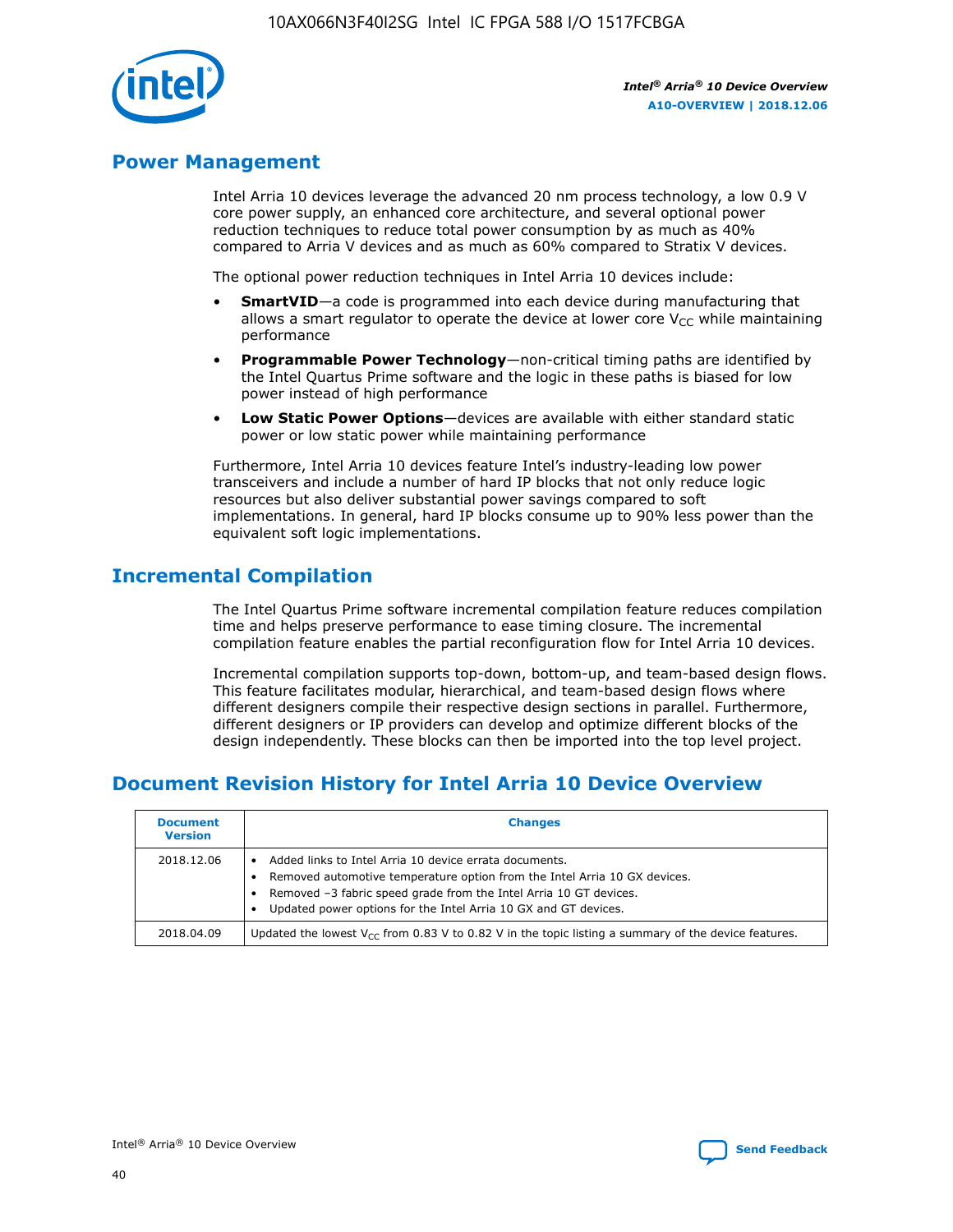

# **Power Management**

Intel Arria 10 devices leverage the advanced 20 nm process technology, a low 0.9 V core power supply, an enhanced core architecture, and several optional power reduction techniques to reduce total power consumption by as much as 40% compared to Arria V devices and as much as 60% compared to Stratix V devices.

The optional power reduction techniques in Intel Arria 10 devices include:

- **SmartVID**—a code is programmed into each device during manufacturing that allows a smart regulator to operate the device at lower core  $V_{CC}$  while maintaining performance
- **Programmable Power Technology**—non-critical timing paths are identified by the Intel Quartus Prime software and the logic in these paths is biased for low power instead of high performance
- **Low Static Power Options**—devices are available with either standard static power or low static power while maintaining performance

Furthermore, Intel Arria 10 devices feature Intel's industry-leading low power transceivers and include a number of hard IP blocks that not only reduce logic resources but also deliver substantial power savings compared to soft implementations. In general, hard IP blocks consume up to 90% less power than the equivalent soft logic implementations.

# **Incremental Compilation**

The Intel Quartus Prime software incremental compilation feature reduces compilation time and helps preserve performance to ease timing closure. The incremental compilation feature enables the partial reconfiguration flow for Intel Arria 10 devices.

Incremental compilation supports top-down, bottom-up, and team-based design flows. This feature facilitates modular, hierarchical, and team-based design flows where different designers compile their respective design sections in parallel. Furthermore, different designers or IP providers can develop and optimize different blocks of the design independently. These blocks can then be imported into the top level project.

# **Document Revision History for Intel Arria 10 Device Overview**

| <b>Document</b><br><b>Version</b> | <b>Changes</b>                                                                                                                                                                                                                                                              |
|-----------------------------------|-----------------------------------------------------------------------------------------------------------------------------------------------------------------------------------------------------------------------------------------------------------------------------|
| 2018.12.06                        | Added links to Intel Arria 10 device errata documents.<br>Removed automotive temperature option from the Intel Arria 10 GX devices.<br>Removed -3 fabric speed grade from the Intel Arria 10 GT devices.<br>Updated power options for the Intel Arria 10 GX and GT devices. |
| 2018.04.09                        | Updated the lowest $V_{CC}$ from 0.83 V to 0.82 V in the topic listing a summary of the device features.                                                                                                                                                                    |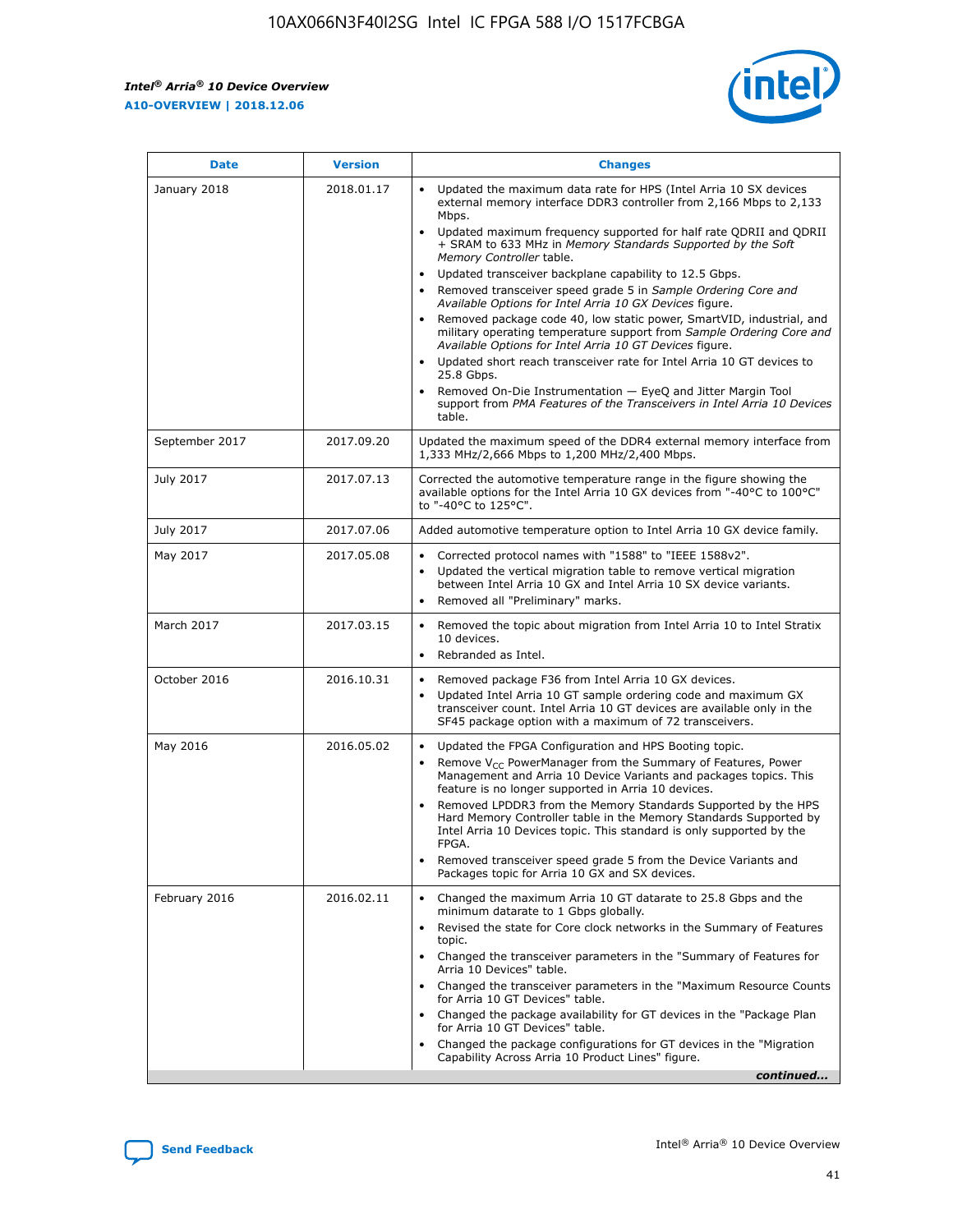*Intel® Arria® 10 Device Overview* **A10-OVERVIEW | 2018.12.06**



| <b>Date</b>    | <b>Version</b> | <b>Changes</b>                                                                                                                                                                                                                                                                                                                                                                                                                                                                                                                                                                                                                                                                                                                                                                                                                                                                                                                                                            |
|----------------|----------------|---------------------------------------------------------------------------------------------------------------------------------------------------------------------------------------------------------------------------------------------------------------------------------------------------------------------------------------------------------------------------------------------------------------------------------------------------------------------------------------------------------------------------------------------------------------------------------------------------------------------------------------------------------------------------------------------------------------------------------------------------------------------------------------------------------------------------------------------------------------------------------------------------------------------------------------------------------------------------|
| January 2018   | 2018.01.17     | Updated the maximum data rate for HPS (Intel Arria 10 SX devices<br>external memory interface DDR3 controller from 2,166 Mbps to 2,133<br>Mbps.<br>Updated maximum frequency supported for half rate QDRII and QDRII<br>+ SRAM to 633 MHz in Memory Standards Supported by the Soft<br>Memory Controller table.<br>Updated transceiver backplane capability to 12.5 Gbps.<br>$\bullet$<br>Removed transceiver speed grade 5 in Sample Ordering Core and<br>Available Options for Intel Arria 10 GX Devices figure.<br>Removed package code 40, low static power, SmartVID, industrial, and<br>military operating temperature support from Sample Ordering Core and<br>Available Options for Intel Arria 10 GT Devices figure.<br>Updated short reach transceiver rate for Intel Arria 10 GT devices to<br>25.8 Gbps.<br>Removed On-Die Instrumentation - EyeQ and Jitter Margin Tool<br>support from PMA Features of the Transceivers in Intel Arria 10 Devices<br>table. |
| September 2017 | 2017.09.20     | Updated the maximum speed of the DDR4 external memory interface from<br>1,333 MHz/2,666 Mbps to 1,200 MHz/2,400 Mbps.                                                                                                                                                                                                                                                                                                                                                                                                                                                                                                                                                                                                                                                                                                                                                                                                                                                     |
| July 2017      | 2017.07.13     | Corrected the automotive temperature range in the figure showing the<br>available options for the Intel Arria 10 GX devices from "-40°C to 100°C"<br>to "-40°C to 125°C".                                                                                                                                                                                                                                                                                                                                                                                                                                                                                                                                                                                                                                                                                                                                                                                                 |
| July 2017      | 2017.07.06     | Added automotive temperature option to Intel Arria 10 GX device family.                                                                                                                                                                                                                                                                                                                                                                                                                                                                                                                                                                                                                                                                                                                                                                                                                                                                                                   |
| May 2017       | 2017.05.08     | Corrected protocol names with "1588" to "IEEE 1588v2".<br>$\bullet$<br>Updated the vertical migration table to remove vertical migration<br>$\bullet$<br>between Intel Arria 10 GX and Intel Arria 10 SX device variants.<br>Removed all "Preliminary" marks.<br>$\bullet$                                                                                                                                                                                                                                                                                                                                                                                                                                                                                                                                                                                                                                                                                                |
| March 2017     | 2017.03.15     | Removed the topic about migration from Intel Arria 10 to Intel Stratix<br>10 devices.<br>Rebranded as Intel.<br>$\bullet$                                                                                                                                                                                                                                                                                                                                                                                                                                                                                                                                                                                                                                                                                                                                                                                                                                                 |
| October 2016   | 2016.10.31     | Removed package F36 from Intel Arria 10 GX devices.<br>Updated Intel Arria 10 GT sample ordering code and maximum GX<br>$\bullet$<br>transceiver count. Intel Arria 10 GT devices are available only in the<br>SF45 package option with a maximum of 72 transceivers.                                                                                                                                                                                                                                                                                                                                                                                                                                                                                                                                                                                                                                                                                                     |
| May 2016       | 2016.05.02     | Updated the FPGA Configuration and HPS Booting topic.<br>$\bullet$<br>Remove V <sub>CC</sub> PowerManager from the Summary of Features, Power<br>Management and Arria 10 Device Variants and packages topics. This<br>feature is no longer supported in Arria 10 devices.<br>Removed LPDDR3 from the Memory Standards Supported by the HPS<br>Hard Memory Controller table in the Memory Standards Supported by<br>Intel Arria 10 Devices topic. This standard is only supported by the<br>FPGA.<br>Removed transceiver speed grade 5 from the Device Variants and<br>Packages topic for Arria 10 GX and SX devices.                                                                                                                                                                                                                                                                                                                                                      |
| February 2016  | 2016.02.11     | Changed the maximum Arria 10 GT datarate to 25.8 Gbps and the<br>minimum datarate to 1 Gbps globally.<br>Revised the state for Core clock networks in the Summary of Features<br>$\bullet$<br>topic.<br>Changed the transceiver parameters in the "Summary of Features for<br>$\bullet$<br>Arria 10 Devices" table.<br>• Changed the transceiver parameters in the "Maximum Resource Counts<br>for Arria 10 GT Devices" table.<br>Changed the package availability for GT devices in the "Package Plan<br>for Arria 10 GT Devices" table.<br>Changed the package configurations for GT devices in the "Migration"<br>Capability Across Arria 10 Product Lines" figure.<br>continued                                                                                                                                                                                                                                                                                       |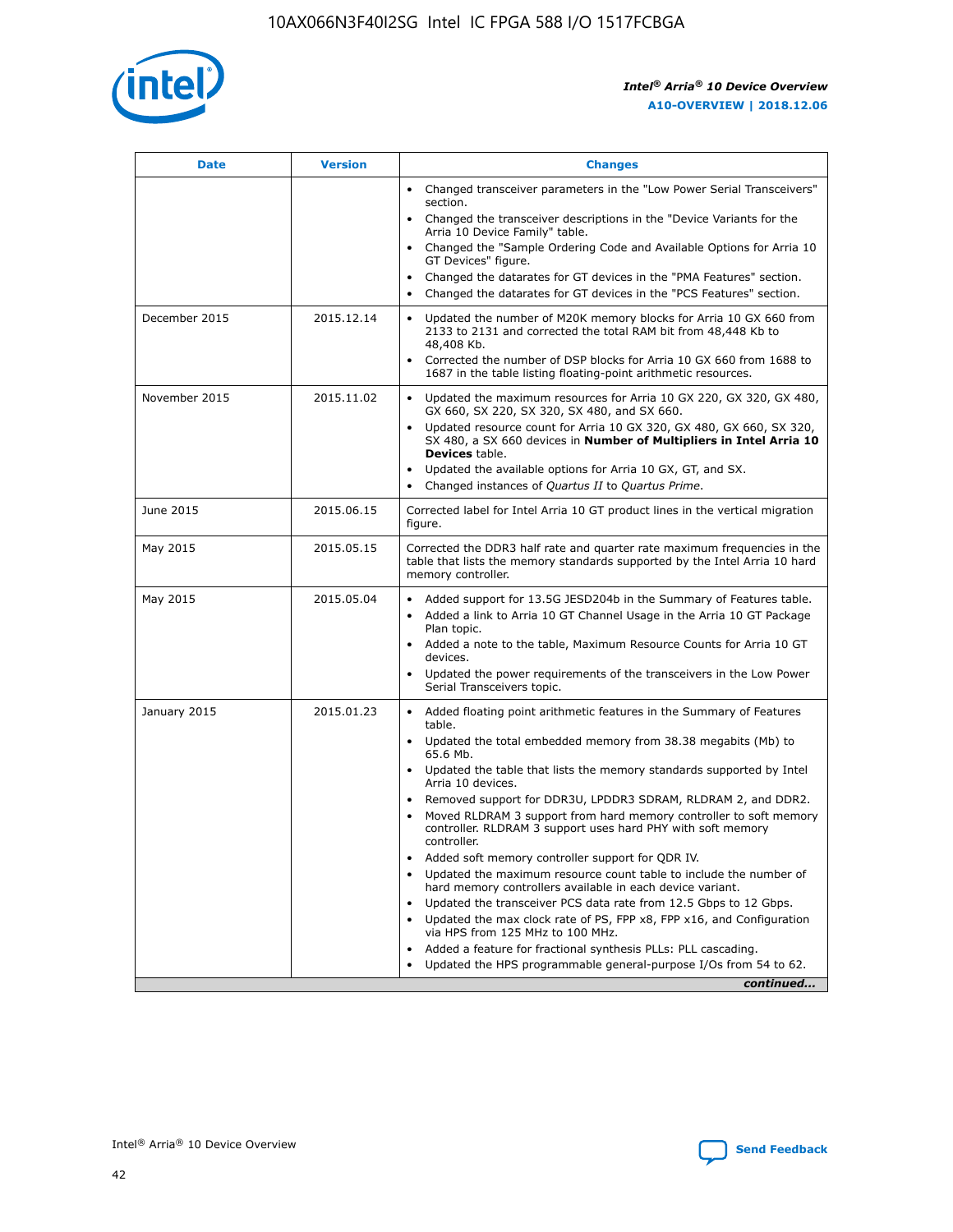

| <b>Date</b>   | <b>Version</b> | <b>Changes</b>                                                                                                                                                               |
|---------------|----------------|------------------------------------------------------------------------------------------------------------------------------------------------------------------------------|
|               |                | • Changed transceiver parameters in the "Low Power Serial Transceivers"<br>section.                                                                                          |
|               |                | • Changed the transceiver descriptions in the "Device Variants for the<br>Arria 10 Device Family" table.                                                                     |
|               |                | Changed the "Sample Ordering Code and Available Options for Arria 10<br>$\bullet$<br>GT Devices" figure.                                                                     |
|               |                | Changed the datarates for GT devices in the "PMA Features" section.                                                                                                          |
|               |                | Changed the datarates for GT devices in the "PCS Features" section.<br>$\bullet$                                                                                             |
| December 2015 | 2015.12.14     | Updated the number of M20K memory blocks for Arria 10 GX 660 from<br>2133 to 2131 and corrected the total RAM bit from 48,448 Kb to<br>48,408 Kb.                            |
|               |                | Corrected the number of DSP blocks for Arria 10 GX 660 from 1688 to<br>1687 in the table listing floating-point arithmetic resources.                                        |
| November 2015 | 2015.11.02     | Updated the maximum resources for Arria 10 GX 220, GX 320, GX 480,<br>$\bullet$<br>GX 660, SX 220, SX 320, SX 480, and SX 660.                                               |
|               |                | • Updated resource count for Arria 10 GX 320, GX 480, GX 660, SX 320,<br>SX 480, a SX 660 devices in Number of Multipliers in Intel Arria 10<br><b>Devices</b> table.        |
|               |                | Updated the available options for Arria 10 GX, GT, and SX.                                                                                                                   |
|               |                | Changed instances of Quartus II to Quartus Prime.<br>$\bullet$                                                                                                               |
| June 2015     | 2015.06.15     | Corrected label for Intel Arria 10 GT product lines in the vertical migration<br>figure.                                                                                     |
| May 2015      | 2015.05.15     | Corrected the DDR3 half rate and quarter rate maximum frequencies in the<br>table that lists the memory standards supported by the Intel Arria 10 hard<br>memory controller. |
| May 2015      | 2015.05.04     | • Added support for 13.5G JESD204b in the Summary of Features table.                                                                                                         |
|               |                | • Added a link to Arria 10 GT Channel Usage in the Arria 10 GT Package<br>Plan topic.                                                                                        |
|               |                | • Added a note to the table, Maximum Resource Counts for Arria 10 GT<br>devices.                                                                                             |
|               |                | • Updated the power requirements of the transceivers in the Low Power<br>Serial Transceivers topic.                                                                          |
| January 2015  | 2015.01.23     | • Added floating point arithmetic features in the Summary of Features<br>table.                                                                                              |
|               |                | • Updated the total embedded memory from 38.38 megabits (Mb) to<br>65.6 Mb.                                                                                                  |
|               |                | • Updated the table that lists the memory standards supported by Intel<br>Arria 10 devices.                                                                                  |
|               |                | Removed support for DDR3U, LPDDR3 SDRAM, RLDRAM 2, and DDR2.                                                                                                                 |
|               |                | Moved RLDRAM 3 support from hard memory controller to soft memory<br>controller. RLDRAM 3 support uses hard PHY with soft memory<br>controller.                              |
|               |                | Added soft memory controller support for QDR IV.<br>٠                                                                                                                        |
|               |                | Updated the maximum resource count table to include the number of<br>hard memory controllers available in each device variant.                                               |
|               |                | Updated the transceiver PCS data rate from 12.5 Gbps to 12 Gbps.<br>$\bullet$                                                                                                |
|               |                | Updated the max clock rate of PS, FPP x8, FPP x16, and Configuration<br>via HPS from 125 MHz to 100 MHz.                                                                     |
|               |                | Added a feature for fractional synthesis PLLs: PLL cascading.                                                                                                                |
|               |                | Updated the HPS programmable general-purpose I/Os from 54 to 62.<br>$\bullet$                                                                                                |
|               |                | continued                                                                                                                                                                    |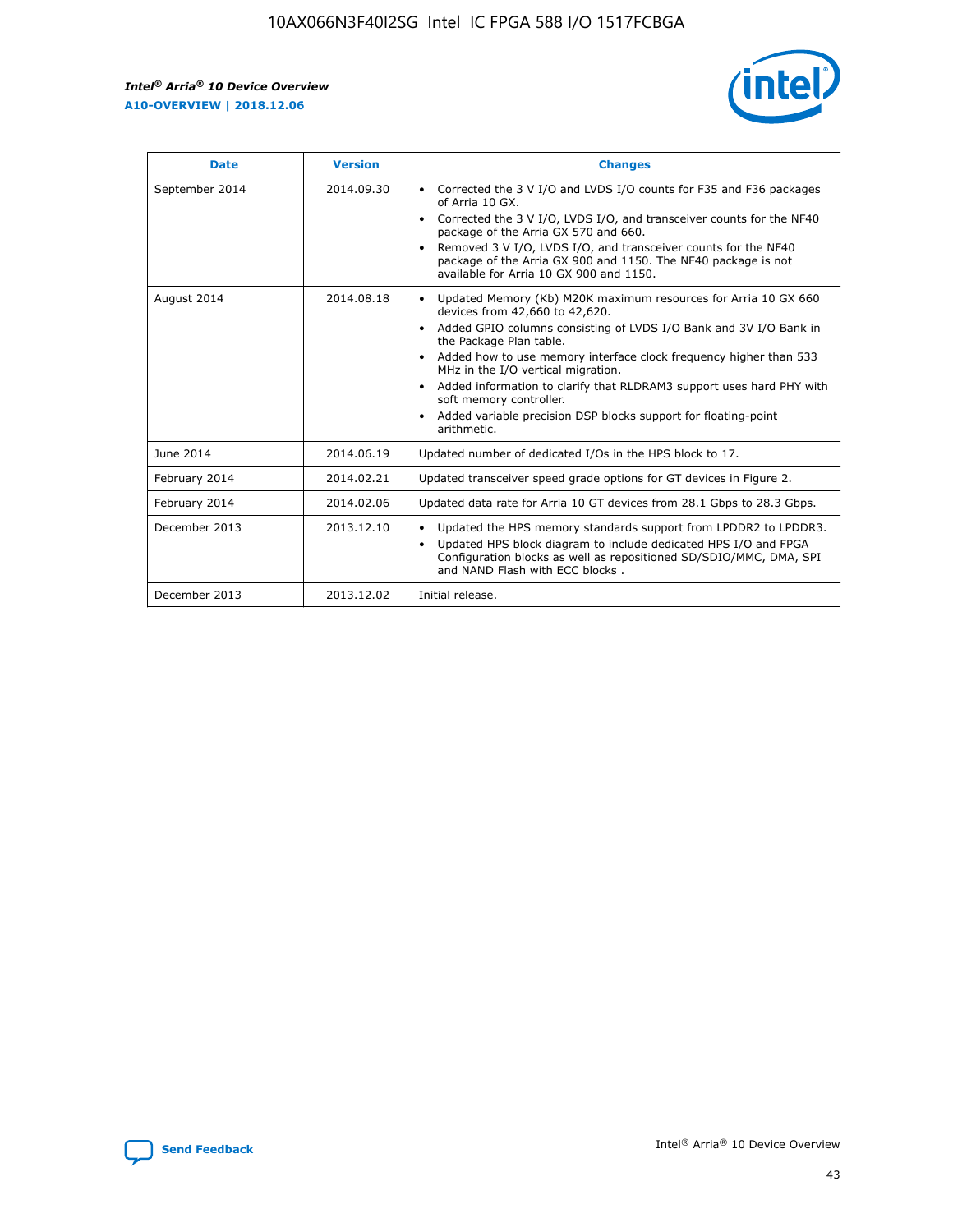r



| <b>Date</b>    | <b>Version</b> | <b>Changes</b>                                                                                                                                                                                                                                                                                                                                                                                                                                                                                                                                      |
|----------------|----------------|-----------------------------------------------------------------------------------------------------------------------------------------------------------------------------------------------------------------------------------------------------------------------------------------------------------------------------------------------------------------------------------------------------------------------------------------------------------------------------------------------------------------------------------------------------|
| September 2014 | 2014.09.30     | Corrected the 3 V I/O and LVDS I/O counts for F35 and F36 packages<br>$\bullet$<br>of Arria 10 GX.<br>Corrected the 3 V I/O, LVDS I/O, and transceiver counts for the NF40<br>$\bullet$<br>package of the Arria GX 570 and 660.<br>Removed 3 V I/O, LVDS I/O, and transceiver counts for the NF40<br>package of the Arria GX 900 and 1150. The NF40 package is not<br>available for Arria 10 GX 900 and 1150.                                                                                                                                       |
| August 2014    | 2014.08.18     | Updated Memory (Kb) M20K maximum resources for Arria 10 GX 660<br>devices from 42,660 to 42,620.<br>Added GPIO columns consisting of LVDS I/O Bank and 3V I/O Bank in<br>$\bullet$<br>the Package Plan table.<br>Added how to use memory interface clock frequency higher than 533<br>$\bullet$<br>MHz in the I/O vertical migration.<br>Added information to clarify that RLDRAM3 support uses hard PHY with<br>$\bullet$<br>soft memory controller.<br>Added variable precision DSP blocks support for floating-point<br>$\bullet$<br>arithmetic. |
| June 2014      | 2014.06.19     | Updated number of dedicated I/Os in the HPS block to 17.                                                                                                                                                                                                                                                                                                                                                                                                                                                                                            |
| February 2014  | 2014.02.21     | Updated transceiver speed grade options for GT devices in Figure 2.                                                                                                                                                                                                                                                                                                                                                                                                                                                                                 |
| February 2014  | 2014.02.06     | Updated data rate for Arria 10 GT devices from 28.1 Gbps to 28.3 Gbps.                                                                                                                                                                                                                                                                                                                                                                                                                                                                              |
| December 2013  | 2013.12.10     | Updated the HPS memory standards support from LPDDR2 to LPDDR3.<br>Updated HPS block diagram to include dedicated HPS I/O and FPGA<br>$\bullet$<br>Configuration blocks as well as repositioned SD/SDIO/MMC, DMA, SPI<br>and NAND Flash with ECC blocks.                                                                                                                                                                                                                                                                                            |
| December 2013  | 2013.12.02     | Initial release.                                                                                                                                                                                                                                                                                                                                                                                                                                                                                                                                    |